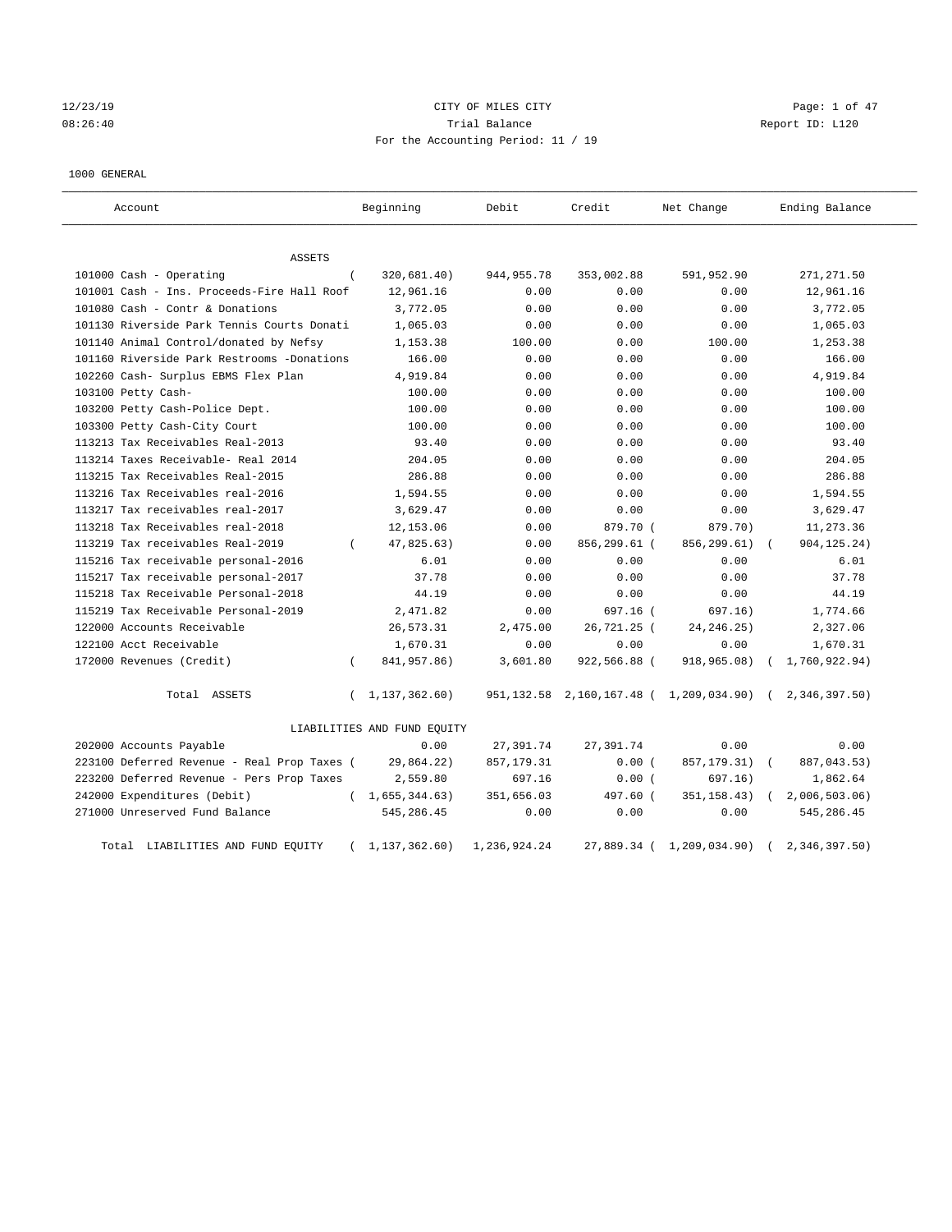# 12/23/19 CITY OF MILES CITY Page: 1 of 47 08:26:40 Trial Balance Report ID: L120 For the Accounting Period: 11 / 19

1000 GENERAL

| Account.                                    |          | Beginning                   | Debit        | Credit       | Net Change                                   |            | Ending Balance |
|---------------------------------------------|----------|-----------------------------|--------------|--------------|----------------------------------------------|------------|----------------|
| <b>ASSETS</b>                               |          |                             |              |              |                                              |            |                |
| 101000 Cash - Operating                     | $\left($ | 320,681.40)                 | 944, 955. 78 | 353,002.88   | 591,952.90                                   |            | 271, 271.50    |
| 101001 Cash - Ins. Proceeds-Fire Hall Roof  |          | 12,961.16                   | 0.00         | 0.00         | 0.00                                         |            | 12,961.16      |
| 101080 Cash - Contr & Donations             |          | 3,772.05                    | 0.00         | 0.00         | 0.00                                         |            | 3,772.05       |
| 101130 Riverside Park Tennis Courts Donati  |          | 1,065.03                    | 0.00         | 0.00         | 0.00                                         |            | 1,065.03       |
| 101140 Animal Control/donated by Nefsy      |          | 1,153.38                    | 100.00       | 0.00         | 100.00                                       |            | 1,253.38       |
| 101160 Riverside Park Restrooms -Donations  |          | 166.00                      | 0.00         | 0.00         | 0.00                                         |            | 166.00         |
| 102260 Cash- Surplus EBMS Flex Plan         |          | 4,919.84                    | 0.00         | 0.00         | 0.00                                         |            | 4,919.84       |
| 103100 Petty Cash-                          |          | 100.00                      | 0.00         | 0.00         | 0.00                                         |            | 100.00         |
| 103200 Petty Cash-Police Dept.              |          | 100.00                      | 0.00         | 0.00         | 0.00                                         |            | 100.00         |
| 103300 Petty Cash-City Court                |          | 100.00                      | 0.00         | 0.00         | 0.00                                         |            | 100.00         |
| 113213 Tax Receivables Real-2013            |          | 93.40                       | 0.00         | 0.00         | 0.00                                         |            | 93.40          |
| 113214 Taxes Receivable- Real 2014          |          | 204.05                      | 0.00         | 0.00         | 0.00                                         |            | 204.05         |
| 113215 Tax Receivables Real-2015            |          | 286.88                      | 0.00         | 0.00         | 0.00                                         |            | 286.88         |
| 113216 Tax Receivables real-2016            |          | 1,594.55                    | 0.00         | 0.00         | 0.00                                         |            | 1,594.55       |
| 113217 Tax receivables real-2017            |          | 3,629.47                    | 0.00         | 0.00         | 0.00                                         |            | 3,629.47       |
| 113218 Tax Receivables real-2018            |          | 12,153.06                   | 0.00         | 879.70 (     | 879.70)                                      |            | 11,273.36      |
| 113219 Tax receivables Real-2019            |          | 47,825.63)                  | 0.00         | 856,299.61 ( | 856, 299.61)                                 |            | 904, 125. 24)  |
| 115216 Tax receivable personal-2016         |          | 6.01                        | 0.00         | 0.00         | 0.00                                         |            | 6.01           |
| 115217 Tax receivable personal-2017         |          | 37.78                       | 0.00         | 0.00         | 0.00                                         |            | 37.78          |
| 115218 Tax Receivable Personal-2018         |          | 44.19                       | 0.00         | 0.00         | 0.00                                         |            | 44.19          |
| 115219 Tax Receivable Personal-2019         |          | 2,471.82                    | 0.00         | $697.16$ (   | 697.16)                                      |            | 1,774.66       |
| 122000 Accounts Receivable                  |          | 26,573.31                   | 2,475.00     | 26,721.25 (  | 24, 246. 25)                                 |            | 2,327.06       |
| 122100 Acct Receivable                      |          | 1,670.31                    | 0.00         | 0.00         | 0.00                                         |            | 1,670.31       |
| 172000 Revenues (Credit)                    | $\left($ | 841,957.86)                 | 3,601.80     | 922,566.88 ( | 918,965.08)                                  |            | 1,760,922.94)  |
| Total ASSETS                                | $\left($ | 1,137,362.60)               |              |              | 951, 132.58 2, 160, 167.48 ( 1, 209, 034.90) |            | (2,346,397.50) |
|                                             |          | LIABILITIES AND FUND EQUITY |              |              |                                              |            |                |
| 202000 Accounts Payable                     |          | 0.00                        | 27,391.74    | 27,391.74    | 0.00                                         |            | 0.00           |
| 223100 Deferred Revenue - Real Prop Taxes ( |          | 29,864.22)                  | 857, 179.31  | 0.00(        | 857, 179. 31)                                | $\sqrt{2}$ | 887,043.53)    |
| 223200 Deferred Revenue - Pers Prop Taxes   |          | 2,559.80                    | 697.16       | 0.00(        | 697.16)                                      |            | 1,862.64       |
| 242000 Expenditures (Debit)                 |          | (1, 655, 344.63)            | 351,656.03   | 497.60 (     | 351, 158.43)                                 | $\sqrt{2}$ | 2,006,503.06   |
| 271000 Unreserved Fund Balance              |          | 545,286.45                  | 0.00         | 0.00         | 0.00                                         |            | 545,286.45     |
| Total LIABILITIES AND FUND EQUITY           | $\left($ | 1,137,362.60)               | 1,236,924.24 |              | 27,889.34 ( 1,209,034.90)                    |            | 2,346,397.50   |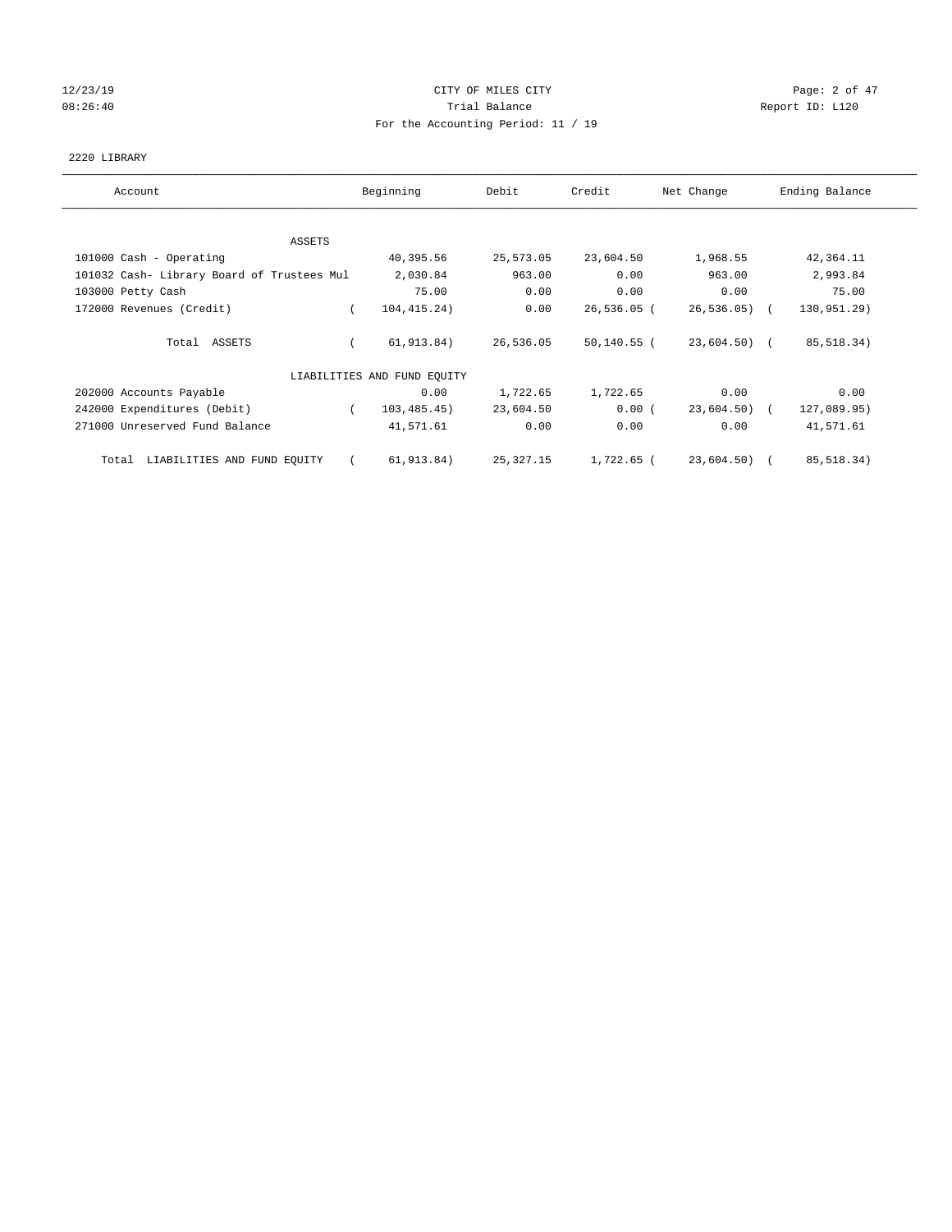# 12/23/19 CITY OF MILES CITY Page: 2 of 47 08:26:40 Report ID: L120 For the Accounting Period: 11 / 19

## 2220 LIBRARY

| Account                                    | Beginning                   | Debit     | Credit        | Net Change    | Ending Balance |
|--------------------------------------------|-----------------------------|-----------|---------------|---------------|----------------|
| ASSETS                                     |                             |           |               |               |                |
| 101000 Cash - Operating                    | 40,395.56                   | 25,573.05 | 23,604.50     | 1,968.55      | 42,364.11      |
| 101032 Cash- Library Board of Trustees Mul | 2,030.84                    | 963.00    | 0.00          | 963.00        | 2,993.84       |
| 103000 Petty Cash                          | 75.00                       | 0.00      | 0.00          | 0.00          | 75.00          |
| 172000 Revenues (Credit)                   | 104, 415. 24)<br>$\sqrt{2}$ | 0.00      | $26,536.05$ ( | $26,536.05$ ( | 130,951.29)    |
| Total ASSETS                               | 61, 913.84)                 | 26,536.05 | 50,140.55 (   | 23,604.50) (  | 85,518.34)     |
|                                            | LIABILITIES AND FUND EQUITY |           |               |               |                |
| 202000 Accounts Payable                    | 0.00                        | 1,722.65  | 1,722.65      | 0.00          | 0.00           |
| 242000 Expenditures (Debit)                | 103, 485, 45)<br>$\sqrt{2}$ | 23,604.50 | 0.00(         | 23,604.50) (  | 127,089.95)    |
| 271000 Unreserved Fund Balance             | 41,571.61                   | 0.00      | 0.00          | 0.00          | 41,571.61      |
| Total LIABILITIES AND FUND EQUITY          | 61, 913.84)                 | 25,327.15 | 1,722.65 (    | 23,604.50) (  | 85,518.34)     |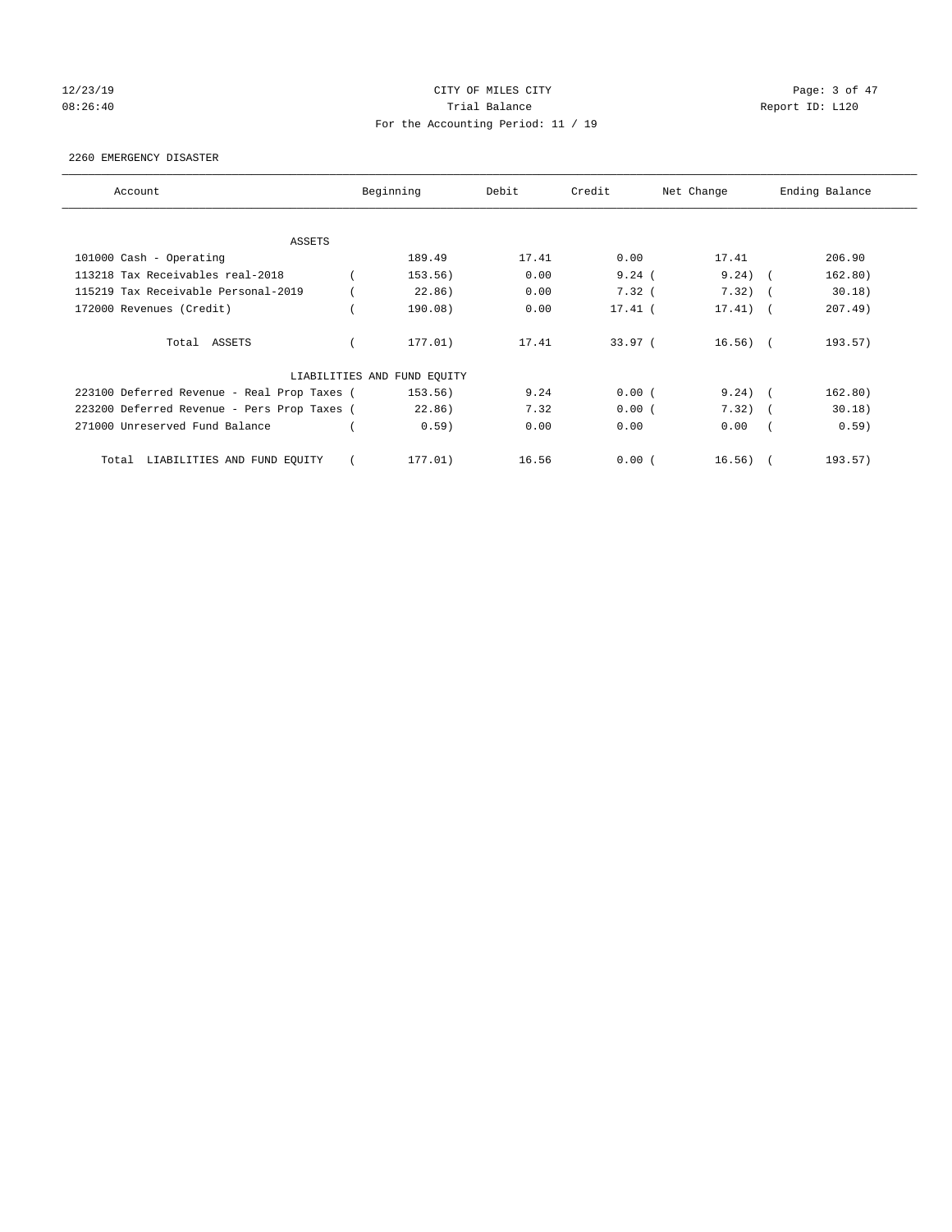# 12/23/19 CITY OF MILES CITY Page: 3 of 47 08:26:40 Report ID: L120 For the Accounting Period: 11 / 19

## 2260 EMERGENCY DISASTER

| Account                                     | Beginning                   | Debit | Credit    | Net Change |                          | Ending Balance |
|---------------------------------------------|-----------------------------|-------|-----------|------------|--------------------------|----------------|
| ASSETS                                      |                             |       |           |            |                          |                |
| 101000 Cash - Operating                     | 189.49                      | 17.41 | 0.00      | 17.41      |                          | 206.90         |
| 113218 Tax Receivables real-2018            | 153.56)                     | 0.00  | 9.24(     | $9.24)$ (  |                          | 162.80)        |
| 115219 Tax Receivable Personal-2019         | 22.86)                      | 0.00  | 7.32(     | 7.32)      |                          | 30.18)         |
| 172000 Revenues (Credit)                    | 190.08)                     | 0.00  | $17.41$ ( | 17.41)     | $\overline{\phantom{a}}$ | $207.49$ )     |
| Total ASSETS                                | 177.01)                     | 17.41 | 33.97(    | $16.56)$ ( |                          | 193.57)        |
|                                             | LIABILITIES AND FUND EQUITY |       |           |            |                          |                |
| 223100 Deferred Revenue - Real Prop Taxes ( | 153.56)                     | 9.24  | 0.00(     | $9.24)$ (  |                          | 162.80)        |
| 223200 Deferred Revenue - Pers Prop Taxes ( | 22.86)                      | 7.32  | 0.00(     | 7.32)      | $\sim$                   | 30.18)         |
| 271000 Unreserved Fund Balance              | 0.59)                       | 0.00  | 0.00      | 0.00       |                          | 0.59)          |
| LIABILITIES AND FUND EQUITY<br>Total        | 177.01)                     | 16.56 | 0.00(     | 16.56)     |                          | 193.57)        |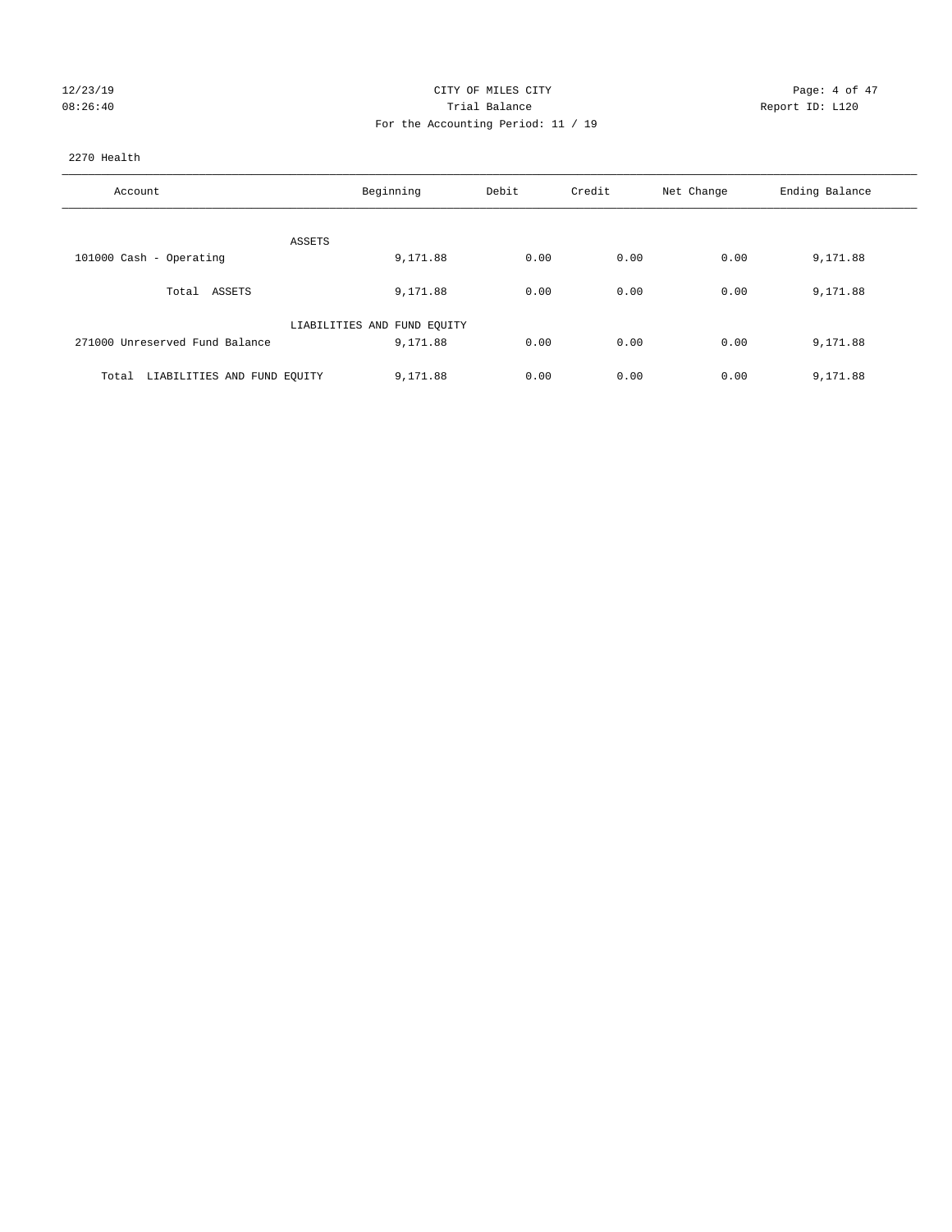| 12/23/19          |  |
|-------------------|--|
| $0.8.26 \cdot 10$ |  |

# CITY OF MILES CITY CONTROL CONTROL CITY CONTROL PAGE: 4 of 47 08:26:40 <br>Trial Balance Report ID: L120 For the Accounting Period: 11 / 19

## 2270 Health

| Account                              | Beginning                   | Debit | Credit | Net Change | Ending Balance |
|--------------------------------------|-----------------------------|-------|--------|------------|----------------|
|                                      |                             |       |        |            |                |
|                                      | ASSETS                      |       |        |            |                |
| 101000 Cash - Operating              | 9,171.88                    | 0.00  | 0.00   | 0.00       | 9,171.88       |
| Total ASSETS                         | 9,171.88                    | 0.00  | 0.00   | 0.00       | 9,171.88       |
|                                      | LIABILITIES AND FUND EQUITY |       |        |            |                |
| 271000 Unreserved Fund Balance       | 9,171.88                    | 0.00  | 0.00   | 0.00       | 9,171.88       |
|                                      |                             |       |        |            |                |
| LIABILITIES AND FUND EQUITY<br>Total | 9,171.88                    | 0.00  | 0.00   | 0.00       | 9,171.88       |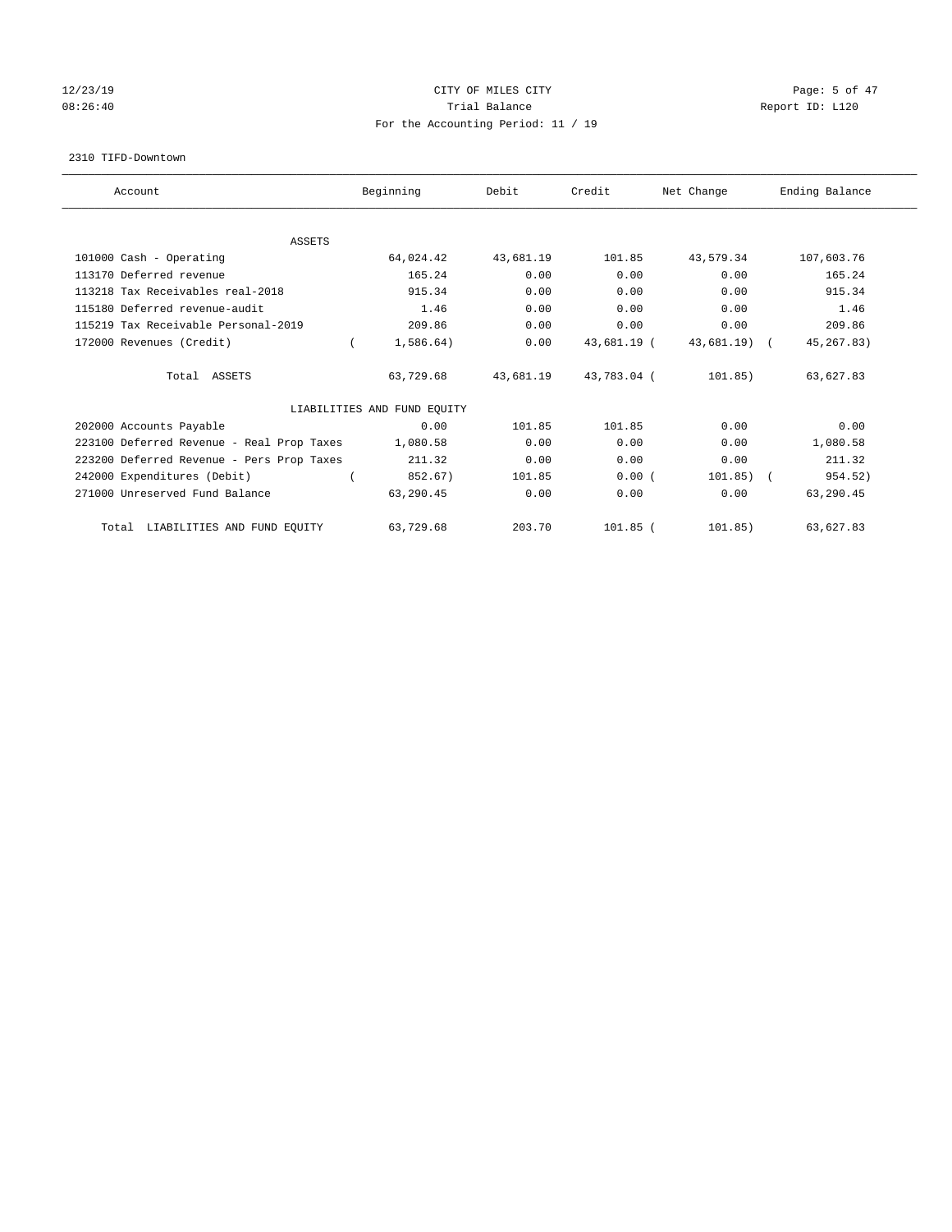# 12/23/19 CITY OF MILES CITY Page: 5 of 47 08:26:40 Report ID: L120 For the Accounting Period: 11 / 19

#### 2310 TIFD-Downtown

| Account                                   | Beginning                   | Debit     | Credit      | Net Change   | Ending Balance |
|-------------------------------------------|-----------------------------|-----------|-------------|--------------|----------------|
| <b>ASSETS</b>                             |                             |           |             |              |                |
| 101000 Cash - Operating                   | 64,024.42                   | 43,681.19 | 101.85      | 43,579.34    | 107,603.76     |
| 113170 Deferred revenue                   | 165.24                      | 0.00      | 0.00        | 0.00         | 165.24         |
| 113218 Tax Receivables real-2018          | 915.34                      | 0.00      | 0.00        | 0.00         | 915.34         |
| 115180 Deferred revenue-audit             | 1.46                        | 0.00      | 0.00        | 0.00         | 1.46           |
| 115219 Tax Receivable Personal-2019       | 209.86                      | 0.00      | 0.00        | 0.00         | 209.86         |
| 172000 Revenues (Credit)                  | 1,586.64)                   | 0.00      | 43,681.19 ( | 43,681.19) ( | 45, 267.83)    |
| Total ASSETS                              | 63,729.68                   | 43,681.19 | 43,783.04 ( | 101.85)      | 63,627.83      |
|                                           | LIABILITIES AND FUND EQUITY |           |             |              |                |
| 202000 Accounts Payable                   | 0.00                        | 101.85    | 101.85      | 0.00         | 0.00           |
| 223100 Deferred Revenue - Real Prop Taxes | 1,080.58                    | 0.00      | 0.00        | 0.00         | 1,080.58       |
| 223200 Deferred Revenue - Pers Prop Taxes | 211.32                      | 0.00      | 0.00        | 0.00         | 211.32         |
| 242000 Expenditures (Debit)               | 852.67)                     | 101.85    | 0.00(       | $101.85)$ (  | 954.52)        |
| 271000 Unreserved Fund Balance            | 63,290.45                   | 0.00      | 0.00        | 0.00         | 63,290.45      |
| LIABILITIES AND FUND EQUITY<br>Total      | 63,729.68                   | 203.70    | $101.85$ (  | 101.85)      | 63,627.83      |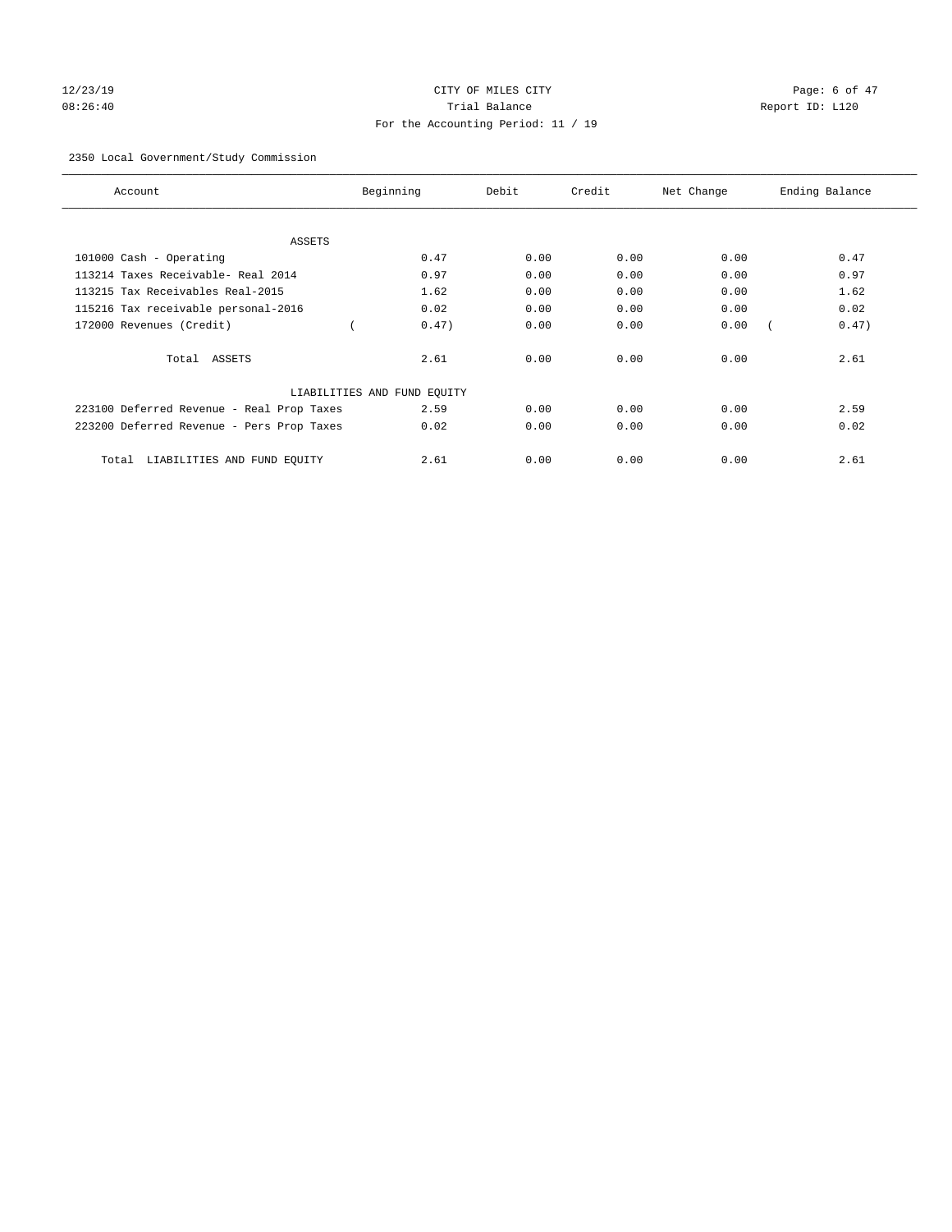# 12/23/19 CITY OF MILES CITY Page: 6 of 47 08:26:40 Trial Balance Report ID: L120 For the Accounting Period: 11 / 19

## 2350 Local Government/Study Commission

| Account                                   | Beginning                   | Debit | Credit | Net Change | Ending Balance |
|-------------------------------------------|-----------------------------|-------|--------|------------|----------------|
| ASSETS                                    |                             |       |        |            |                |
| 101000 Cash - Operating                   | 0.47                        | 0.00  | 0.00   | 0.00       | 0.47           |
| 113214 Taxes Receivable- Real 2014        | 0.97                        | 0.00  | 0.00   | 0.00       | 0.97           |
| 113215 Tax Receivables Real-2015          | 1.62                        | 0.00  | 0.00   | 0.00       | 1.62           |
| 115216 Tax receivable personal-2016       | 0.02                        | 0.00  | 0.00   | 0.00       | 0.02           |
| 172000 Revenues (Credit)                  | 0.47)                       | 0.00  | 0.00   | 0.00       | 0.47)          |
| Total ASSETS                              | 2.61                        | 0.00  | 0.00   | 0.00       | 2.61           |
|                                           | LIABILITIES AND FUND EQUITY |       |        |            |                |
| 223100 Deferred Revenue - Real Prop Taxes | 2.59                        | 0.00  | 0.00   | 0.00       | 2.59           |
| 223200 Deferred Revenue - Pers Prop Taxes | 0.02                        | 0.00  | 0.00   | 0.00       | 0.02           |
| LIABILITIES AND FUND EQUITY<br>Total      | 2.61                        | 0.00  | 0.00   | 0.00       | 2.61           |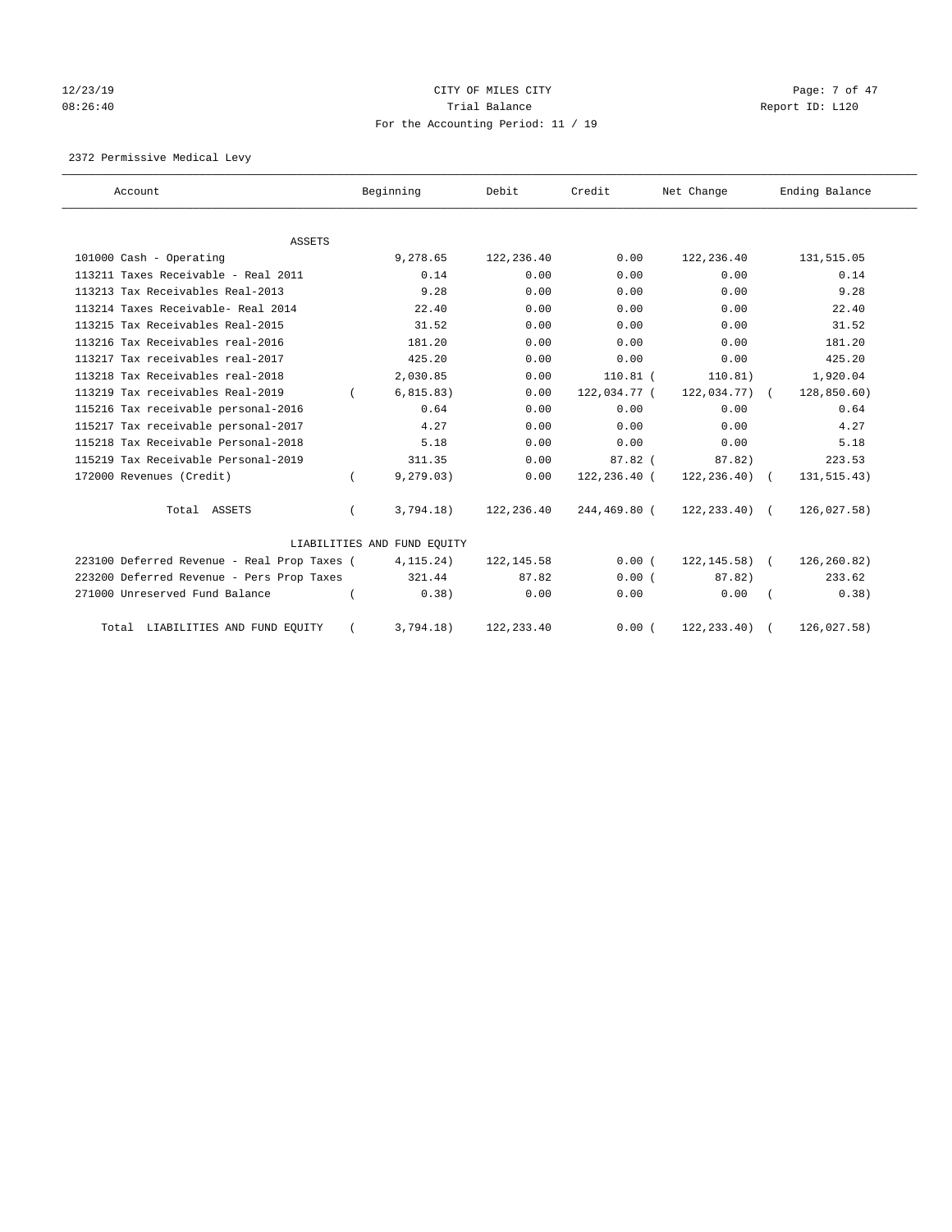# 12/23/19 CITY OF MILES CITY Page: 7 of 47 08:26:40 Trial Balance Report ID: L120 For the Accounting Period: 11 / 19

2372 Permissive Medical Levy

| Account                                     | Beginning                   | Debit       | Credit       | Net Change       | Ending Balance |
|---------------------------------------------|-----------------------------|-------------|--------------|------------------|----------------|
|                                             |                             |             |              |                  |                |
| <b>ASSETS</b>                               |                             |             |              |                  |                |
| 101000 Cash - Operating                     | 9,278.65                    | 122,236.40  | 0.00         | 122, 236.40      | 131,515.05     |
| 113211 Taxes Receivable - Real 2011         | 0.14                        | 0.00        | 0.00         | 0.00             | 0.14           |
| 113213 Tax Receivables Real-2013            | 9.28                        | 0.00        | 0.00         | 0.00             | 9.28           |
| 113214 Taxes Receivable- Real 2014          | 22.40                       | 0.00        | 0.00         | 0.00             | 22.40          |
| 113215 Tax Receivables Real-2015            | 31.52                       | 0.00        | 0.00         | 0.00             | 31.52          |
| 113216 Tax Receivables real-2016            | 181.20                      | 0.00        | 0.00         | 0.00             | 181.20         |
| 113217 Tax receivables real-2017            | 425.20                      | 0.00        | 0.00         | 0.00             | 425.20         |
| 113218 Tax Receivables real-2018            | 2,030.85                    | 0.00        | $110.81$ (   | 110.81)          | 1,920.04       |
| 113219 Tax receivables Real-2019            | 6, 815.83)                  | 0.00        | 122,034.77 ( | $122,034.77$ ) ( | 128,850.60)    |
| 115216 Tax receivable personal-2016         | 0.64                        | 0.00        | 0.00         | 0.00             | 0.64           |
| 115217 Tax receivable personal-2017         | 4.27                        | 0.00        | 0.00         | 0.00             | 4.27           |
| 115218 Tax Receivable Personal-2018         | 5.18                        | 0.00        | 0.00         | 0.00             | 5.18           |
| 115219 Tax Receivable Personal-2019         | 311.35                      | 0.00        | $87.82$ (    | 87.82)           | 223.53         |
| 172000 Revenues (Credit)                    | 9, 279.03)                  | 0.00        | 122,236.40 ( | $122, 236.40$ (  | 131, 515.43)   |
| Total ASSETS                                | 3,794.18)                   | 122,236.40  | 244,469.80 ( | $122, 233, 40$ ( | 126,027.58)    |
|                                             | LIABILITIES AND FUND EQUITY |             |              |                  |                |
| 223100 Deferred Revenue - Real Prop Taxes ( | 4, 115.24)                  | 122, 145.58 | 0.00(        | $122, 145.58$ (  | 126,260.82)    |
| 223200 Deferred Revenue - Pers Prop Taxes   | 321.44                      | 87.82       | 0.00(        | 87.82)           | 233.62         |
| 271000 Unreserved Fund Balance              | 0.38)                       | 0.00        | 0.00         | 0.00             | 0.38)          |
| Total LIABILITIES AND FUND EQUITY           | 3.794.18                    | 122, 233.40 | 0.00(        | 122, 233.40)     | 126,027.58)    |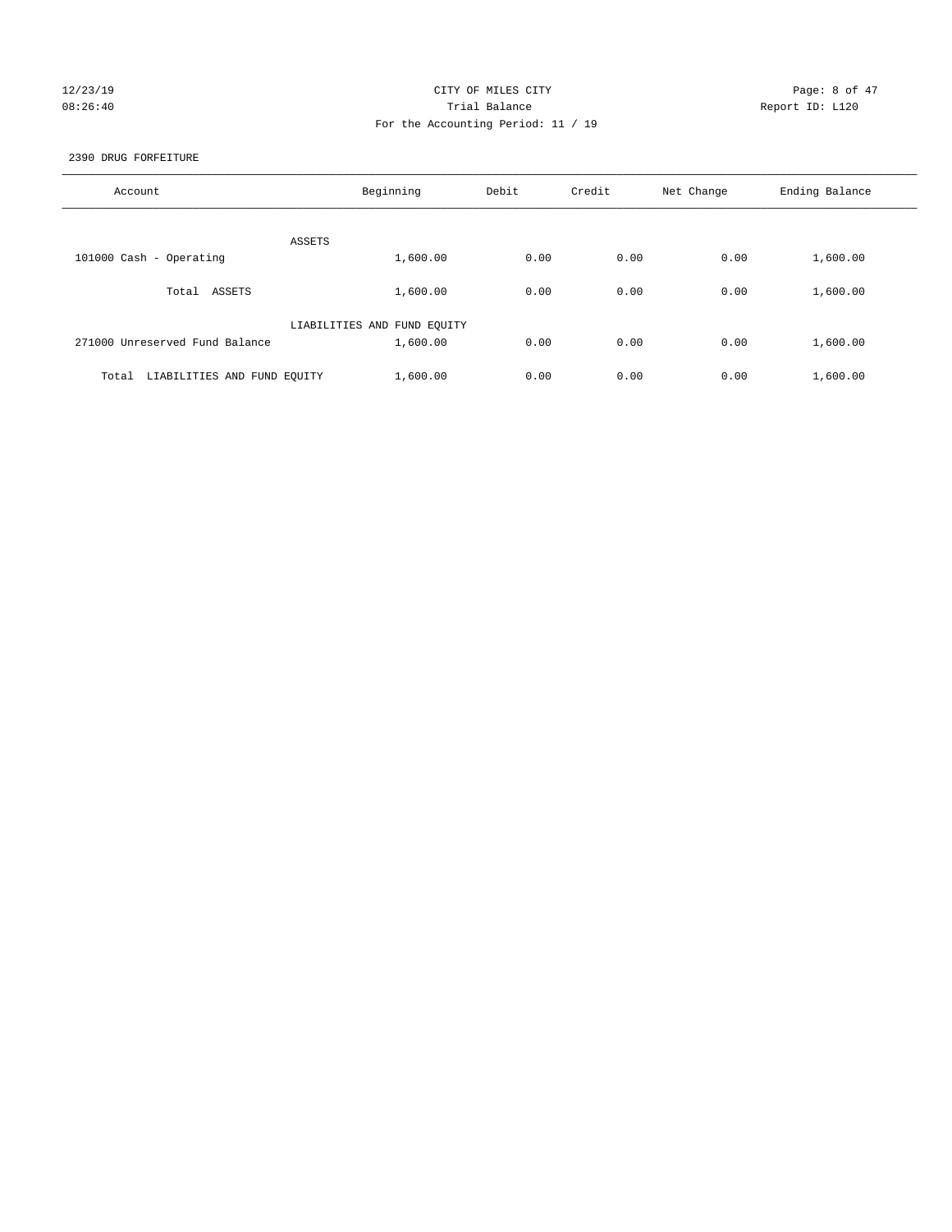## 12/23/19 CITY OF MILES CITY Page: 8 of 47 08:26:40 Report ID: L120 For the Accounting Period: 11 / 19

## 2390 DRUG FORFEITURE

| Account                              | Beginning                   | Debit | Credit | Net Change | Ending Balance |
|--------------------------------------|-----------------------------|-------|--------|------------|----------------|
|                                      |                             |       |        |            |                |
|                                      | ASSETS                      |       |        |            |                |
| 101000 Cash - Operating              | 1,600.00                    | 0.00  | 0.00   | 0.00       | 1,600.00       |
| ASSETS<br>Total                      | 1,600.00                    | 0.00  | 0.00   | 0.00       | 1,600.00       |
|                                      | LIABILITIES AND FUND EQUITY |       |        |            |                |
| 271000 Unreserved Fund Balance       | 1,600.00                    | 0.00  | 0.00   | 0.00       | 1,600.00       |
|                                      |                             |       |        |            |                |
| LIABILITIES AND FUND EQUITY<br>Total | 1,600.00                    | 0.00  | 0.00   | 0.00       | 1,600.00       |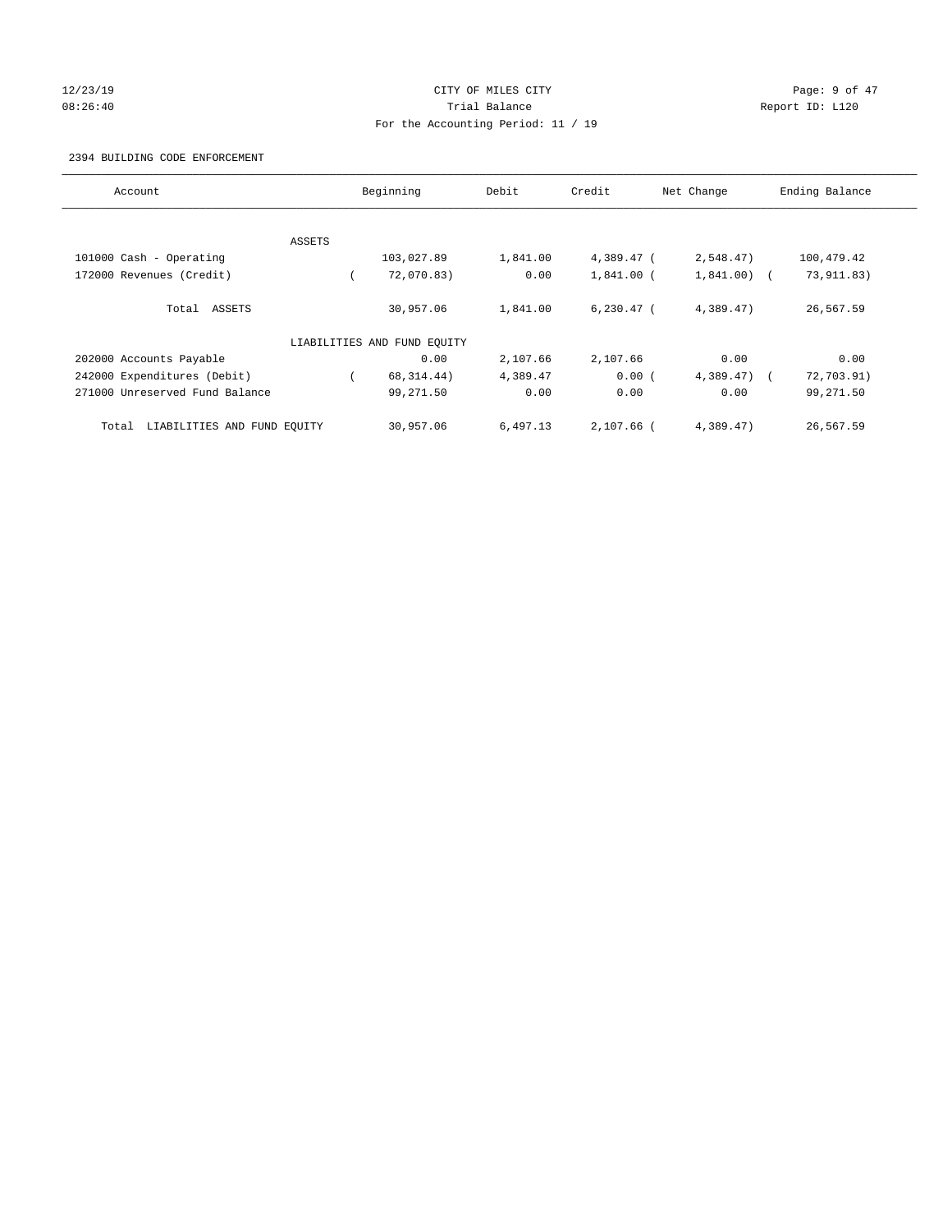## 12/23/19 CITY OF MILES CITY Page: 9 of 47 08:26:40 Trial Balance Report ID: L120 For the Accounting Period: 11 / 19

## 2394 BUILDING CODE ENFORCEMENT

| Account                              |        | Beginning                   | Debit    | Credit       | Net Change   | Ending Balance |
|--------------------------------------|--------|-----------------------------|----------|--------------|--------------|----------------|
|                                      |        |                             |          |              |              |                |
|                                      | ASSETS |                             |          |              |              |                |
| 101000 Cash - Operating              |        | 103,027.89                  | 1,841.00 | 4,389.47 (   | 2,548.47)    | 100,479.42     |
| 172000 Revenues (Credit)             |        | 72,070.83)                  | 0.00     | $1,841.00$ ( | $1,841.00$ ( | 73, 911.83)    |
| Total ASSETS                         |        | 30,957.06                   | 1,841.00 | $6,230.47$ ( | 4,389.47)    | 26,567.59      |
|                                      |        | LIABILITIES AND FUND EQUITY |          |              |              |                |
| 202000 Accounts Payable              |        | 0.00                        | 2,107.66 | 2,107.66     | 0.00         | 0.00           |
| 242000 Expenditures (Debit)          |        | 68, 314.44)                 | 4,389.47 | 0.00(        | $4,389.47$ ( | 72,703.91)     |
| 271000 Unreserved Fund Balance       |        | 99,271.50                   | 0.00     | 0.00         | 0.00         | 99,271.50      |
| LIABILITIES AND FUND EQUITY<br>Total |        | 30,957.06                   | 6,497.13 | $2.107.66$ ( | 4.389.47     | 26,567.59      |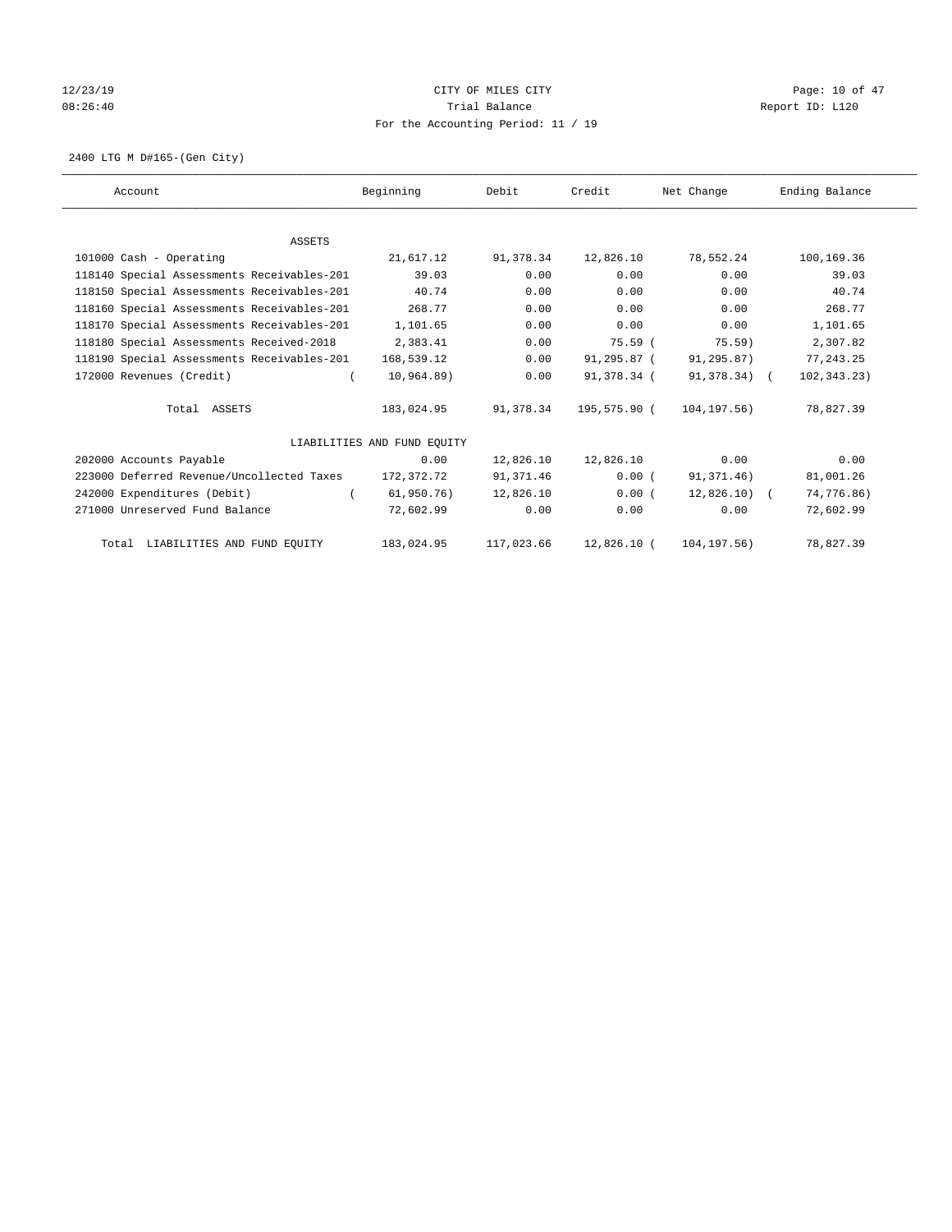# 12/23/19 Page: 10 of 47 08:26:40 Trial Balance Report ID: L120 For the Accounting Period: 11 / 19

2400 LTG M D#165-(Gen City)

| Account                                    | Beginning                   | Debit      | Credit       | Net Change    | Ending Balance |
|--------------------------------------------|-----------------------------|------------|--------------|---------------|----------------|
|                                            |                             |            |              |               |                |
| <b>ASSETS</b>                              |                             |            |              |               |                |
| 101000 Cash - Operating                    | 21,617.12                   | 91,378.34  | 12,826.10    | 78,552.24     | 100,169.36     |
| 118140 Special Assessments Receivables-201 | 39.03                       | 0.00       | 0.00         | 0.00          | 39.03          |
| 118150 Special Assessments Receivables-201 | 40.74                       | 0.00       | 0.00         | 0.00          | 40.74          |
| 118160 Special Assessments Receivables-201 | 268.77                      | 0.00       | 0.00         | 0.00          | 268.77         |
| 118170 Special Assessments Receivables-201 | 1,101.65                    | 0.00       | 0.00         | 0.00          | 1,101.65       |
| 118180 Special Assessments Received-2018   | 2,383.41                    | 0.00       | 75.59(       | 75.59)        | 2,307.82       |
| 118190 Special Assessments Receivables-201 | 168,539.12                  | 0.00       | 91,295.87 (  | 91,295.87)    | 77, 243.25     |
| 172000 Revenues (Credit)                   | 10,964.89)                  | 0.00       | 91,378.34 (  | 91,378.34) (  | 102,343.23)    |
| Total ASSETS                               | 183,024.95                  | 91,378.34  | 195,575.90 ( | 104,197.56)   | 78,827.39      |
|                                            | LIABILITIES AND FUND EQUITY |            |              |               |                |
| 202000 Accounts Payable                    | 0.00                        | 12,826.10  | 12,826.10    | 0.00          | 0.00           |
| 223000 Deferred Revenue/Uncollected Taxes  | 172,372.72                  | 91,371.46  | 0.00(        | 91,371.46)    | 81,001.26      |
| 242000 Expenditures (Debit)                | 61,950.76)                  | 12,826.10  | 0.00(        | $12,826.10$ ( | 74,776.86)     |
| 271000 Unreserved Fund Balance             | 72,602.99                   | 0.00       | 0.00         | 0.00          | 72,602.99      |
| Total LIABILITIES AND FUND EQUITY          | 183,024.95                  | 117,023.66 | 12,826.10 (  | 104, 197.56)  | 78,827.39      |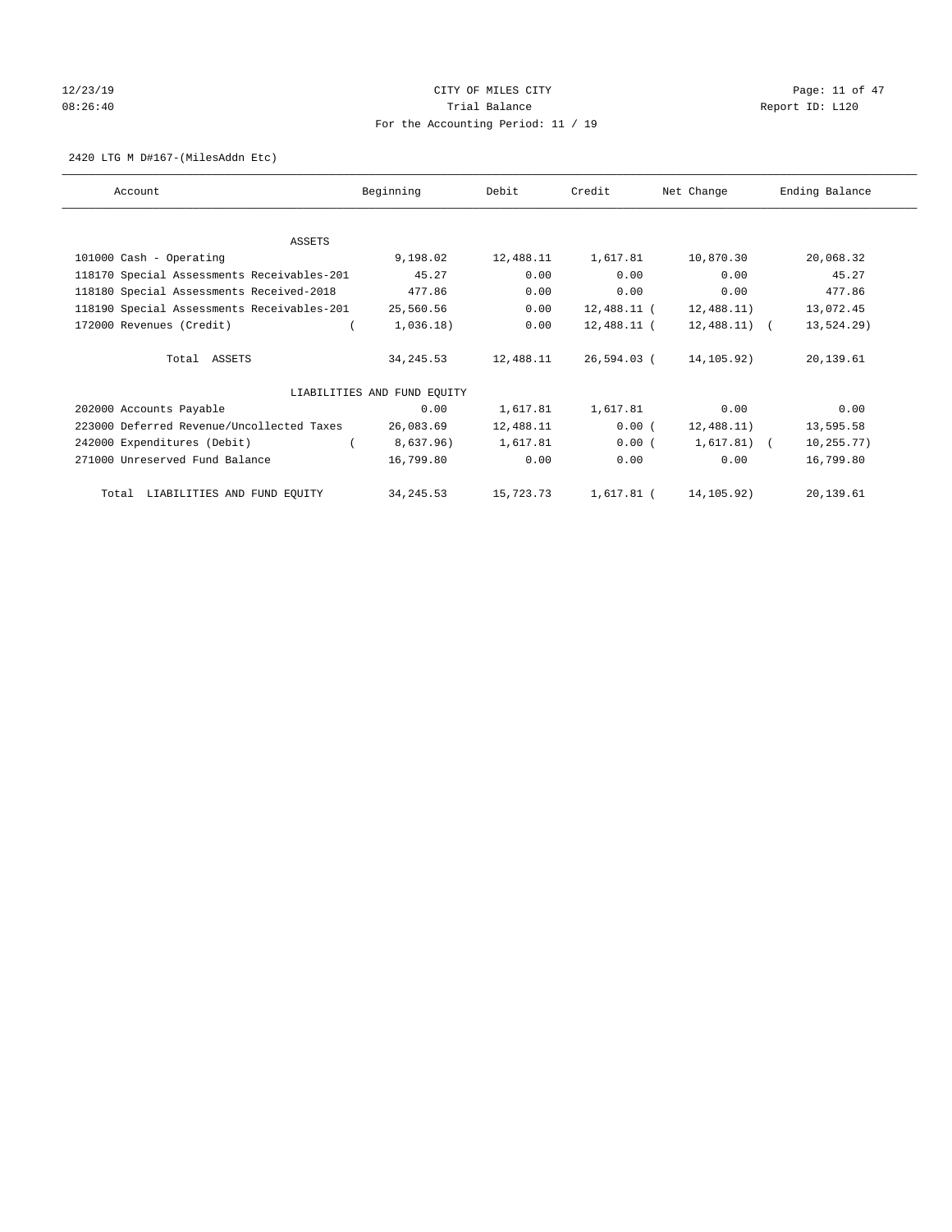# $12/23/19$  Page: 11 of 47 08:26:40 Report ID: L120 For the Accounting Period: 11 / 19

2420 LTG M D#167-(MilesAddn Etc)

| Account                                    | Beginning                   | Debit     | Credit      | Net Change   | Ending Balance |
|--------------------------------------------|-----------------------------|-----------|-------------|--------------|----------------|
| ASSETS                                     |                             |           |             |              |                |
| 101000 Cash - Operating                    | 9,198.02                    | 12,488.11 | 1,617.81    | 10,870.30    | 20,068.32      |
| 118170 Special Assessments Receivables-201 | 45.27                       | 0.00      | 0.00        | 0.00         | 45.27          |
| 118180 Special Assessments Received-2018   | 477.86                      | 0.00      | 0.00        | 0.00         | 477.86         |
| 118190 Special Assessments Receivables-201 | 25,560.56                   | 0.00      | 12,488.11 ( | 12,488.11)   | 13,072.45      |
| 172000 Revenues (Credit)                   | 1,036.18)                   | 0.00      | 12,488.11 ( | 12,488.11) ( | 13,524.29)     |
| Total ASSETS                               | 34, 245.53                  | 12,488.11 | 26,594.03 ( | 14,105.92)   | 20,139.61      |
|                                            | LIABILITIES AND FUND EQUITY |           |             |              |                |
| 202000 Accounts Payable                    | 0.00                        | 1,617.81  | 1,617.81    | 0.00         | 0.00           |
| 223000 Deferred Revenue/Uncollected Taxes  | 26,083.69                   | 12,488.11 | $0.00$ (    | 12,488.11)   | 13,595.58      |
| 242000 Expenditures (Debit)                | 8,637.96)                   | 1,617.81  | 0.00(       | $1,617.81$ ( | 10, 255.77)    |
| 271000 Unreserved Fund Balance             | 16,799.80                   | 0.00      | 0.00        | 0.00         | 16,799.80      |
| LIABILITIES AND FUND EQUITY<br>Total       | 34, 245.53                  | 15,723.73 | 1,617.81 (  | 14,105.92)   | 20,139.61      |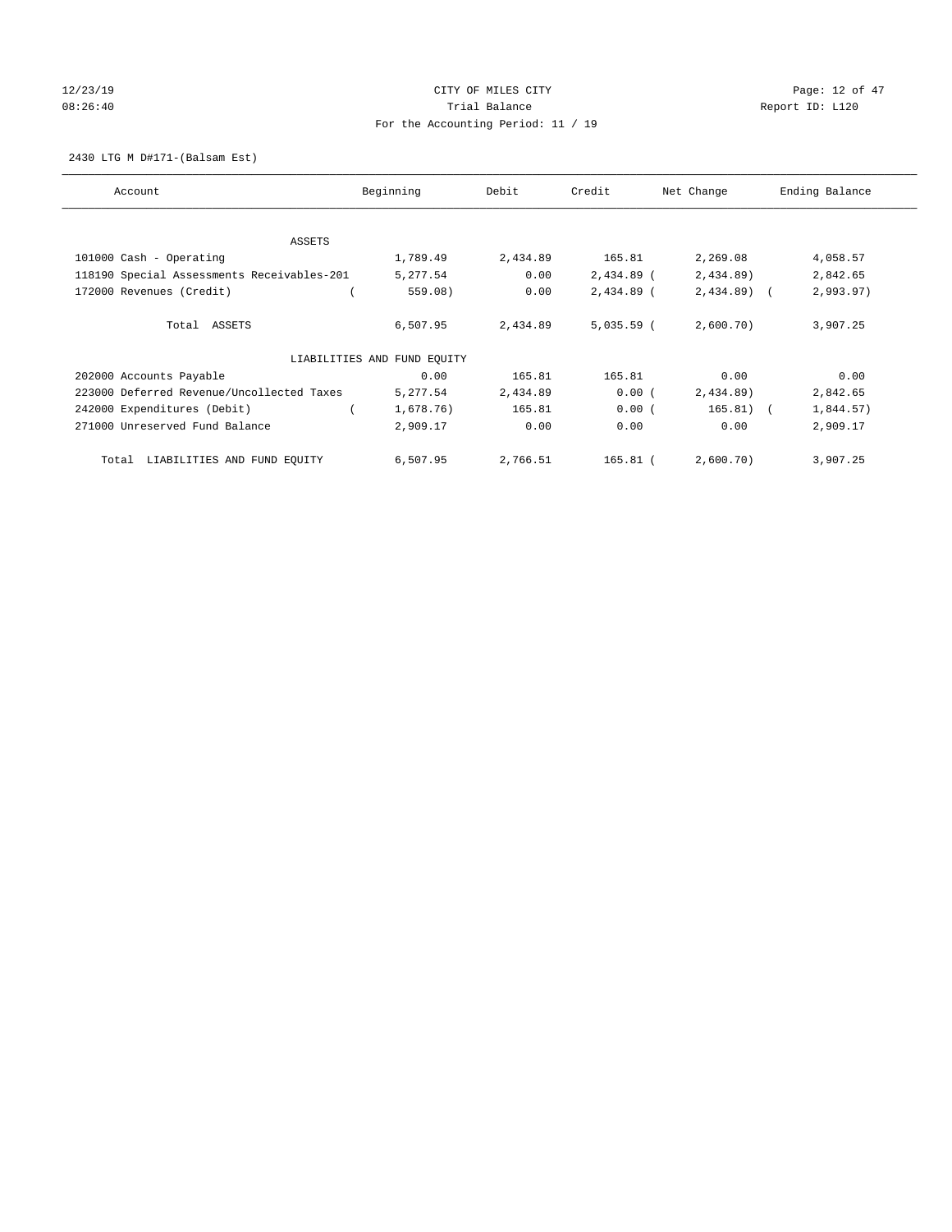# $12/23/19$  Page: 12 of 47 08:26:40 Report ID: L120 For the Accounting Period: 11 / 19

2430 LTG M D#171-(Balsam Est)

| Account                                    | Beginning                   | Debit    | Credit       | Net Change   | Ending Balance |
|--------------------------------------------|-----------------------------|----------|--------------|--------------|----------------|
| ASSETS                                     |                             |          |              |              |                |
| 101000 Cash - Operating                    | 1,789.49                    | 2,434.89 | 165.81       | 2,269.08     | 4,058.57       |
| 118190 Special Assessments Receivables-201 | 5,277.54                    | 0.00     | $2,434.89$ ( | 2,434.89)    | 2,842.65       |
| 172000 Revenues (Credit)                   | 559.08)                     | 0.00     | 2,434.89 (   | $2,434.89$ ( | 2,993.97)      |
| Total ASSETS                               | 6,507.95                    | 2,434.89 | $5,035.59$ ( | 2,600.70)    | 3,907.25       |
|                                            | LIABILITIES AND FUND EQUITY |          |              |              |                |
| 202000 Accounts Payable                    | 0.00                        | 165.81   | 165.81       | 0.00         | 0.00           |
| 223000 Deferred Revenue/Uncollected Taxes  | 5,277.54                    | 2,434.89 | 0.00(        | 2,434.89     | 2,842.65       |
| 242000 Expenditures (Debit)                | 1,678.76)                   | 165.81   | 0.00(        | $165.81)$ (  | 1,844.57)      |
| 271000 Unreserved Fund Balance             | 2,909.17                    | 0.00     | 0.00         | 0.00         | 2,909.17       |
| LIABILITIES AND FUND EQUITY<br>Total       | 6,507.95                    | 2,766.51 | 165.81 (     | 2,600.70)    | 3,907.25       |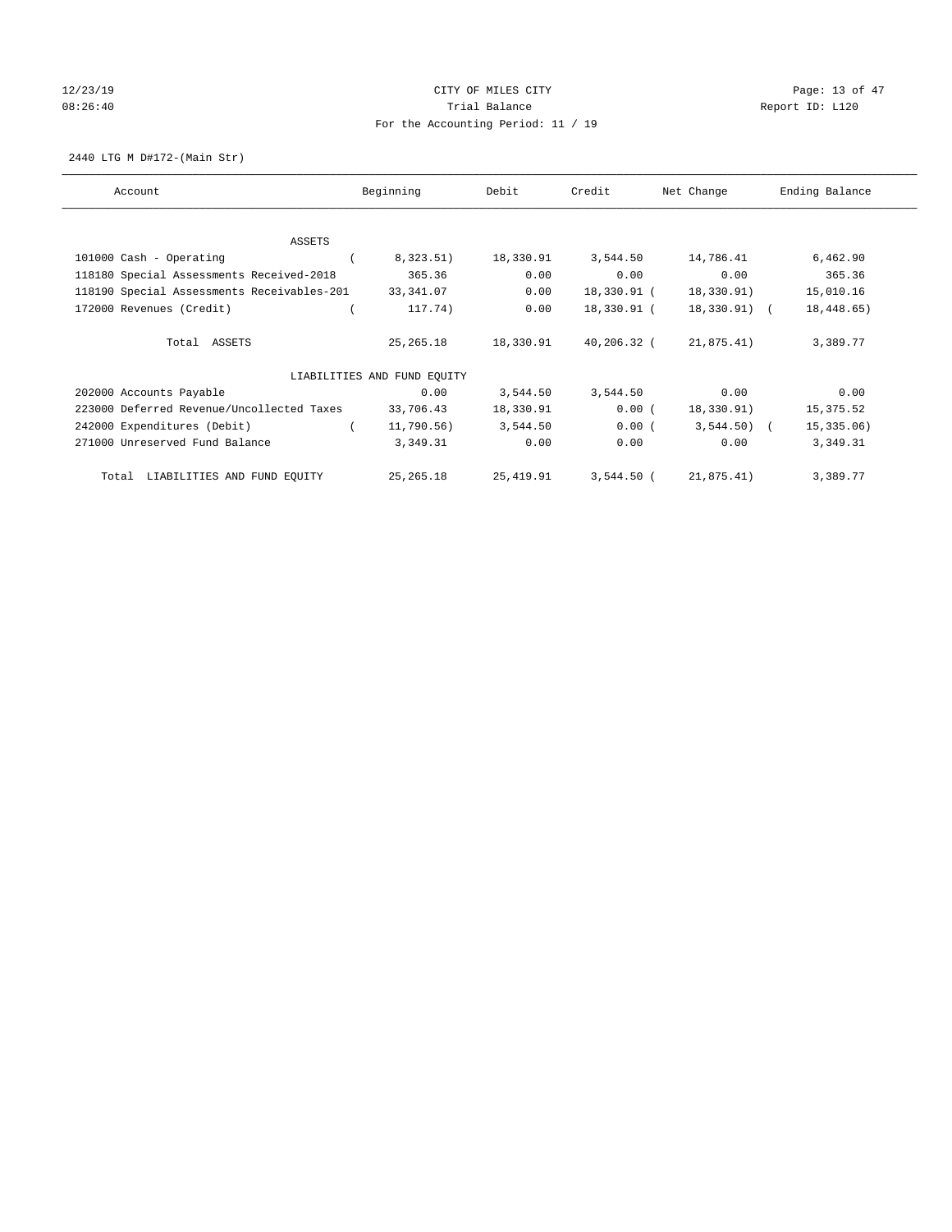# $12/23/19$  Page: 13 of 47 08:26:40 Report ID: L120 For the Accounting Period: 11 / 19

2440 LTG M D#172-(Main Str)

| Account                                    | Beginning                   | Debit      | Credit       | Net Change   | Ending Balance |
|--------------------------------------------|-----------------------------|------------|--------------|--------------|----------------|
|                                            |                             |            |              |              |                |
| <b>ASSETS</b><br>101000 Cash - Operating   | 8,323.51)                   | 18,330.91  | 3,544.50     | 14,786.41    | 6,462.90       |
| 118180 Special Assessments Received-2018   | 365.36                      | 0.00       | 0.00         | 0.00         | 365.36         |
|                                            |                             |            |              |              |                |
| 118190 Special Assessments Receivables-201 | 33,341.07                   | 0.00       | 18,330.91 (  | 18,330.91)   | 15,010.16      |
| 172000 Revenues (Credit)                   | 117.74)                     | 0.00       | 18,330.91 (  | 18,330.91) ( | 18,448.65)     |
|                                            |                             |            |              |              |                |
| Total ASSETS                               | 25, 265. 18                 | 18,330.91  | 40,206.32 (  | 21,875.41)   | 3,389.77       |
|                                            |                             |            |              |              |                |
|                                            | LIABILITIES AND FUND EQUITY |            |              |              |                |
| 202000 Accounts Payable                    | 0.00                        | 3,544.50   | 3,544.50     | 0.00         | 0.00           |
| 223000 Deferred Revenue/Uncollected Taxes  | 33,706.43                   | 18,330.91  | 0.00(        | 18,330.91)   | 15,375.52      |
| 242000 Expenditures (Debit)                | 11,790.56)                  | 3,544.50   | 0.00(        | $3,544.50$ ( | 15,335.06)     |
| 271000 Unreserved Fund Balance             | 3,349.31                    | 0.00       | 0.00         | 0.00         | 3,349.31       |
|                                            |                             |            |              |              |                |
| LIABILITIES AND FUND EQUITY<br>Total       | 25, 265. 18                 | 25, 419.91 | $3,544.50$ ( | 21,875.41)   | 3,389.77       |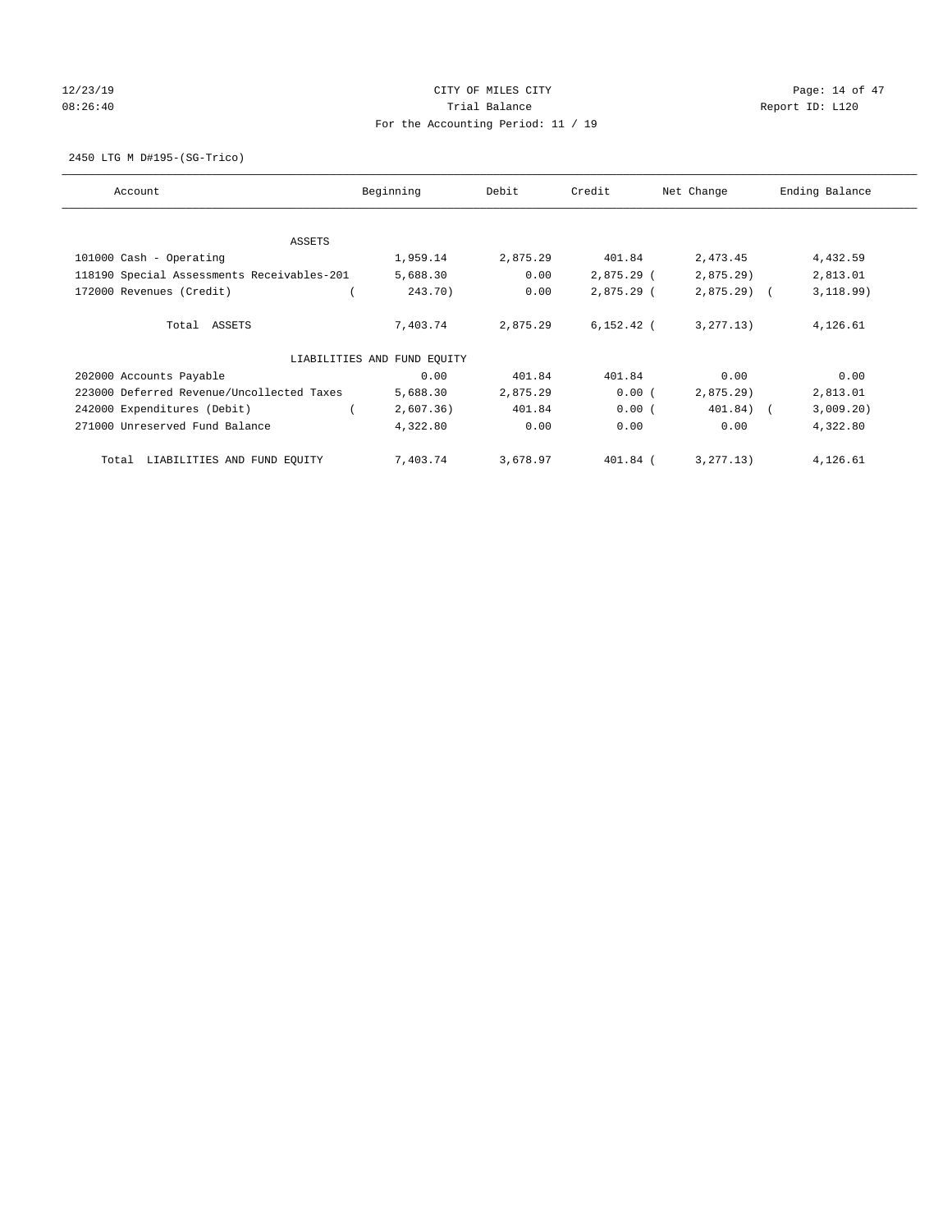# $12/23/19$  Page: 14 of 47 08:26:40 Report ID: L120 For the Accounting Period: 11 / 19

2450 LTG M D#195-(SG-Trico)

| Account                                    | Beginning                   | Debit    | Credit       | Net Change   | Ending Balance |
|--------------------------------------------|-----------------------------|----------|--------------|--------------|----------------|
| ASSETS                                     |                             |          |              |              |                |
| 101000 Cash - Operating                    | 1,959.14                    | 2,875.29 | 401.84       | 2,473.45     | 4,432.59       |
| 118190 Special Assessments Receivables-201 | 5,688.30                    | 0.00     | $2,875.29$ ( | 2,875.29     | 2,813.01       |
| 172000 Revenues (Credit)                   | 243.70)                     | 0.00     | $2,875.29$ ( | $2,875.29$ ( | 3,118.99)      |
| Total ASSETS                               | 7,403.74                    | 2,875.29 | $6,152.42$ ( | 3, 277, 13)  | 4,126.61       |
|                                            | LIABILITIES AND FUND EQUITY |          |              |              |                |
| 202000 Accounts Payable                    | 0.00                        | 401.84   | 401.84       | 0.00         | 0.00           |
| 223000 Deferred Revenue/Uncollected Taxes  | 5,688.30                    | 2,875.29 | 0.00(        | 2,875.29     | 2,813.01       |
| 242000 Expenditures (Debit)                | 2,607.36)                   | 401.84   | 0.00(        | 401.84) (    | 3,009.20)      |
| 271000 Unreserved Fund Balance             | 4,322.80                    | 0.00     | 0.00         | 0.00         | 4,322.80       |
| LIABILITIES AND FUND EQUITY<br>Total       | 7,403.74                    | 3,678.97 | 401.84 (     | 3, 277.13)   | 4,126.61       |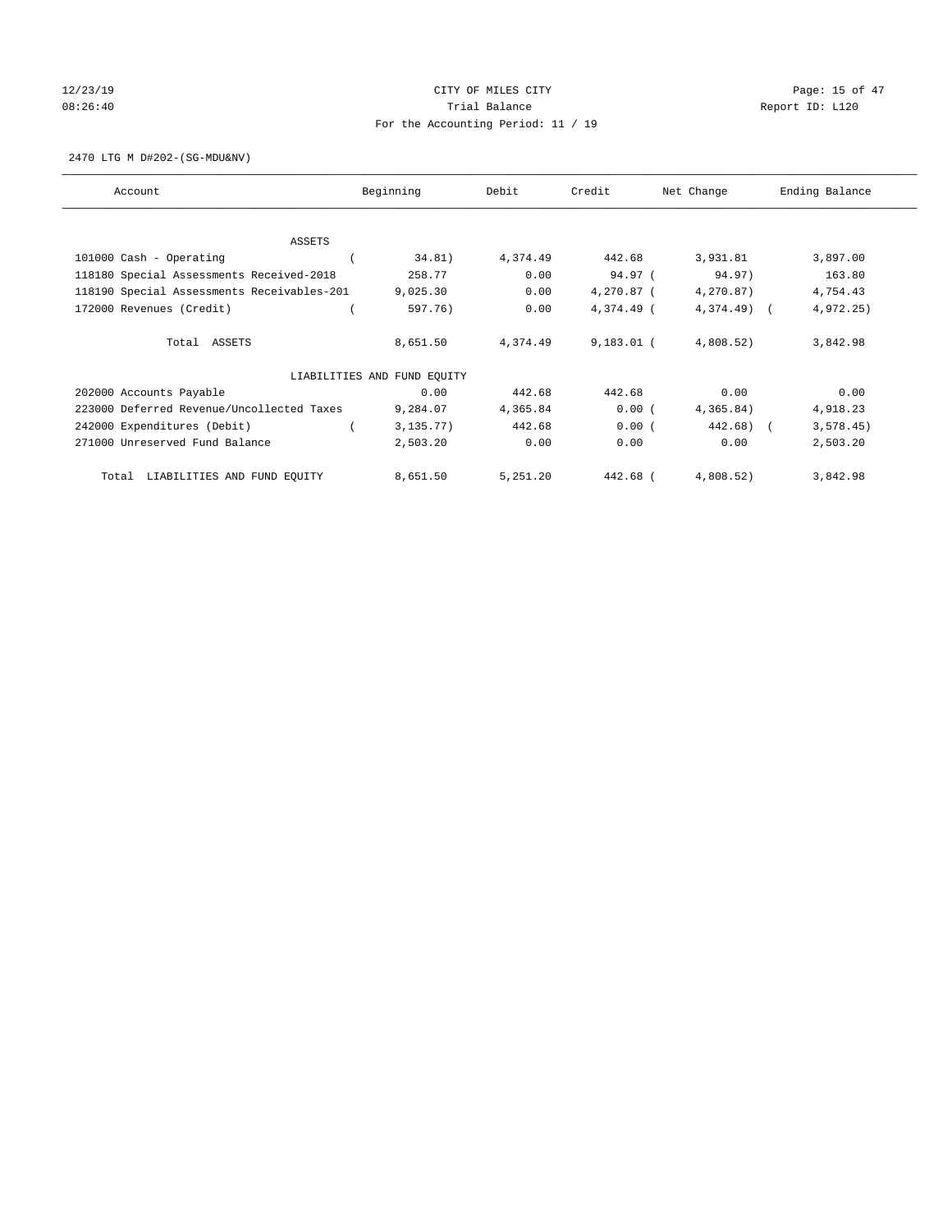# $12/23/19$  Page: 15 of 47 08:26:40 Report ID: L120 For the Accounting Period: 11 / 19

2470 LTG M D#202-(SG-MDU&NV)

| Account                                    | Beginning                   | Debit    | Credit       | Net Change   | Ending Balance |
|--------------------------------------------|-----------------------------|----------|--------------|--------------|----------------|
| <b>ASSETS</b>                              |                             |          |              |              |                |
| 101000 Cash - Operating                    | 34.81)                      | 4,374.49 | 442.68       | 3,931.81     | 3,897.00       |
| 118180 Special Assessments Received-2018   | 258.77                      | 0.00     | 94.97 (      | 94.97)       | 163.80         |
| 118190 Special Assessments Receivables-201 | 9,025.30                    | 0.00     | 4,270.87 (   | 4,270.87)    | 4,754.43       |
| 172000 Revenues (Credit)                   | 597.76)                     | 0.00     | 4,374.49 (   | $4,374.49$ ( | 4,972.25)      |
|                                            |                             |          |              |              |                |
| Total ASSETS                               | 8,651.50                    | 4,374.49 | $9,183.01$ ( | 4,808.52)    | 3,842.98       |
|                                            |                             |          |              |              |                |
|                                            | LIABILITIES AND FUND EQUITY |          |              |              |                |
| 202000 Accounts Payable                    | 0.00                        | 442.68   | 442.68       | 0.00         | 0.00           |
| 223000 Deferred Revenue/Uncollected Taxes  | 9,284.07                    | 4,365.84 | 0.00(        | 4,365.84)    | 4,918.23       |
| 242000 Expenditures (Debit)                | 3, 135.77)                  | 442.68   | 0.00(        | 442.68)      | 3, 578.45)     |
| 271000 Unreserved Fund Balance             | 2,503.20                    | 0.00     | 0.00         | 0.00         | 2,503.20       |
|                                            |                             |          |              |              |                |
| LIABILITIES AND FUND EQUITY<br>Total       | 8,651.50                    | 5,251.20 | 442.68 (     | 4,808.52)    | 3,842.98       |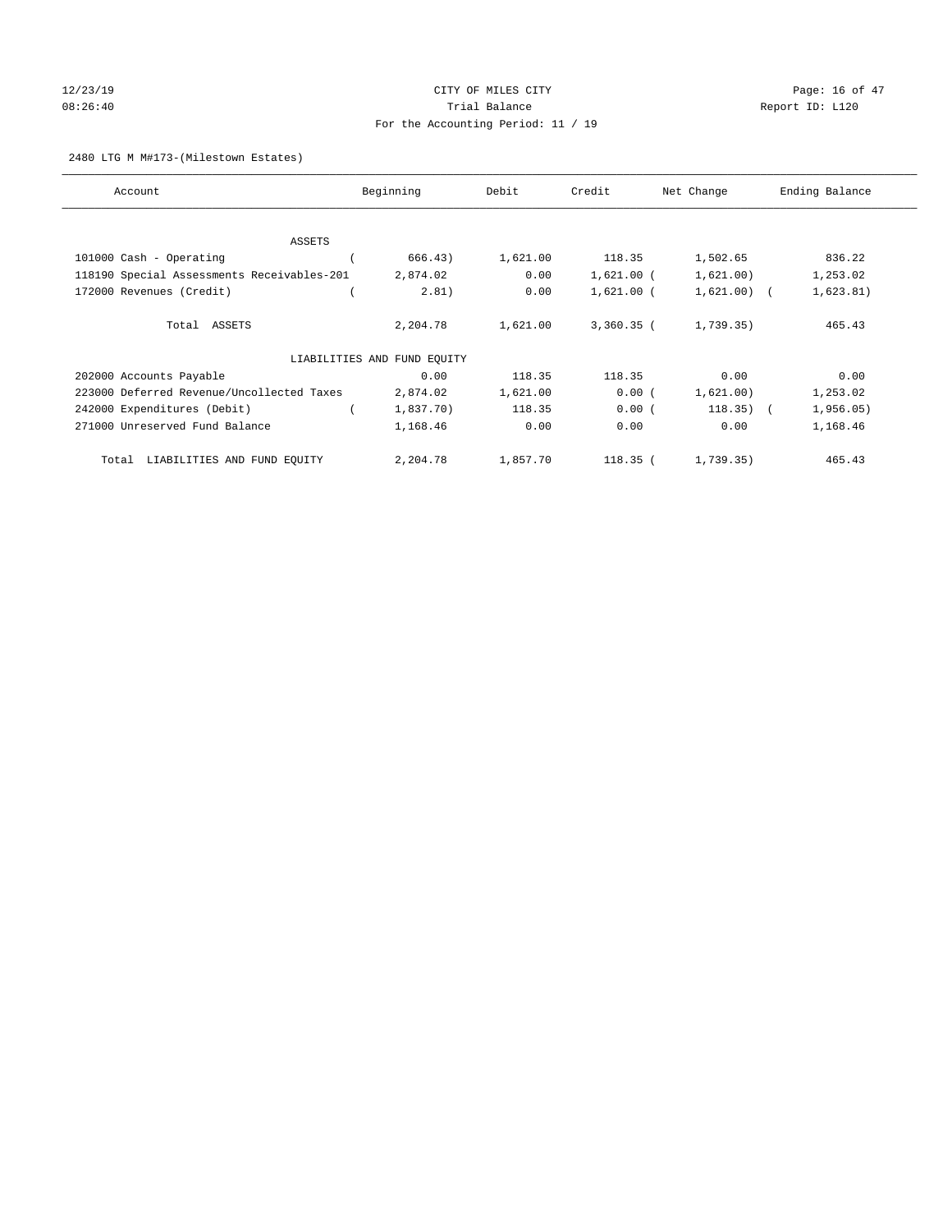# $12/23/19$  Page: 16 of 47 08:26:40 Trial Balance Report ID: L120 For the Accounting Period: 11 / 19

## 2480 LTG M M#173-(Milestown Estates)

| Account                                    | Beginning                   | Debit    | Credit       | Net Change    | Ending Balance |
|--------------------------------------------|-----------------------------|----------|--------------|---------------|----------------|
|                                            |                             |          |              |               |                |
| ASSETS                                     |                             |          |              |               |                |
| 101000 Cash - Operating                    | 666.43)                     | 1,621.00 | 118.35       | 1,502.65      | 836.22         |
| 118190 Special Assessments Receivables-201 | 2,874.02                    | 0.00     | $1,621.00$ ( | 1,621.00)     | 1,253.02       |
| 172000 Revenues (Credit)                   | 2.81)                       | 0.00     | $1,621.00$ ( | $1,621.00)$ ( | 1,623.81)      |
| Total ASSETS                               | 2,204.78                    | 1,621.00 | $3,360.35$ ( | 1,739.35)     | 465.43         |
|                                            | LIABILITIES AND FUND EQUITY |          |              |               |                |
| 202000 Accounts Payable                    | 0.00                        | 118.35   | 118.35       | 0.00          | 0.00           |
| 223000 Deferred Revenue/Uncollected Taxes  | 2,874.02                    | 1,621.00 | 0.00(        | 1,621.00)     | 1,253.02       |
| 242000 Expenditures (Debit)                | 1,837.70)                   | 118.35   | 0.00(        | $118.35)$ (   | 1,956.05)      |
| 271000 Unreserved Fund Balance             | 1,168.46                    | 0.00     | 0.00         | 0.00          | 1,168.46       |
| LIABILITIES AND FUND EQUITY<br>Total       | 2,204.78                    | 1,857.70 | 118.35 (     | 1,739.35)     | 465.43         |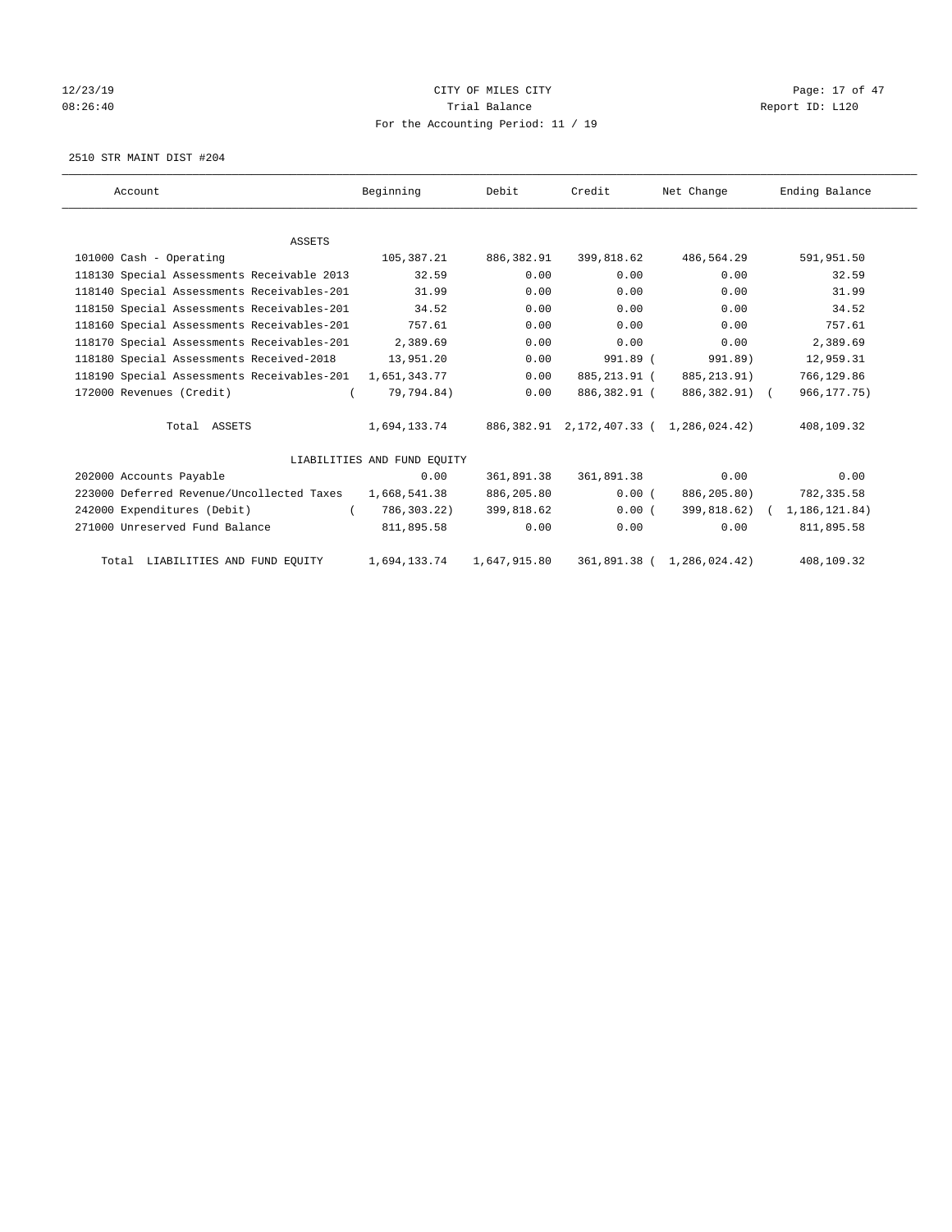# 12/23/19 **CITY OF MILES CITY CITY CITY Page: 17 of 47** 08:26:40 Report ID: L120 For the Accounting Period: 11 / 19

2510 STR MAINT DIST #204

| Account                                                 | Beginning                   | Debit        | Credit                                  | Net Change                 | Ending Balance              |
|---------------------------------------------------------|-----------------------------|--------------|-----------------------------------------|----------------------------|-----------------------------|
|                                                         |                             |              |                                         |                            |                             |
| ASSETS                                                  |                             |              |                                         |                            |                             |
| 101000 Cash - Operating                                 | 105,387.21                  | 886,382.91   | 399,818.62                              | 486,564.29                 | 591,951.50                  |
| 118130 Special Assessments Receivable 2013              | 32.59                       | 0.00         | 0.00                                    | 0.00                       | 32.59                       |
| 118140 Special Assessments Receivables-201              | 31.99                       | 0.00         | 0.00                                    | 0.00                       | 31.99                       |
| 118150 Special Assessments Receivables-201              | 34.52                       | 0.00         | 0.00                                    | 0.00                       | 34.52                       |
| 118160 Special Assessments Receivables-201              | 757.61                      | 0.00         | 0.00                                    | 0.00                       | 757.61                      |
| 118170 Special Assessments Receivables-201              | 2,389.69                    | 0.00         | 0.00                                    | 0.00                       | 2,389.69                    |
| 118180 Special Assessments Received-2018                | 13,951.20                   | 0.00         | 991.89 (                                | 991.89)                    | 12,959.31                   |
| 118190 Special Assessments Receivables-201 1,651,343.77 |                             | 0.00         | 885,213.91 (                            | 885, 213.91)               | 766,129.86                  |
| 172000 Revenues (Credit)                                | 79,794.84)                  | 0.00         | 886,382.91 (                            | 886,382.91) (              | 966, 177. 75)               |
| Total ASSETS                                            | 1,694,133.74                |              | 886,382.91 2,172,407.33 ( 1,286,024.42) |                            | 408,109.32                  |
|                                                         | LIABILITIES AND FUND EQUITY |              |                                         |                            |                             |
| 202000 Accounts Payable                                 | 0.00                        | 361,891.38   | 361,891.38                              | 0.00                       | 0.00                        |
| 223000 Deferred Revenue/Uncollected Taxes               | 1,668,541.38                | 886,205.80   | 0.00(                                   | 886,205.80)                | 782,335.58                  |
| 242000 Expenditures (Debit)                             | 786,303.22)                 | 399,818.62   | 0.00(                                   |                            | 399,818.62) ( 1,186,121.84) |
| 271000 Unreserved Fund Balance                          | 811,895.58                  | 0.00         | 0.00                                    | 0.00                       | 811,895.58                  |
| Total LIABILITIES AND FUND EQUITY                       | 1,694,133.74                | 1,647,915.80 |                                         | 361,891.38 ( 1,286,024.42) | 408,109.32                  |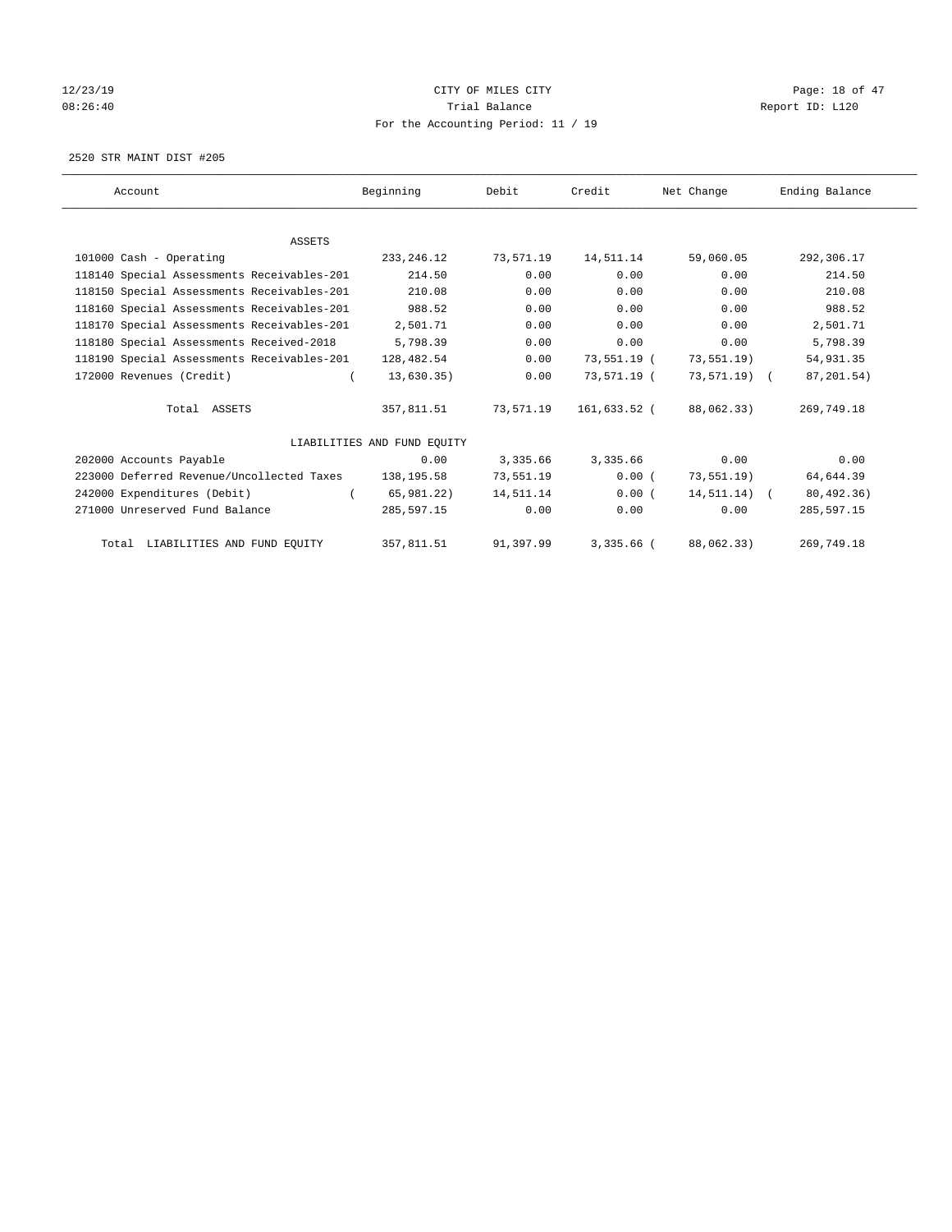# 12/23/19 Page: 18 of 47 08:26:40 Report ID: L120 For the Accounting Period: 11 / 19

2520 STR MAINT DIST #205

| Account                                    | Beginning                   | Debit     | Credit       | Net Change     | Ending Balance |
|--------------------------------------------|-----------------------------|-----------|--------------|----------------|----------------|
|                                            |                             |           |              |                |                |
| <b>ASSETS</b>                              |                             |           |              |                |                |
| 101000 Cash - Operating                    | 233, 246. 12                | 73,571.19 | 14,511.14    | 59,060.05      | 292,306.17     |
| 118140 Special Assessments Receivables-201 | 214.50                      | 0.00      | 0.00         | 0.00           | 214.50         |
| 118150 Special Assessments Receivables-201 | 210.08                      | 0.00      | 0.00         | 0.00           | 210.08         |
| 118160 Special Assessments Receivables-201 | 988.52                      | 0.00      | 0.00         | 0.00           | 988.52         |
| 118170 Special Assessments Receivables-201 | 2,501.71                    | 0.00      | 0.00         | 0.00           | 2,501.71       |
| 118180 Special Assessments Received-2018   | 5,798.39                    | 0.00      | 0.00         | 0.00           | 5,798.39       |
| 118190 Special Assessments Receivables-201 | 128,482.54                  | 0.00      | 73,551.19 (  | 73, 551.19)    | 54,931.35      |
| 172000 Revenues (Credit)                   | 13,630.35)                  | 0.00      | 73,571.19 (  | 73,571.19) (   | 87,201.54)     |
| Total ASSETS                               | 357,811.51                  | 73,571.19 | 161,633.52 ( | 88,062.33)     | 269,749.18     |
|                                            | LIABILITIES AND FUND EQUITY |           |              |                |                |
| 202000 Accounts Payable                    | 0.00                        | 3,335.66  | 3,335.66     | 0.00           | 0.00           |
| 223000 Deferred Revenue/Uncollected Taxes  | 138,195.58                  | 73,551.19 | 0.00(        | 73, 551.19)    | 64,644.39      |
| 242000 Expenditures (Debit)                | 65,981.22)                  | 14,511.14 | 0.00(        | $14,511.14)$ ( | 80,492.36)     |
| 271000 Unreserved Fund Balance             | 285,597.15                  | 0.00      | 0.00         | 0.00           | 285,597.15     |
| Total LIABILITIES AND FUND EQUITY          | 357,811.51                  | 91,397.99 | $3,335.66$ ( | 88,062.33)     | 269,749.18     |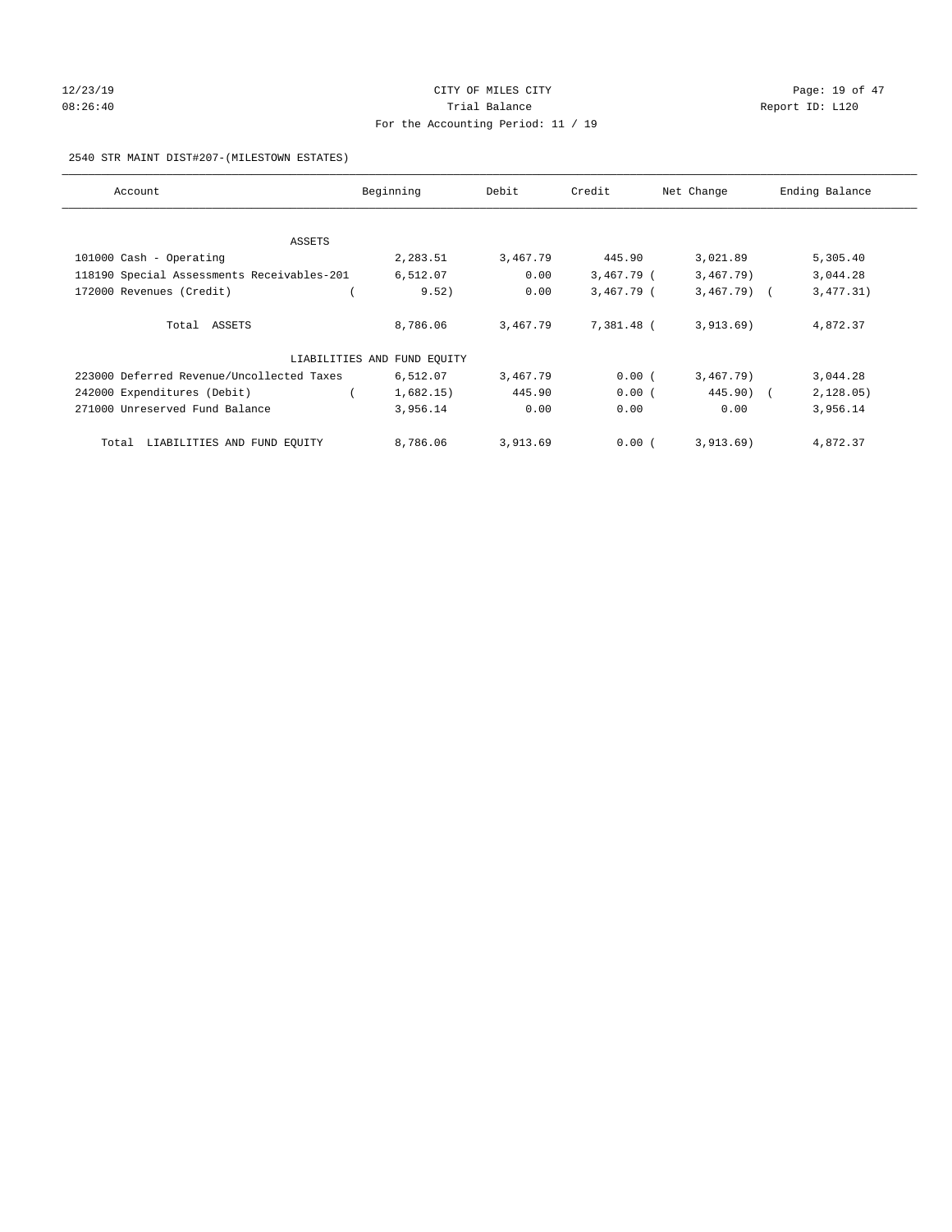# $12/23/19$  Page: 19 of 47 08:26:40 Report ID: L120 For the Accounting Period: 11 / 19

## 2540 STR MAINT DIST#207-(MILESTOWN ESTATES)

| Account                                    | Beginning                   | Debit    | Credit     | Net Change   | Ending Balance |
|--------------------------------------------|-----------------------------|----------|------------|--------------|----------------|
|                                            |                             |          |            |              |                |
| ASSETS<br>101000 Cash - Operating          | 2,283.51                    | 3,467.79 | 445.90     | 3,021.89     | 5,305.40       |
| 118190 Special Assessments Receivables-201 | 6,512.07                    | 0.00     | 3,467.79 ( | 3,467.79)    | 3,044.28       |
| 172000 Revenues (Credit)                   | 9.52)                       | 0.00     | 3,467.79 ( | $3,467.79$ ( | 3,477.31)      |
| Total ASSETS                               | 8,786.06                    | 3,467.79 | 7,381.48 ( | 3,913.69)    | 4,872.37       |
|                                            | LIABILITIES AND FUND EQUITY |          |            |              |                |
| 223000 Deferred Revenue/Uncollected Taxes  | 6,512.07                    | 3,467.79 | 0.00(      | 3,467.79)    | 3,044.28       |
| 242000 Expenditures (Debit)                | 1,682.15)                   | 445.90   | 0.00(      | $445.90$ (   | 2, 128.05)     |
| 271000 Unreserved Fund Balance             | 3,956.14                    | 0.00     | 0.00       | 0.00         | 3,956.14       |
| Total LIABILITIES AND FUND EQUITY          | 8,786.06                    | 3,913.69 | 0.00(      | 3,913.69)    | 4,872.37       |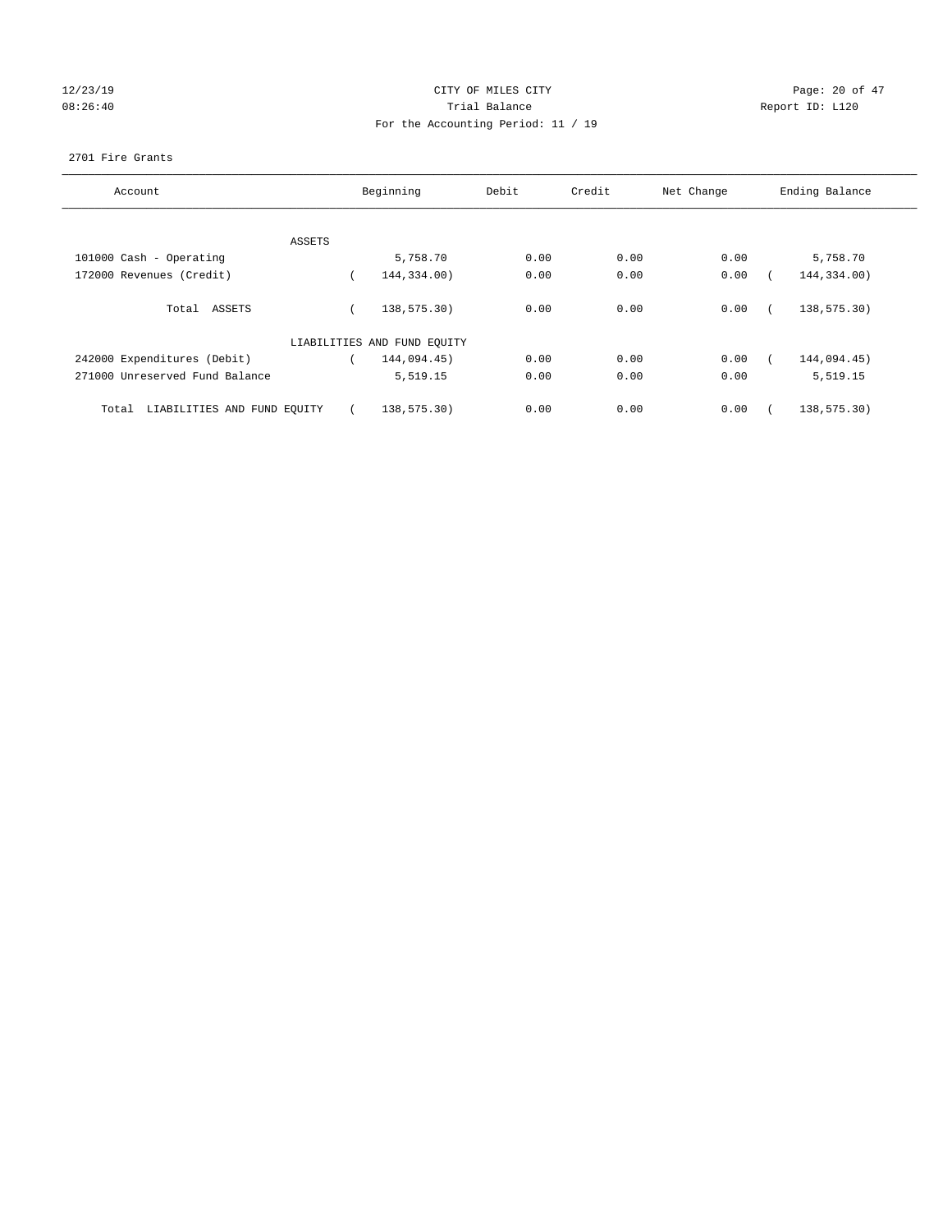# $12/23/19$  Page: 20 of 47 08:26:40 Report ID: L120 For the Accounting Period: 11 / 19

## 2701 Fire Grants

| Account                              |        | Beginning                   | Debit | Credit | Net Change | Ending Balance |
|--------------------------------------|--------|-----------------------------|-------|--------|------------|----------------|
|                                      | ASSETS |                             |       |        |            |                |
| 101000 Cash - Operating              |        | 5,758.70                    | 0.00  | 0.00   | 0.00       | 5,758.70       |
| 172000 Revenues (Credit)             |        | 144,334.00)                 | 0.00  | 0.00   | 0.00       | 144,334.00)    |
| Total ASSETS                         |        | 138,575.30)                 | 0.00  | 0.00   | 0.00       | 138,575.30)    |
|                                      |        | LIABILITIES AND FUND EQUITY |       |        |            |                |
| 242000 Expenditures (Debit)          |        | 144,094.45)                 | 0.00  | 0.00   | 0.00       | 144,094.45)    |
| 271000 Unreserved Fund Balance       |        | 5,519.15                    | 0.00  | 0.00   | 0.00       | 5,519.15       |
| LIABILITIES AND FUND EQUITY<br>Total |        | 138,575.30)                 | 0.00  | 0.00   | 0.00       | 138,575.30)    |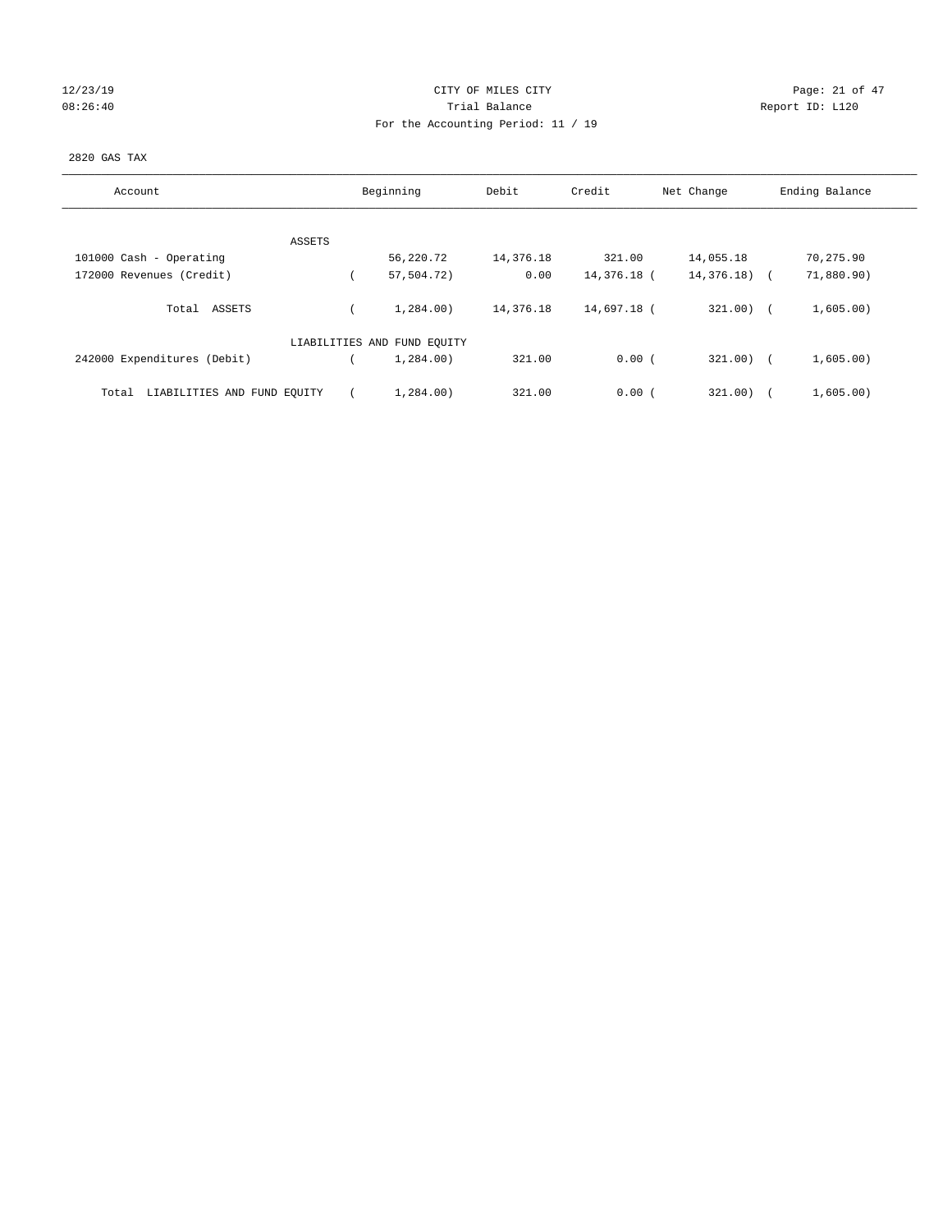## $12/23/19$  Page: 21 of 47 08:26:40 Report ID: L120 For the Accounting Period: 11 / 19

## 2820 GAS TAX

| Account                              | Beginning                   | Debit     | Credit      | Net Change    | Ending Balance |
|--------------------------------------|-----------------------------|-----------|-------------|---------------|----------------|
| ASSETS                               |                             |           |             |               |                |
| 101000 Cash - Operating              | 56,220.72                   | 14,376.18 | 321.00      | 14,055.18     | 70,275.90      |
| 172000 Revenues (Credit)             | 57,504.72)                  | 0.00      | 14,376.18 ( | $14,376.18$ ( | 71,880.90)     |
| ASSETS<br>Total                      | 1,284,00)                   | 14,376.18 | 14,697.18 ( | $321.00)$ (   | 1,605.00)      |
|                                      | LIABILITIES AND FUND EQUITY |           |             |               |                |
| 242000 Expenditures (Debit)          | 1,284,00)                   | 321.00    | 0.00(       | $321.00$ )    | 1,605.00)      |
| LIABILITIES AND FUND EQUITY<br>Total | 1,284.00)                   | 321.00    | 0.00(       | 321.00        | 1,605.00)      |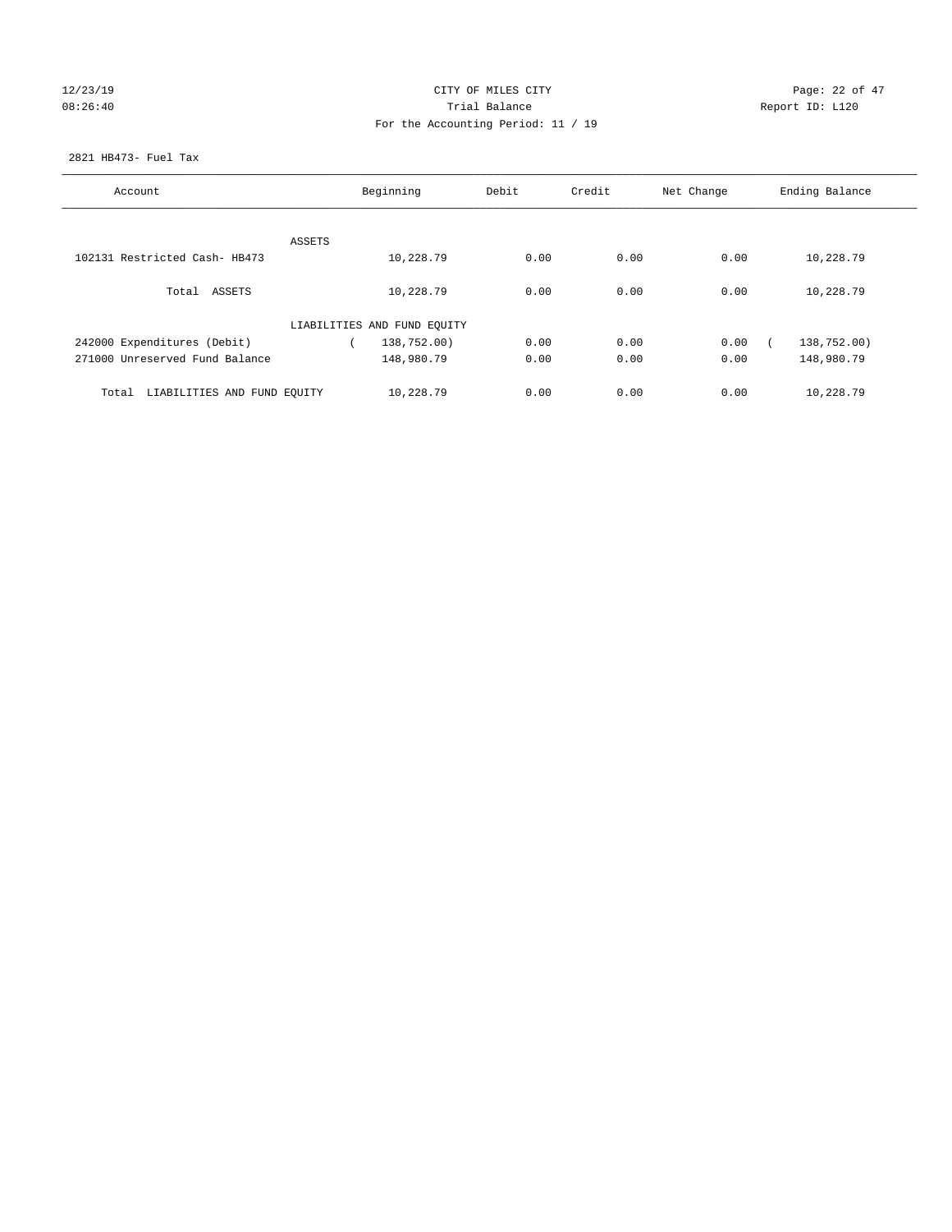## $12/23/19$  Page: 22 of 47 08:26:40 Report ID: L120 For the Accounting Period: 11 / 19

## 2821 HB473- Fuel Tax

| Account                              |        | Beginning                   | Debit | Credit | Net Change | Ending Balance |
|--------------------------------------|--------|-----------------------------|-------|--------|------------|----------------|
|                                      |        |                             |       |        |            |                |
|                                      | ASSETS |                             |       |        |            |                |
| 102131 Restricted Cash- HB473        |        | 10,228.79                   | 0.00  | 0.00   | 0.00       | 10,228.79      |
| Total ASSETS                         |        | 10,228.79                   | 0.00  | 0.00   | 0.00       | 10,228.79      |
|                                      |        | LIABILITIES AND FUND EQUITY |       |        |            |                |
| 242000 Expenditures (Debit)          |        | 138,752.00)                 | 0.00  | 0.00   | 0.00       | 138,752.00)    |
| 271000 Unreserved Fund Balance       |        | 148,980.79                  | 0.00  | 0.00   | 0.00       | 148,980.79     |
| LIABILITIES AND FUND EQUITY<br>Total |        | 10,228.79                   | 0.00  | 0.00   | 0.00       | 10,228.79      |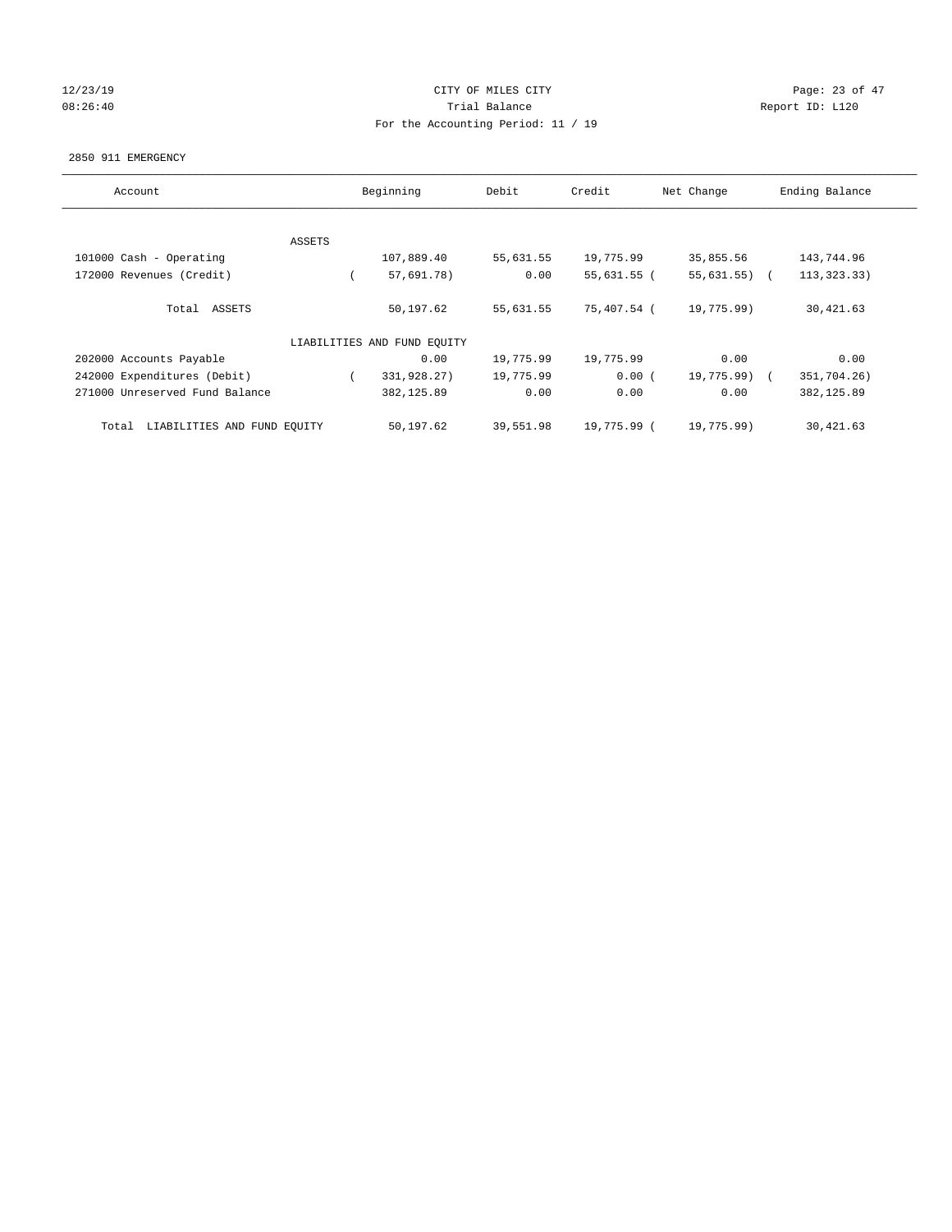## $12/23/19$  Page: 23 of 47 08:26:40 Report ID: L120 For the Accounting Period: 11 / 19

#### 2850 911 EMERGENCY

| Account                              |        | Beginning                   | Debit     | Credit      | Net Change     | Ending Balance |
|--------------------------------------|--------|-----------------------------|-----------|-------------|----------------|----------------|
|                                      |        |                             |           |             |                |                |
|                                      | ASSETS |                             |           |             |                |                |
| 101000 Cash - Operating              |        | 107,889.40                  | 55,631.55 | 19,775.99   | 35,855.56      | 143,744.96     |
| 172000 Revenues (Credit)             |        | 57,691.78)                  | 0.00      | 55,631.55 ( | $55,631.55)$ ( | 113, 323. 33)  |
| Total ASSETS                         |        | 50,197.62                   | 55,631.55 | 75,407.54 ( | 19,775.99)     | 30,421.63      |
|                                      |        | LIABILITIES AND FUND EQUITY |           |             |                |                |
| 202000 Accounts Payable              |        | 0.00                        | 19,775.99 | 19,775.99   | 0.00           | 0.00           |
| 242000 Expenditures (Debit)          |        | 331,928.27)                 | 19,775.99 | 0.00(       | 19,775.99) (   | 351,704.26)    |
| 271000 Unreserved Fund Balance       |        | 382,125.89                  | 0.00      | 0.00        | 0.00           | 382, 125.89    |
| LIABILITIES AND FUND EQUITY<br>Total |        | 50,197.62                   | 39,551.98 | 19,775.99 ( | 19,775.99)     | 30,421.63      |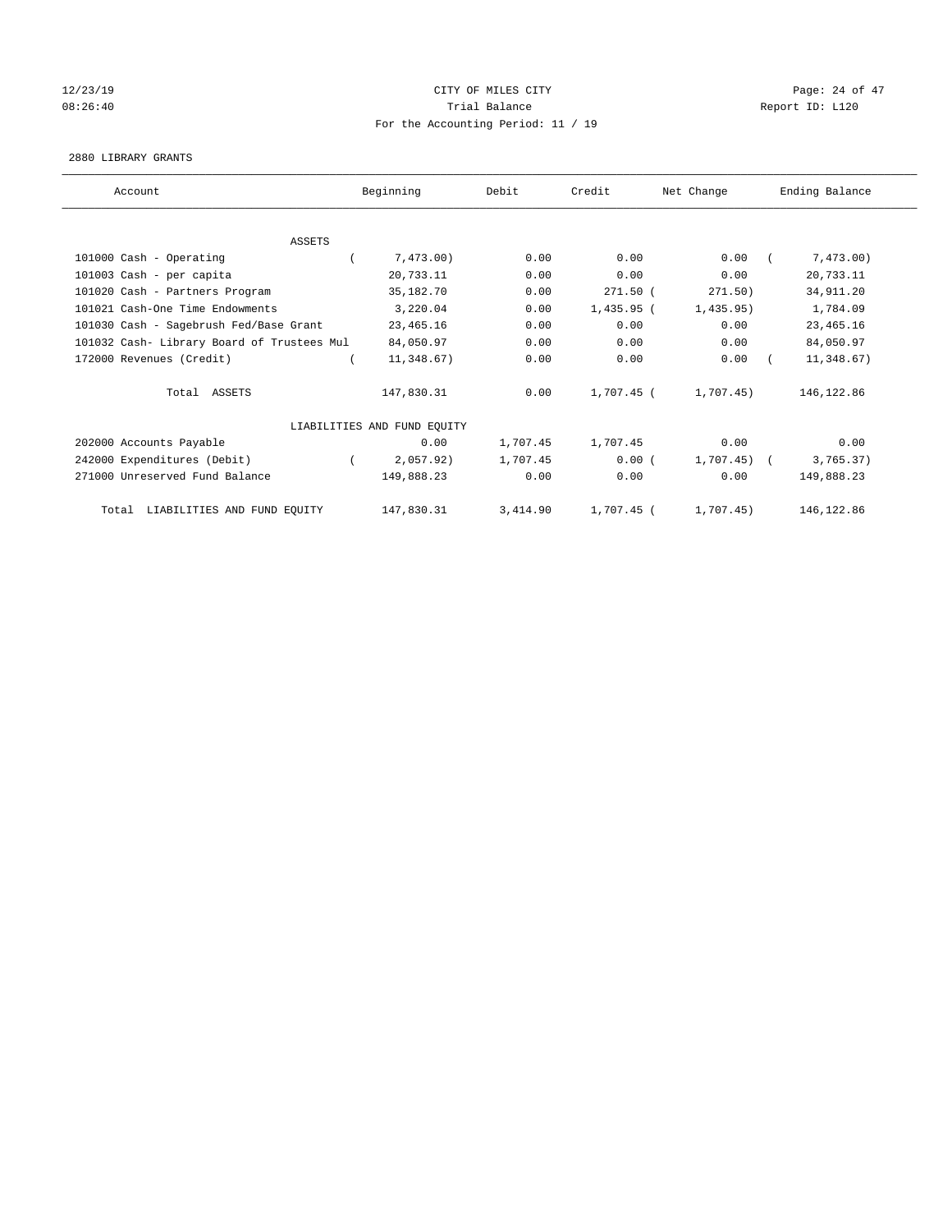## 12/23/19 Page: 24 of 47 08:26:40 Report ID: L120 For the Accounting Period: 11 / 19

## 2880 LIBRARY GRANTS

| Account                                    | Beginning                   | Debit    | Credit       | Net Change | Ending Balance |
|--------------------------------------------|-----------------------------|----------|--------------|------------|----------------|
|                                            |                             |          |              |            |                |
| <b>ASSETS</b>                              |                             |          |              |            |                |
| 101000 Cash - Operating                    | 7,473.00)                   | 0.00     | 0.00         | 0.00       | 7,473.00)      |
| 101003 Cash - per capita                   | 20,733.11                   | 0.00     | 0.00         | 0.00       | 20,733.11      |
| 101020 Cash - Partners Program             | 35,182.70                   | 0.00     | $271.50$ (   | 271.50)    | 34,911.20      |
| 101021 Cash-One Time Endowments            | 3,220.04                    | 0.00     | $1,435.95$ ( | 1,435.95)  | 1,784.09       |
| 101030 Cash - Sagebrush Fed/Base Grant     | 23, 465. 16                 | 0.00     | 0.00         | 0.00       | 23, 465.16     |
| 101032 Cash- Library Board of Trustees Mul | 84,050.97                   | 0.00     | 0.00         | 0.00       | 84,050.97      |
| 172000 Revenues (Credit)                   | 11,348.67)                  | 0.00     | 0.00         | 0.00       | 11,348.67)     |
| Total ASSETS                               | 147,830.31                  | 0.00     | 1,707.45 (   | 1,707.45)  | 146,122.86     |
|                                            | LIABILITIES AND FUND EQUITY |          |              |            |                |
| 202000 Accounts Payable                    | 0.00                        | 1,707.45 | 1,707.45     | 0.00       | 0.00           |
| 242000 Expenditures (Debit)                | 2,057.92)                   | 1,707.45 | 0.00(        | 1,707.45   | 3,765.37)      |
| 271000 Unreserved Fund Balance             | 149,888.23                  | 0.00     | 0.00         | 0.00       | 149,888.23     |
| LIABILITIES AND FUND EQUITY<br>Total       | 147,830.31                  | 3,414.90 | 1,707.45 (   | 1,707.45)  | 146, 122.86    |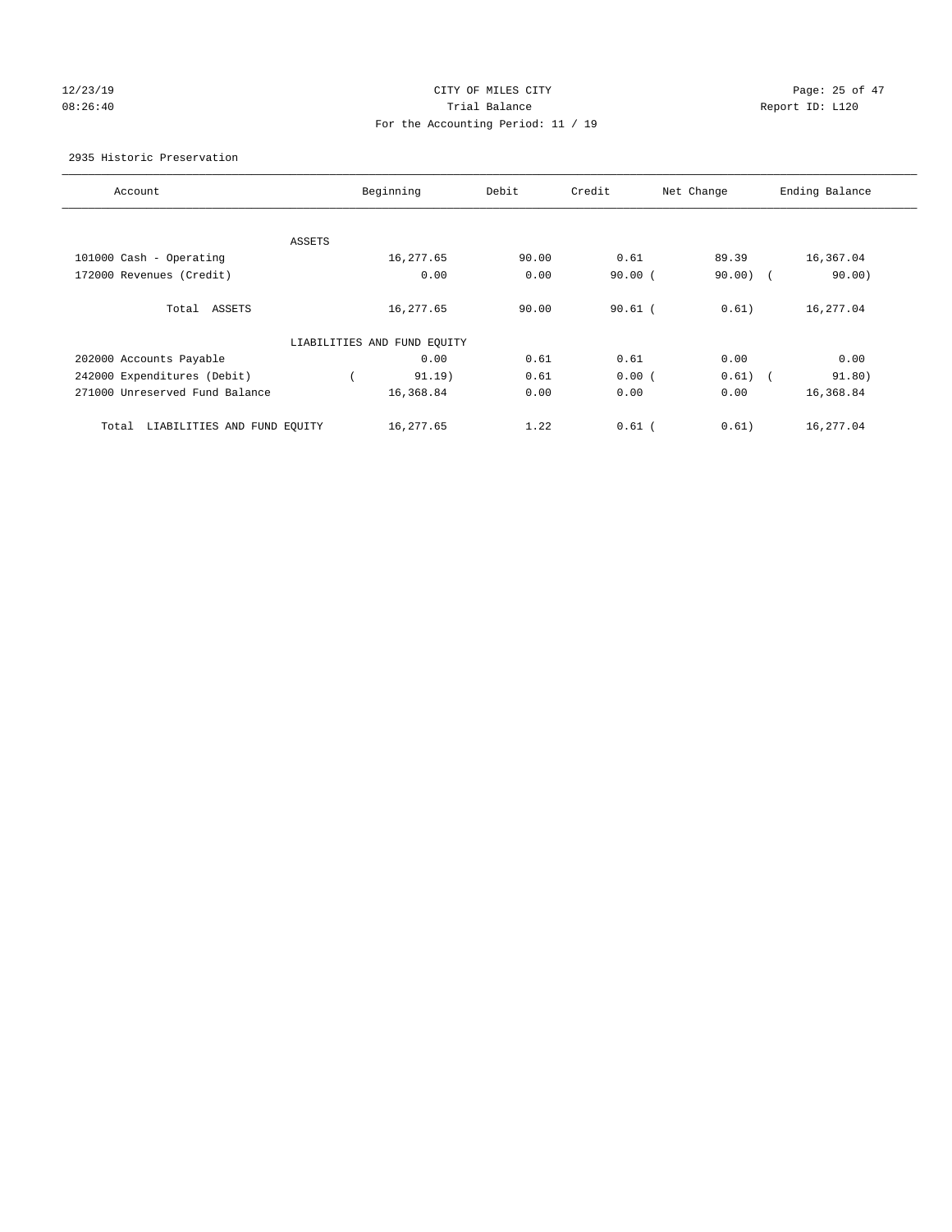# $12/23/19$  Page: 25 of 47 08:26:40 Report ID: L120 For the Accounting Period: 11 / 19

2935 Historic Preservation

| Account                              | Beginning                   | Debit | Credit    | Net Change          | Ending Balance |
|--------------------------------------|-----------------------------|-------|-----------|---------------------|----------------|
|                                      |                             |       |           |                     |                |
| ASSETS                               |                             |       |           |                     |                |
| 101000 Cash - Operating              | 16,277.65                   | 90.00 | 0.61      | 89.39               | 16,367.04      |
| 172000 Revenues (Credit)             | 0.00                        | 0.00  | $90.00$ ( | $90.00)$ (          | 90.00)         |
| Total ASSETS                         | 16,277.65                   | 90.00 | $90.61$ ( | 0.61)               | 16,277.04      |
|                                      | LIABILITIES AND FUND EQUITY |       |           |                     |                |
| 202000 Accounts Payable              | 0.00                        | 0.61  | 0.61      | 0.00                | 0.00           |
| 242000 Expenditures (Debit)          | 91.19)                      | 0.61  | 0.00(     | 0.61)<br>$\sqrt{2}$ | 91.80)         |
| 271000 Unreserved Fund Balance       | 16,368.84                   | 0.00  | 0.00      | 0.00                | 16,368.84      |
| Total<br>LIABILITIES AND FUND EQUITY | 16,277.65                   | 1.22  | $0.61$ (  | 0.61)               | 16,277.04      |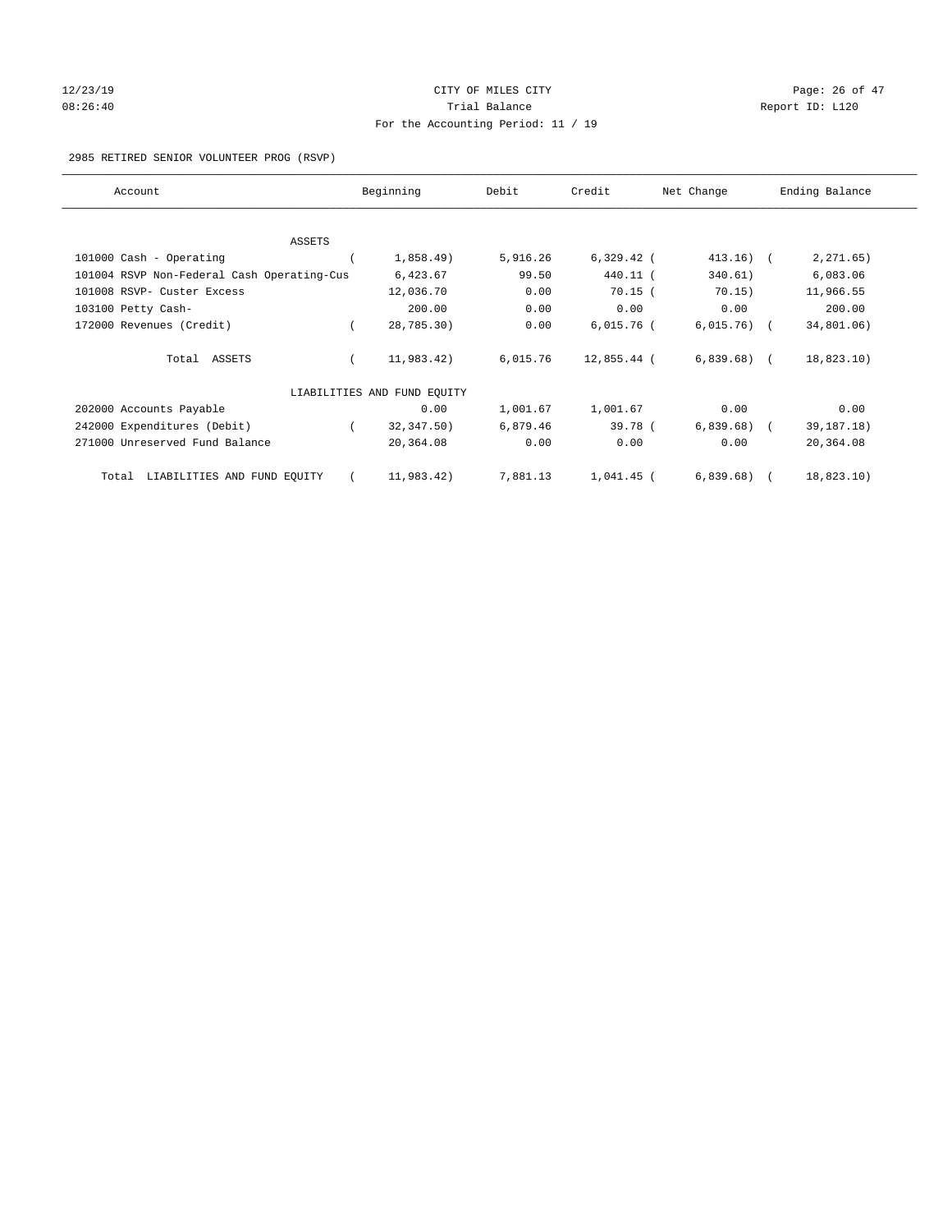# 12/23/19 Page: 26 of 47 08:26:40 Report ID: L120 For the Accounting Period: 11 / 19

2985 RETIRED SENIOR VOLUNTEER PROG (RSVP)

| Account                                    | Beginning                   | Debit    | Credit       | Net Change   | Ending Balance |
|--------------------------------------------|-----------------------------|----------|--------------|--------------|----------------|
|                                            |                             |          |              |              |                |
| <b>ASSETS</b>                              |                             |          |              | $413.16)$ (  |                |
| 101000 Cash - Operating                    | 1,858.49)                   | 5,916.26 | $6,329.42$ ( |              | 2, 271.65)     |
| 101004 RSVP Non-Federal Cash Operating-Cus | 6,423.67                    | 99.50    | 440.11 (     | 340.61)      | 6,083.06       |
| 101008 RSVP- Custer Excess                 | 12,036.70                   | 0.00     | $70.15$ (    | 70.15)       | 11,966.55      |
| 103100 Petty Cash-                         | 200.00                      | 0.00     | 0.00         | 0.00         | 200.00         |
| 172000 Revenues (Credit)                   | 28,785.30)                  | 0.00     | $6,015.76$ ( | $6,015.76$ ( | 34,801.06)     |
| Total ASSETS                               | 11,983.42)                  | 6,015.76 | 12,855.44 (  | $6,839.68$ ( | 18,823.10)     |
|                                            | LIABILITIES AND FUND EQUITY |          |              |              |                |
| 202000 Accounts Payable                    | 0.00                        | 1,001.67 | 1,001.67     | 0.00         | 0.00           |
| 242000 Expenditures (Debit)                | 32,347.50)                  | 6,879.46 | 39.78 (      | 6,839.68)    | 39, 187. 18)   |
| 271000 Unreserved Fund Balance             | 20,364.08                   | 0.00     | 0.00         | 0.00         | 20,364.08      |
| LIABILITIES AND FUND EQUITY<br>Total       | 11,983.42)                  | 7,881.13 | $1,041.45$ ( | 6,839.68)    | 18,823.10)     |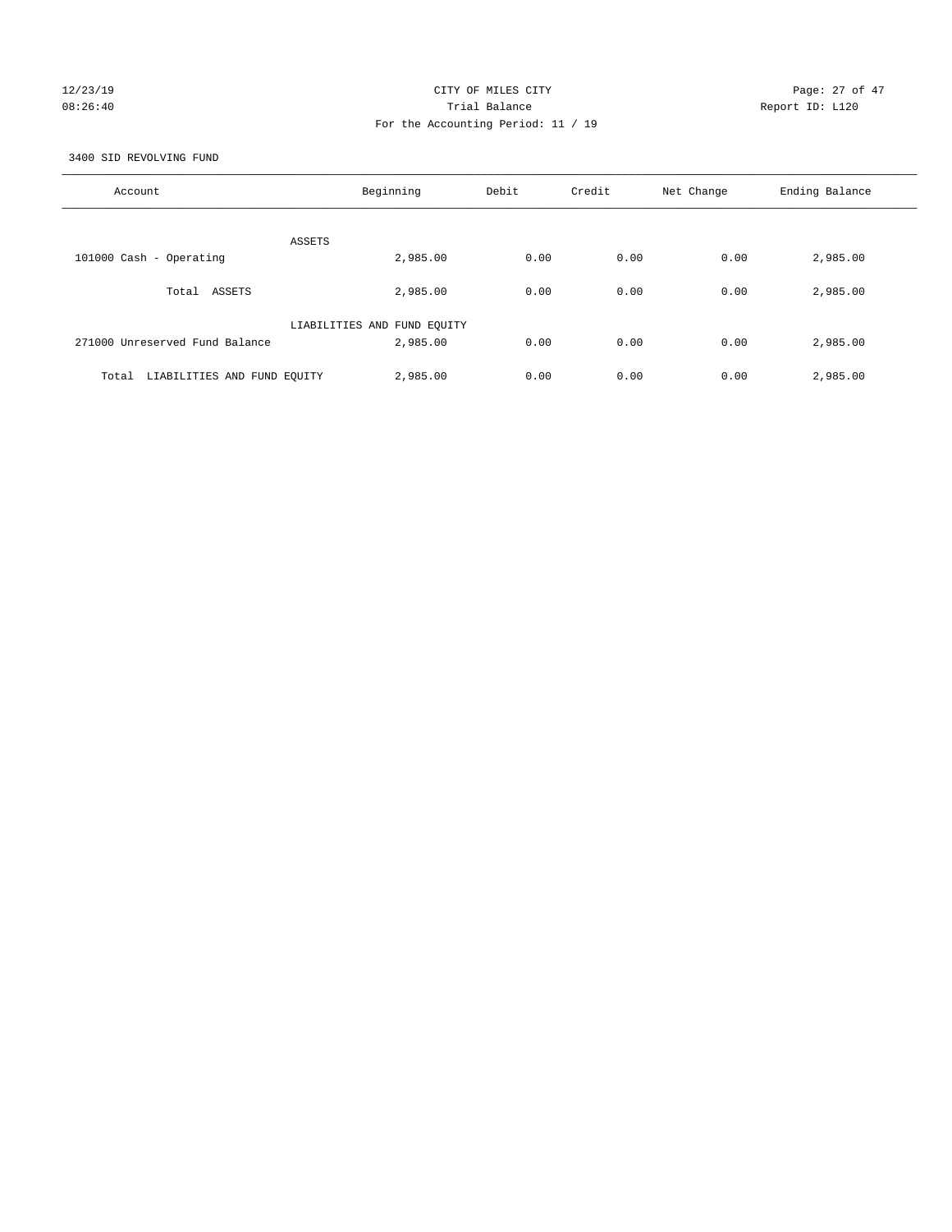## 12/23/19 Page: 27 of 47 08:26:40 Trial Balance Report ID: L120 For the Accounting Period: 11 / 19

3400 SID REVOLVING FUND

| Account                              | Beginning                   | Debit | Credit | Net Change | Ending Balance |
|--------------------------------------|-----------------------------|-------|--------|------------|----------------|
| ASSETS                               |                             |       |        |            |                |
| 101000 Cash - Operating              | 2,985.00                    | 0.00  | 0.00   | 0.00       | 2,985.00       |
| Total ASSETS                         | 2,985.00                    | 0.00  | 0.00   | 0.00       | 2,985.00       |
|                                      | LIABILITIES AND FUND EQUITY |       |        |            |                |
| 271000 Unreserved Fund Balance       | 2,985.00                    | 0.00  | 0.00   | 0.00       | 2,985.00       |
| LIABILITIES AND FUND EQUITY<br>Total | 2,985.00                    | 0.00  | 0.00   | 0.00       | 2,985.00       |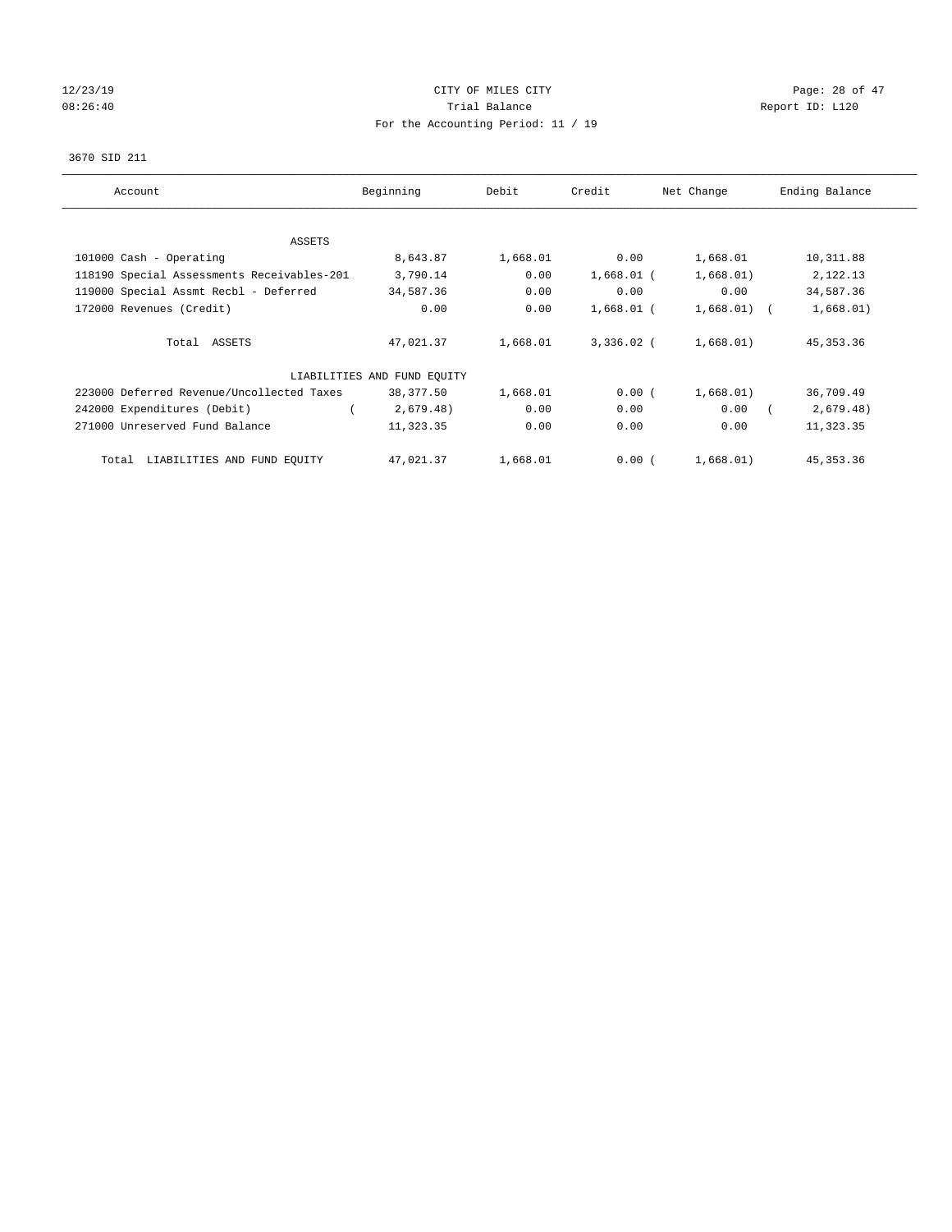# $12/23/19$  Page: 28 of 47 08:26:40 Report ID: L120 For the Accounting Period: 11 / 19

## 3670 SID 211

| Account                                    | Beginning                   | Debit    | Credit       | Net Change    | Ending Balance |
|--------------------------------------------|-----------------------------|----------|--------------|---------------|----------------|
| ASSETS                                     |                             |          |              |               |                |
| 101000 Cash - Operating                    | 8,643.87                    | 1,668.01 | 0.00         | 1,668.01      | 10,311.88      |
| 118190 Special Assessments Receivables-201 | 3,790.14                    | 0.00     | $1,668.01$ ( | 1,668.01)     | 2,122.13       |
| 119000 Special Assmt Recbl - Deferred      | 34,587.36                   | 0.00     | 0.00         | 0.00          | 34,587.36      |
| 172000 Revenues (Credit)                   | 0.00                        | 0.00     | $1,668.01$ ( | $1,668.01)$ ( | 1,668.01)      |
| Total ASSETS                               | 47,021.37                   | 1,668.01 | $3,336.02$ ( | 1,668.01)     | 45, 353. 36    |
|                                            | LIABILITIES AND FUND EQUITY |          |              |               |                |
| 223000 Deferred Revenue/Uncollected Taxes  | 38,377.50                   | 1,668.01 | 0.00(        | 1,668.01)     | 36,709.49      |
| 242000 Expenditures (Debit)                | 2,679.48)                   | 0.00     | 0.00         | 0.00          | 2,679.48)      |
| 271000 Unreserved Fund Balance             | 11,323.35                   | 0.00     | 0.00         | 0.00          | 11,323.35      |
| LIABILITIES AND FUND EQUITY<br>Total       | 47,021.37                   | 1,668.01 | 0.00(        | 1,668.01)     | 45, 353. 36    |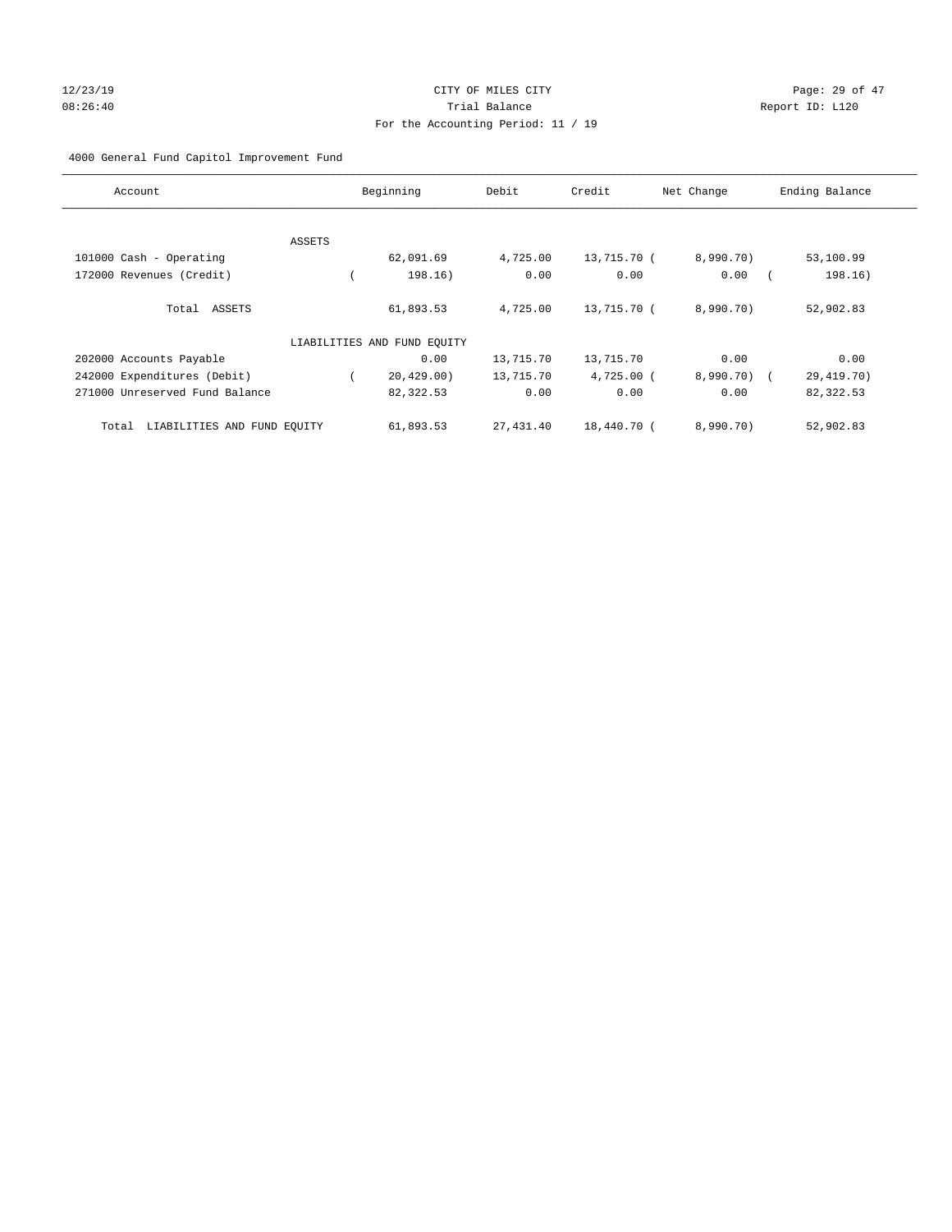# 12/23/19 Page: 29 of 47 08:26:40 Trial Balance Report ID: L120 For the Accounting Period: 11 / 19

4000 General Fund Capitol Improvement Fund

| Account                              |        | Beginning                   | Debit     | Credit       | Net Change  | Ending Balance |
|--------------------------------------|--------|-----------------------------|-----------|--------------|-------------|----------------|
|                                      |        |                             |           |              |             |                |
|                                      | ASSETS |                             |           |              |             |                |
| 101000 Cash - Operating              |        | 62,091.69                   | 4,725.00  | 13,715.70 (  | 8,990.70)   | 53,100.99      |
| 172000 Revenues (Credit)             |        | 198.16)                     | 0.00      | 0.00         | 0.00        | 198.16)        |
| Total ASSETS                         |        | 61,893.53                   | 4,725.00  | 13,715.70 (  | 8,990.70)   | 52,902.83      |
|                                      |        | LIABILITIES AND FUND EQUITY |           |              |             |                |
| 202000 Accounts Payable              |        | 0.00                        | 13,715.70 | 13,715.70    | 0.00        | 0.00           |
| 242000 Expenditures (Debit)          |        | 20,429.00)                  | 13,715.70 | $4,725.00$ ( | 8,990.70) ( | 29, 419. 70)   |
| 271000 Unreserved Fund Balance       |        | 82,322.53                   | 0.00      | 0.00         | 0.00        | 82,322.53      |
| LIABILITIES AND FUND EQUITY<br>Total |        | 61,893.53                   | 27,431.40 | 18,440.70 (  | 8,990.70)   | 52,902.83      |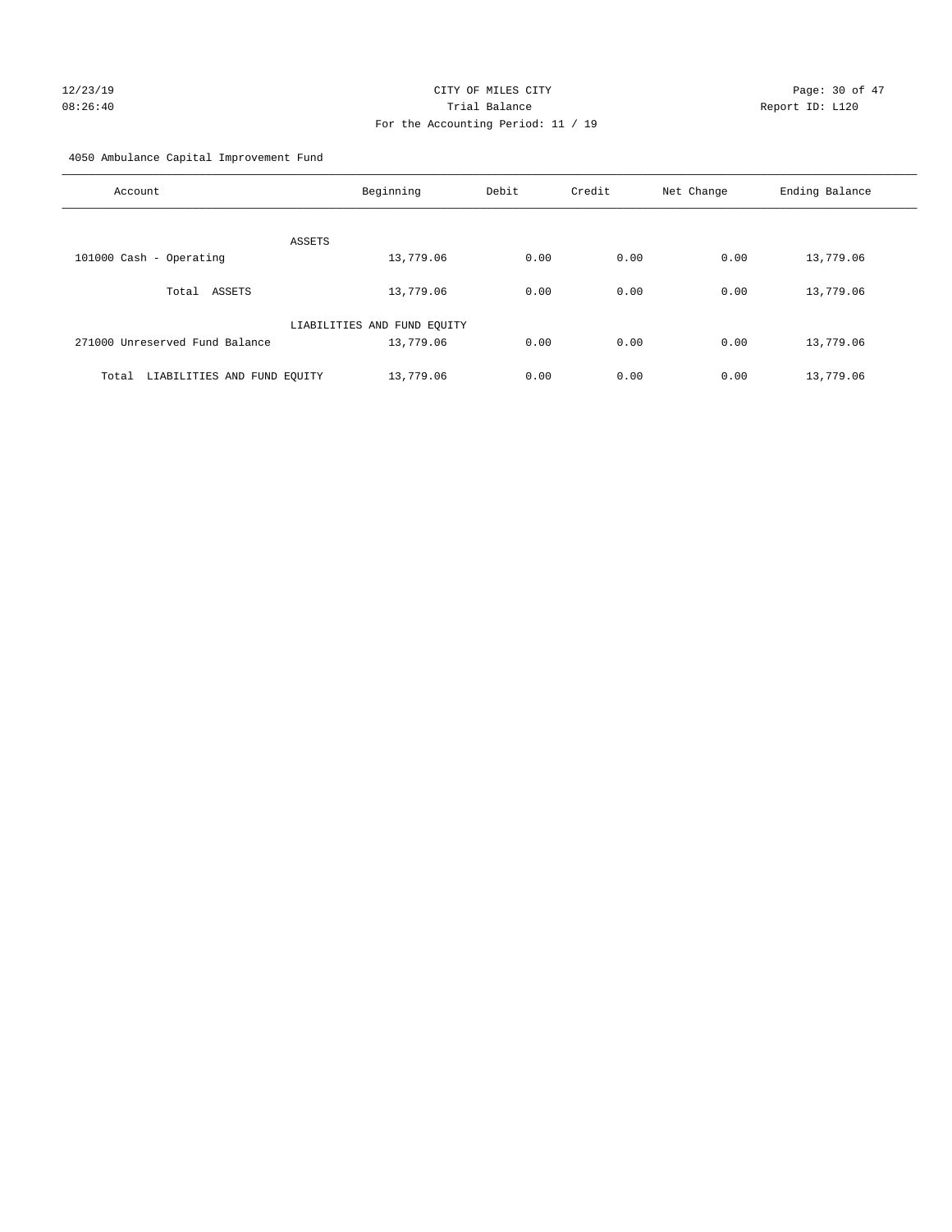# 12/23/19 **Page: 30 of 47** CITY OF MILES CITY **Page: 30 of 47** 08:26:40 Trial Balance Report ID: L120 For the Accounting Period: 11 / 19

4050 Ambulance Capital Improvement Fund

| Account                              | Beginning                   | Debit | Credit | Net Change | Ending Balance |
|--------------------------------------|-----------------------------|-------|--------|------------|----------------|
| ASSETS                               |                             |       |        |            |                |
| 101000 Cash - Operating              | 13,779.06                   | 0.00  | 0.00   | 0.00       | 13,779.06      |
| Total ASSETS                         | 13,779.06                   | 0.00  | 0.00   | 0.00       | 13,779.06      |
|                                      | LIABILITIES AND FUND EQUITY |       |        |            |                |
| 271000 Unreserved Fund Balance       | 13,779.06                   | 0.00  | 0.00   | 0.00       | 13,779.06      |
| LIABILITIES AND FUND EQUITY<br>Total | 13,779.06                   | 0.00  | 0.00   | 0.00       | 13,779.06      |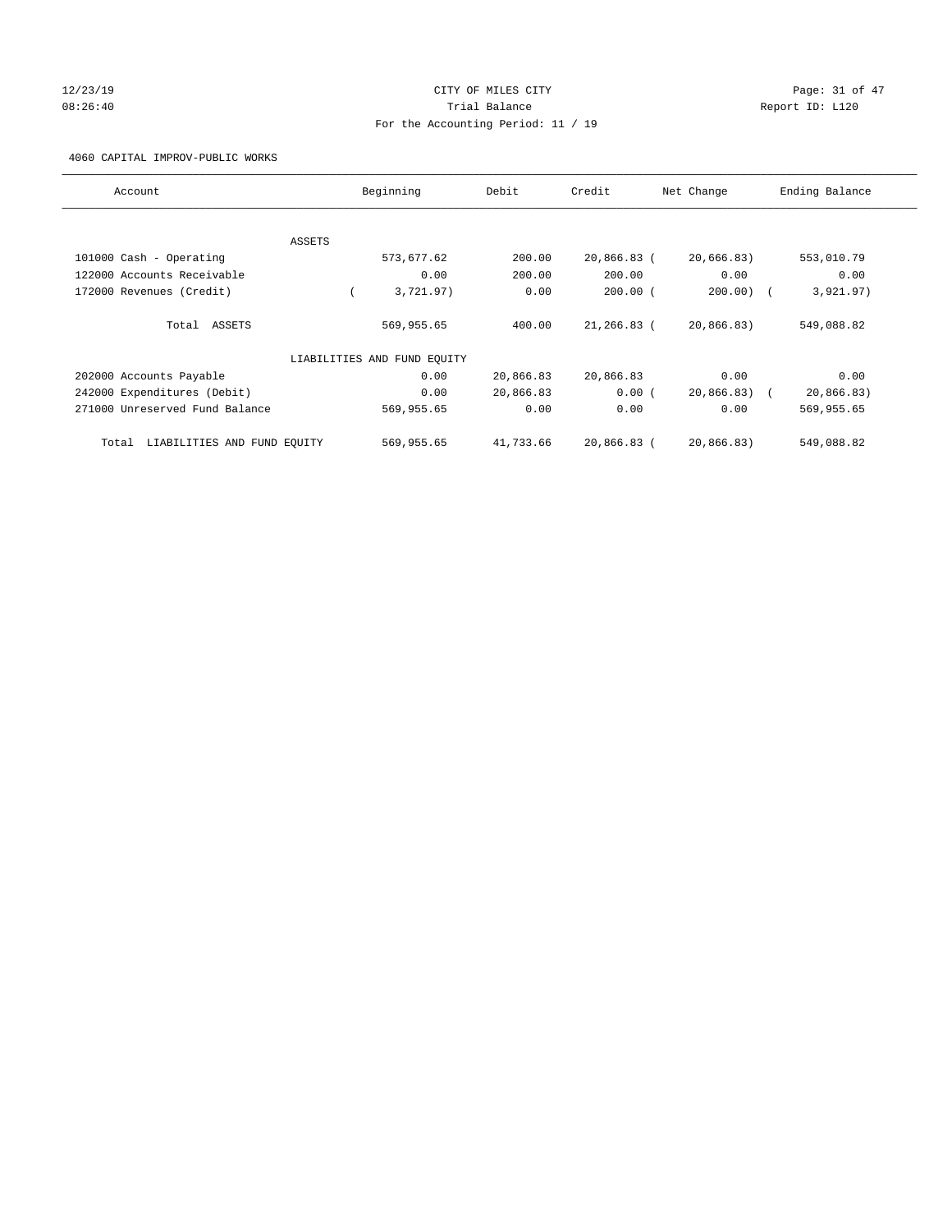# 12/23/19 Page: 31 of 47 08:26:40 Report ID: L120 For the Accounting Period: 11 / 19

4060 CAPITAL IMPROV-PUBLIC WORKS

| Account                              |        | Beginning                   | Debit     | Credit         | Net Change |            | Ending Balance |
|--------------------------------------|--------|-----------------------------|-----------|----------------|------------|------------|----------------|
|                                      |        |                             |           |                |            |            |                |
|                                      | ASSETS |                             |           |                |            |            |                |
| 101000 Cash - Operating              |        | 573,677.62                  | 200.00    | $20,866.83$ (  | 20,666.83) |            | 553,010.79     |
| 122000 Accounts Receivable           |        | 0.00                        | 200.00    | 200.00         | 0.00       |            | 0.00           |
| 172000 Revenues (Credit)             |        | 3,721.97)                   | 0.00      | $200.00$ (     | 200.00     |            | 3,921.97)      |
|                                      |        |                             |           |                |            |            |                |
| Total ASSETS                         |        | 569,955.65                  | 400.00    | $21, 266.83$ ( | 20,866.83) |            | 549,088.82     |
|                                      |        |                             |           |                |            |            |                |
|                                      |        | LIABILITIES AND FUND EQUITY |           |                |            |            |                |
| 202000 Accounts Payable              |        | 0.00                        | 20,866.83 | 20,866.83      | 0.00       |            | 0.00           |
| 242000 Expenditures (Debit)          |        | 0.00                        | 20,866.83 | 0.00(          | 20,866.83) | $\sqrt{2}$ | 20,866.83)     |
| 271000 Unreserved Fund Balance       |        | 569,955.65                  | 0.00      | 0.00           | 0.00       |            | 569,955.65     |
|                                      |        |                             |           |                |            |            |                |
| LIABILITIES AND FUND EQUITY<br>Total |        | 569,955.65                  | 41,733.66 | 20,866.83 (    | 20,866.83) |            | 549,088.82     |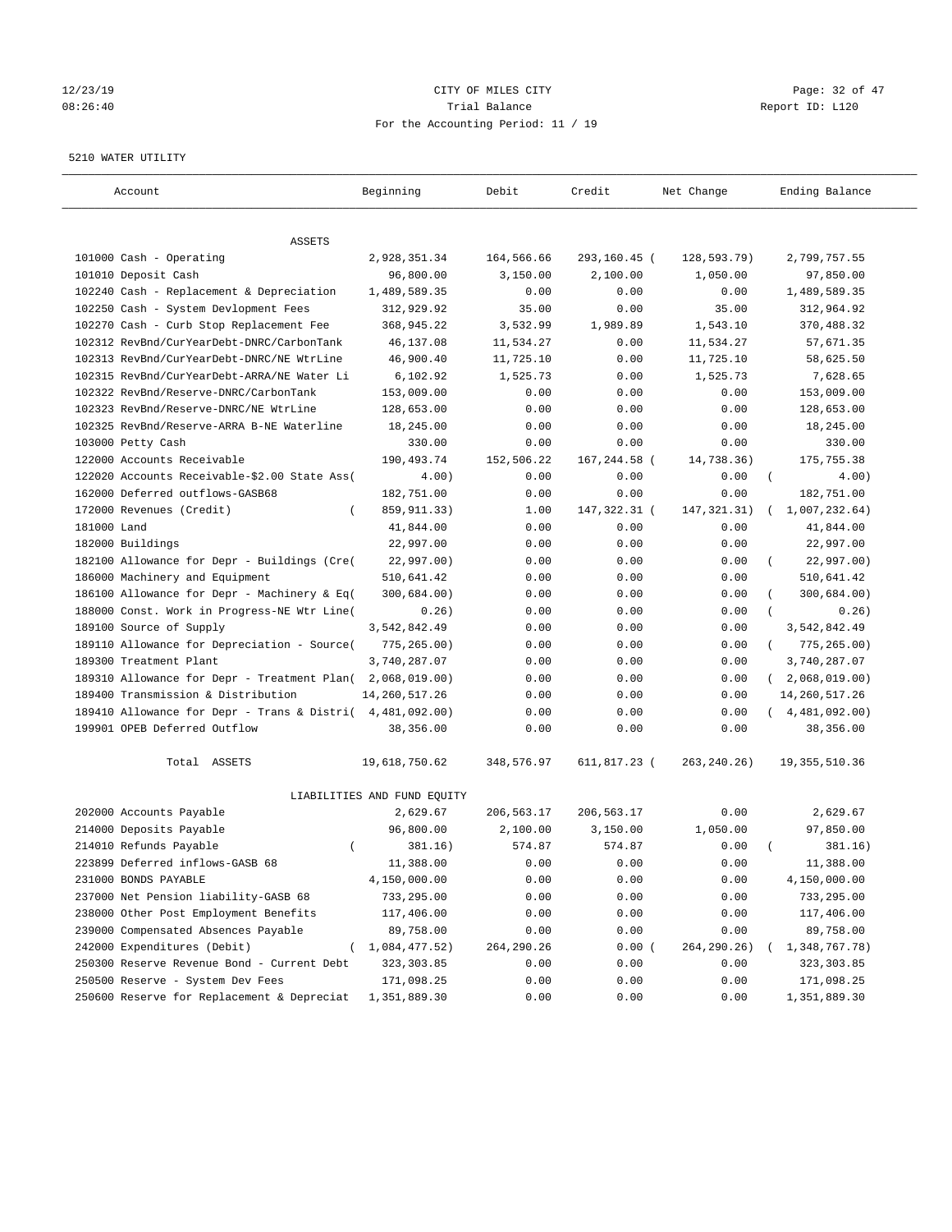## 12/23/19 Page: 32 of 47 08:26:40 Trial Balance Report ID: L120 For the Accounting Period: 11 / 19

#### 5210 WATER UTILITY

| Account                                      | Beginning                   | Debit      | Credit         | Net Change    | Ending Balance              |
|----------------------------------------------|-----------------------------|------------|----------------|---------------|-----------------------------|
| ASSETS                                       |                             |            |                |               |                             |
| 101000 Cash - Operating                      | 2,928,351.34                | 164,566.66 | 293,160.45 (   | 128,593.79)   | 2,799,757.55                |
| 101010 Deposit Cash                          | 96,800.00                   | 3,150.00   | 2,100.00       | 1,050.00      | 97,850.00                   |
| 102240 Cash - Replacement & Depreciation     | 1,489,589.35                | 0.00       | 0.00           | 0.00          | 1,489,589.35                |
| 102250 Cash - System Devlopment Fees         | 312,929.92                  | 35.00      | 0.00           | 35.00         | 312,964.92                  |
| 102270 Cash - Curb Stop Replacement Fee      | 368,945.22                  | 3,532.99   | 1,989.89       | 1,543.10      | 370,488.32                  |
| 102312 RevBnd/CurYearDebt-DNRC/CarbonTank    | 46,137.08                   | 11,534.27  | 0.00           | 11,534.27     | 57,671.35                   |
| 102313 RevBnd/CurYearDebt-DNRC/NE WtrLine    | 46,900.40                   | 11,725.10  | 0.00           | 11,725.10     | 58,625.50                   |
| 102315 RevBnd/CurYearDebt-ARRA/NE Water Li   | 6,102.92                    | 1,525.73   | 0.00           | 1,525.73      | 7,628.65                    |
| 102322 RevBnd/Reserve-DNRC/CarbonTank        | 153,009.00                  | 0.00       | 0.00           | 0.00          | 153,009.00                  |
| 102323 RevBnd/Reserve-DNRC/NE WtrLine        | 128,653.00                  | 0.00       | 0.00           | 0.00          | 128,653.00                  |
| 102325 RevBnd/Reserve-ARRA B-NE Waterline    | 18,245.00                   | 0.00       | 0.00           | 0.00          | 18,245.00                   |
| 103000 Petty Cash                            | 330.00                      | 0.00       | 0.00           | 0.00          | 330.00                      |
| 122000 Accounts Receivable                   | 190,493.74                  | 152,506.22 | 167,244.58 (   | 14,738.36)    | 175,755.38                  |
| 122020 Accounts Receivable-\$2.00 State Ass( | 4.00)                       | 0.00       | 0.00           | 0.00          | $\left($<br>4.00)           |
| 162000 Deferred outflows-GASB68              | 182,751.00                  | 0.00       | 0.00           | 0.00          | 182,751.00                  |
| 172000 Revenues (Credit)                     | 859, 911.33)                | 1.00       | 147, 322. 31 ( | 147, 321.31)  | 1,007,232.64)               |
| 181000 Land                                  | 41,844.00                   | 0.00       | 0.00           | 0.00          | 41,844.00                   |
| 182000 Buildings                             | 22,997.00                   | 0.00       | 0.00           | 0.00          | 22,997.00                   |
| 182100 Allowance for Depr - Buildings (Cre(  | 22,997.00)                  | 0.00       | 0.00           | 0.00          | 22,997.00)                  |
| 186000 Machinery and Equipment               | 510,641.42                  | 0.00       | 0.00           | 0.00          | 510,641.42                  |
| 186100 Allowance for Depr - Machinery & Eq(  | 300,684.00)                 | 0.00       | 0.00           | 0.00          | 300,684.00)                 |
| 188000 Const. Work in Progress-NE Wtr Line(  | 0.26)                       | 0.00       | 0.00           | 0.00          | 0.26)                       |
| 189100 Source of Supply                      | 3,542,842.49                | 0.00       | 0.00           | 0.00          | 3,542,842.49                |
| 189110 Allowance for Depreciation - Source(  | 775, 265.00)                | 0.00       | 0.00           | 0.00          | 775,265.00)<br>$\left($     |
| 189300 Treatment Plant                       | 3,740,287.07                | 0.00       | 0.00           | 0.00          | 3,740,287.07                |
| 189310 Allowance for Depr - Treatment Plan(  | 2,068,019.00)               | 0.00       | 0.00           | 0.00          | 2,068,019.00)<br>$\sqrt{2}$ |
| 189400 Transmission & Distribution           | 14, 260, 517.26             | 0.00       | 0.00           | 0.00          | 14, 260, 517. 26            |
| 189410 Allowance for Depr - Trans & Distri(  | 4,481,092.00)               | 0.00       | 0.00           | 0.00          | (4, 481, 092.00)            |
| 199901 OPEB Deferred Outflow                 | 38,356.00                   | 0.00       | 0.00           | 0.00          | 38,356.00                   |
| Total ASSETS                                 | 19,618,750.62               | 348,576.97 | 611,817.23 (   | 263, 240. 26) | 19, 355, 510.36             |
|                                              | LIABILITIES AND FUND EQUITY |            |                |               |                             |
| 202000 Accounts Payable                      | 2,629.67                    | 206,563.17 | 206,563.17     | 0.00          | 2,629.67                    |
| 214000 Deposits Payable                      | 96,800.00                   | 2,100.00   | 3,150.00       | 1,050.00      | 97,850.00                   |
| 214010 Refunds Payable<br>$\left($           | 381.16)                     | 574.87     | 574.87         | 0.00          | 381.16)                     |
| 223899 Deferred inflows-GASB 68              | 11,388.00                   | 0.00       | 0.00           | 0.00          | 11,388.00                   |
| 231000 BONDS PAYABLE                         | 4,150,000.00                | 0.00       | 0.00           | 0.00          | 4,150,000.00                |
| 237000 Net Pension liability-GASB 68         | 733,295.00                  | 0.00       | 0.00           | 0.00          | 733,295.00                  |
| 238000 Other Post Employment Benefits        | 117,406.00                  | 0.00       | 0.00           | 0.00          | 117,406.00                  |
| 239000 Compensated Absences Payable          | 89,758.00                   | 0.00       | 0.00           | 0.00          | 89,758.00                   |
| 242000 Expenditures (Debit)                  | (1,084,477.52)              | 264,290.26 | 0.00(          | 264,290.26)   | 1,348,767.78)               |
| 250300 Reserve Revenue Bond - Current Debt   | 323, 303.85                 | 0.00       | 0.00           | 0.00          | 323, 303.85                 |
| 250500 Reserve - System Dev Fees             | 171,098.25                  | 0.00       | 0.00           | 0.00          | 171,098.25                  |
| 250600 Reserve for Replacement & Depreciat   | 1,351,889.30                | 0.00       | 0.00           | 0.00          | 1,351,889.30                |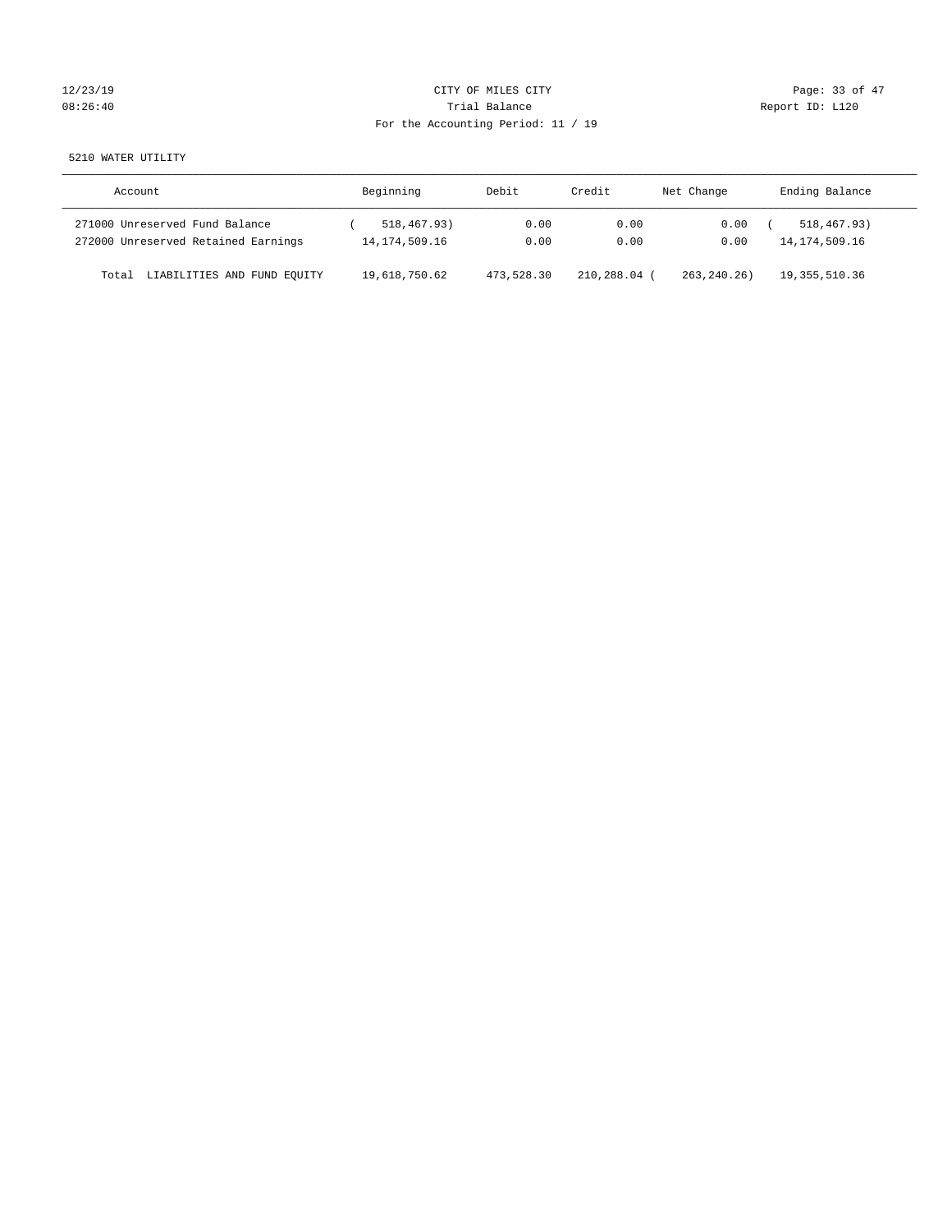# 12/23/19 Page: 33 of 47 08:26:40 Report ID: L120 For the Accounting Period: 11 / 19

5210 WATER UTILITY

| Account                              | Beginning        | Debit      | Credit     | Net Change | Ending Balance   |
|--------------------------------------|------------------|------------|------------|------------|------------------|
| 271000 Unreserved Fund Balance       | 518,467.93)      | 0.00       | 0.00       | 0.00       | 518, 467, 93)    |
| 272000 Unreserved Retained Earnings  | 14, 174, 509. 16 | 0.00       | 0.00       | 0.00       | 14, 174, 509. 16 |
| LIABILITIES AND FUND EQUITY<br>Total | 19,618,750.62    | 473,528.30 | 210,288.04 | 263.240.26 | 19, 355, 510.36  |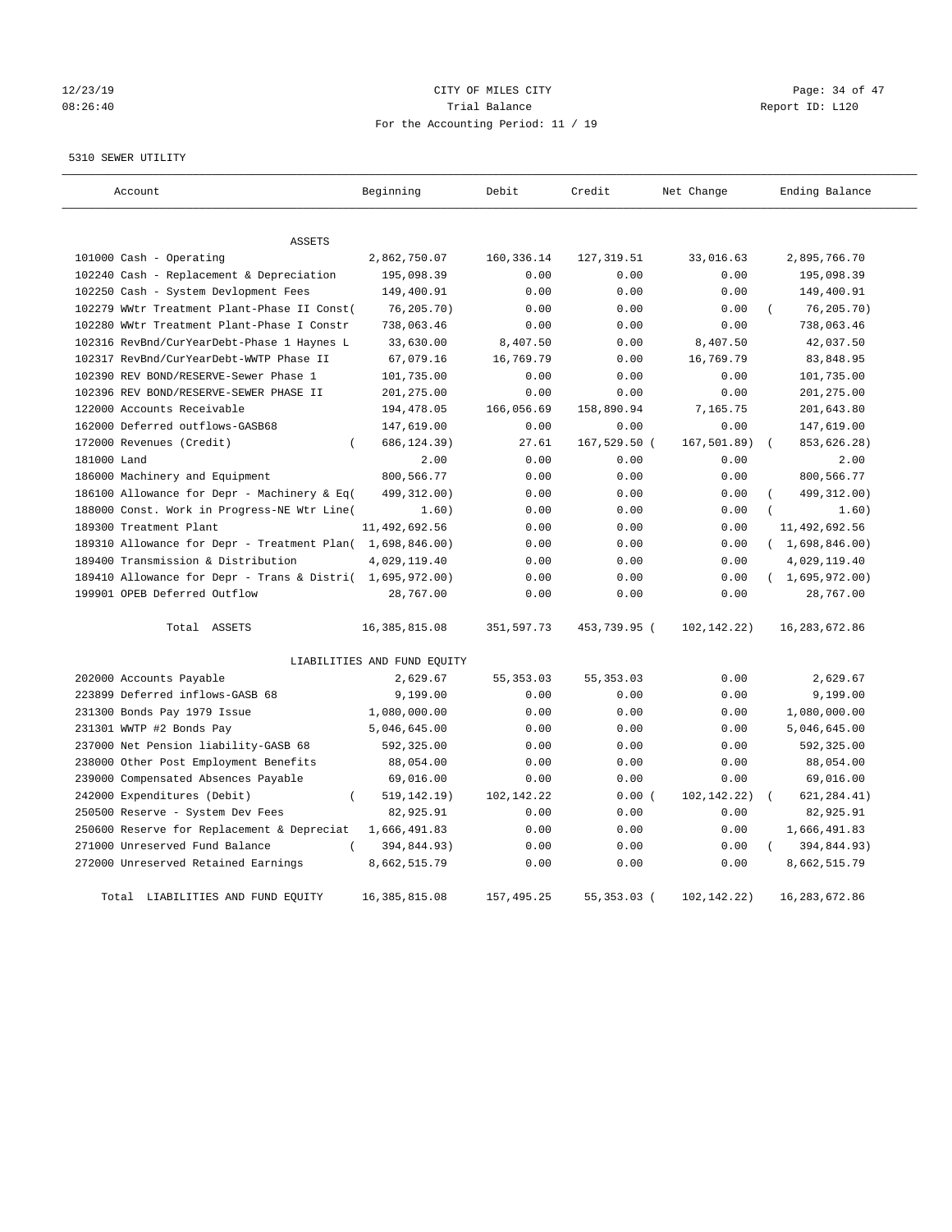# 12/23/19 Page: 34 of 47 08:26:40 Trial Balance Report ID: L120 For the Accounting Period: 11 / 19

5310 SEWER UTILITY

| Account                                                   | Beginning                   | Debit        | Credit       | Net Change    | Ending Balance |
|-----------------------------------------------------------|-----------------------------|--------------|--------------|---------------|----------------|
| <b>ASSETS</b>                                             |                             |              |              |               |                |
| 101000 Cash - Operating                                   | 2,862,750.07                | 160, 336. 14 | 127, 319.51  | 33,016.63     | 2,895,766.70   |
| 102240 Cash - Replacement & Depreciation                  | 195,098.39                  | 0.00         | 0.00         | 0.00          | 195,098.39     |
| 102250 Cash - System Devlopment Fees                      | 149,400.91                  | 0.00         | 0.00         | 0.00          | 149,400.91     |
| 102279 WWtr Treatment Plant-Phase II Const(               | 76,205.70)                  | 0.00         | 0.00         | 0.00          | 76, 205.70)    |
| 102280 WWtr Treatment Plant-Phase I Constr                | 738,063.46                  | 0.00         | 0.00         | 0.00          | 738,063.46     |
| 102316 RevBnd/CurYearDebt-Phase 1 Haynes L                | 33,630.00                   | 8,407.50     | 0.00         | 8,407.50      | 42,037.50      |
| 102317 RevBnd/CurYearDebt-WWTP Phase II                   | 67,079.16                   | 16,769.79    | 0.00         | 16,769.79     | 83,848.95      |
| 102390 REV BOND/RESERVE-Sewer Phase 1                     | 101,735.00                  | 0.00         | 0.00         | 0.00          | 101,735.00     |
| 102396 REV BOND/RESERVE-SEWER PHASE II                    | 201,275.00                  | 0.00         | 0.00         | 0.00          | 201,275.00     |
| 122000 Accounts Receivable                                | 194,478.05                  | 166,056.69   | 158,890.94   | 7,165.75      | 201,643.80     |
| 162000 Deferred outflows-GASB68                           | 147,619.00                  | 0.00         | 0.00         | 0.00          | 147,619.00     |
| 172000 Revenues (Credit)<br>$\left($                      | 686,124.39)                 | 27.61        | 167,529.50 ( | 167, 501.89)  | 853,626.28)    |
| 181000 Land                                               | 2.00                        | 0.00         | 0.00         | 0.00          | 2.00           |
| 186000 Machinery and Equipment                            | 800,566.77                  | 0.00         | 0.00         | 0.00          | 800,566.77     |
| 186100 Allowance for Depr - Machinery & Eq(               | 499,312.00)                 | 0.00         | 0.00         | 0.00          | 499, 312.00)   |
| 188000 Const. Work in Progress-NE Wtr Line(               | 1.60)                       | 0.00         | 0.00         | 0.00          | 1.60)          |
| 189300 Treatment Plant                                    | 11,492,692.56               | 0.00         | 0.00         | 0.00          | 11,492,692.56  |
| 189310 Allowance for Depr - Treatment Plan( 1,698,846.00) |                             | 0.00         | 0.00         | 0.00          | (1,698,846.00) |
| 189400 Transmission & Distribution                        | 4,029,119.40                | 0.00         | 0.00         | 0.00          | 4,029,119.40   |
| 189410 Allowance for Depr - Trans & Distri( 1,695,972.00) |                             | 0.00         | 0.00         | 0.00          | (1,695,972.00) |
| 199901 OPEB Deferred Outflow                              | 28,767.00                   | 0.00         | 0.00         | 0.00          | 28,767.00      |
| Total ASSETS                                              | 16, 385, 815.08             | 351,597.73   | 453,739.95 ( | 102,142.22)   | 16,283,672.86  |
|                                                           | LIABILITIES AND FUND EQUITY |              |              |               |                |
| 202000 Accounts Payable                                   | 2,629.67                    | 55, 353.03   | 55, 353.03   | 0.00          | 2,629.67       |
| 223899 Deferred inflows-GASB 68                           | 9,199.00                    | 0.00         | 0.00         | 0.00          | 9,199.00       |
| 231300 Bonds Pay 1979 Issue                               | 1,080,000.00                | 0.00         | 0.00         | 0.00          | 1,080,000.00   |
| 231301 WWTP #2 Bonds Pay                                  | 5,046,645.00                | 0.00         | 0.00         | 0.00          | 5,046,645.00   |
| 237000 Net Pension liability-GASB 68                      | 592,325.00                  | 0.00         | 0.00         | 0.00          | 592,325.00     |
| 238000 Other Post Employment Benefits                     | 88,054.00                   | 0.00         | 0.00         | 0.00          | 88,054.00      |
| 239000 Compensated Absences Payable                       | 69,016.00                   | 0.00         | 0.00         | 0.00          | 69,016.00      |
| 242000 Expenditures (Debit)<br>$\overline{(\ }$           | 519, 142.19)                | 102,142.22   | 0.00(        | 102, 142. 22) | 621, 284.41)   |
| 250500 Reserve - System Dev Fees                          | 82,925.91                   | 0.00         | 0.00         | 0.00          | 82,925.91      |
| 250600 Reserve for Replacement & Depreciat                | 1,666,491.83                | 0.00         | 0.00         | 0.00          | 1,666,491.83   |
| 271000 Unreserved Fund Balance                            | 394,844.93)                 | 0.00         | 0.00         | 0.00          | 394,844.93)    |
| 272000 Unreserved Retained Earnings                       | 8,662,515.79                | 0.00         | 0.00         | 0.00          | 8,662,515.79   |
| Total LIABILITIES AND FUND EQUITY                         | 16, 385, 815.08             | 157, 495.25  | 55,353.03 (  | 102, 142. 22) | 16,283,672.86  |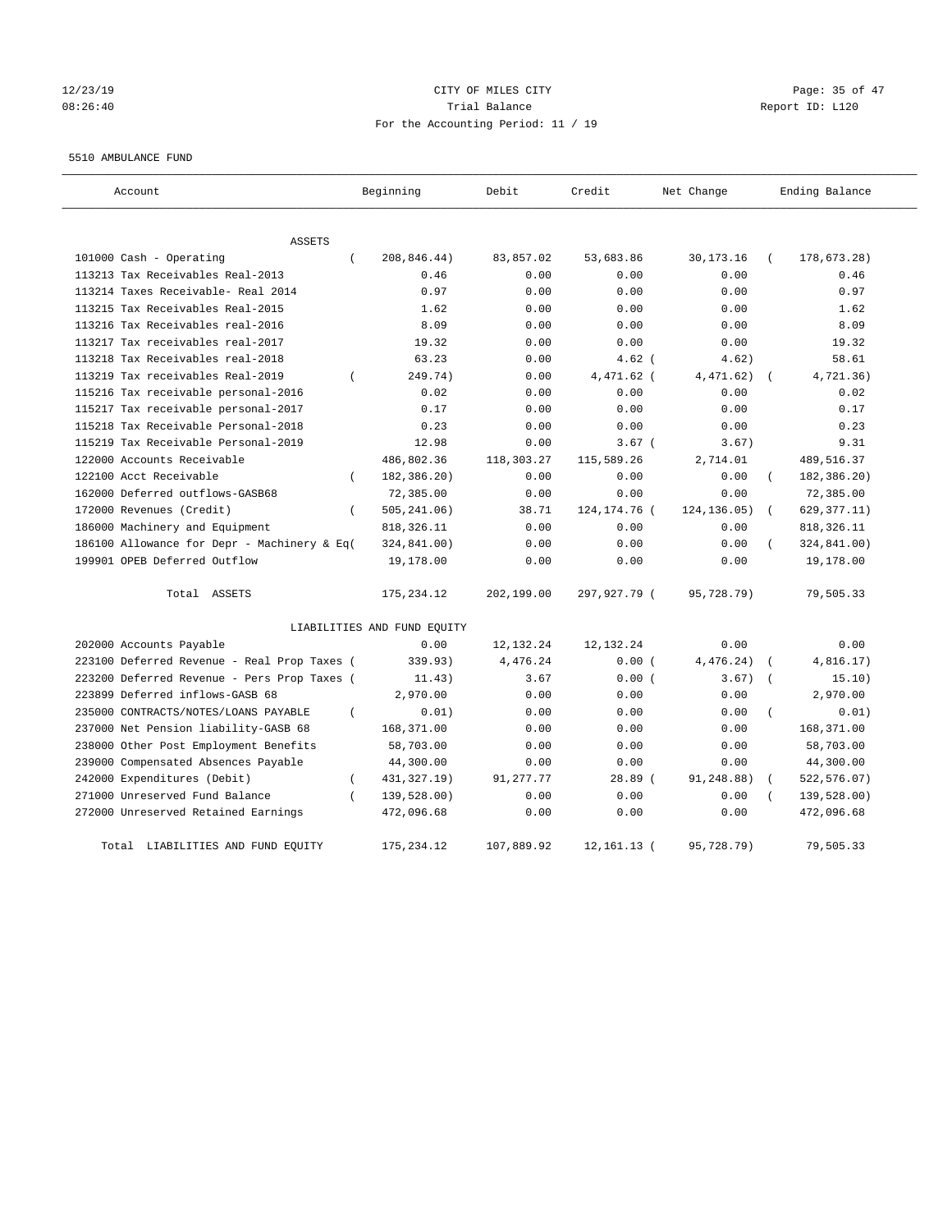# 12/23/19 Page: 35 of 47 08:26:40 Trial Balance Report ID: L120 For the Accounting Period: 11 / 19

#### 5510 AMBULANCE FUND

| Account                                            | Beginning                   | Debit       | Credit         | Net Change   | Ending Balance           |
|----------------------------------------------------|-----------------------------|-------------|----------------|--------------|--------------------------|
| <b>ASSETS</b>                                      |                             |             |                |              |                          |
| 101000 Cash - Operating<br>$\left($                | 208,846.44)                 | 83,857.02   | 53,683.86      | 30, 173. 16  | 178,673.28)              |
| 113213 Tax Receivables Real-2013                   | 0.46                        | 0.00        | 0.00           | 0.00         | 0.46                     |
| 113214 Taxes Receivable- Real 2014                 | 0.97                        | 0.00        | 0.00           | 0.00         | 0.97                     |
| 113215 Tax Receivables Real-2015                   | 1.62                        | 0.00        | 0.00           | 0.00         | 1.62                     |
| 113216 Tax Receivables real-2016                   | 8.09                        | 0.00        | 0.00           | 0.00         | 8.09                     |
| 113217 Tax receivables real-2017                   | 19.32                       | 0.00        | 0.00           | 0.00         | 19.32                    |
| 113218 Tax Receivables real-2018                   | 63.23                       | 0.00        | $4.62$ (       | 4.62)        | 58.61                    |
| 113219 Tax receivables Real-2019<br>$\left($       | 249.74)                     | 0.00        | 4,471.62 (     | 4,471.62)    | 4,721.36)                |
| 115216 Tax receivable personal-2016                | 0.02                        | 0.00        | 0.00           | 0.00         | 0.02                     |
| 115217 Tax receivable personal-2017                | 0.17                        | 0.00        | 0.00           | 0.00         | 0.17                     |
| 115218 Tax Receivable Personal-2018                | 0.23                        | 0.00        | 0.00           | 0.00         | 0.23                     |
| 115219 Tax Receivable Personal-2019                | 12.98                       | 0.00        | $3.67$ (       | 3.67)        | 9.31                     |
| 122000 Accounts Receivable                         | 486,802.36                  | 118,303.27  | 115,589.26     | 2,714.01     | 489,516.37               |
| 122100 Acct Receivable<br>$\left($                 | 182,386.20)                 | 0.00        | 0.00           | 0.00         | 182,386.20)              |
| 162000 Deferred outflows-GASB68                    | 72,385.00                   | 0.00        | 0.00           | 0.00         | 72,385.00                |
| 172000 Revenues (Credit)<br>$\left($               | 505, 241.06)                | 38.71       | 124, 174. 76 ( | 124, 136.05) | 629, 377.11)             |
| 186000 Machinery and Equipment                     | 818, 326.11                 | 0.00        | 0.00           | 0.00         | 818, 326.11              |
| 186100 Allowance for Depr - Machinery & Eq(        | 324,841.00)                 | 0.00        | 0.00           | 0.00         | 324,841.00)              |
| 199901 OPEB Deferred Outflow                       | 19,178.00                   | 0.00        | 0.00           | 0.00         | 19,178.00                |
| Total ASSETS                                       | 175, 234.12                 | 202,199.00  | 297,927.79 (   | 95,728.79)   | 79,505.33                |
|                                                    | LIABILITIES AND FUND EQUITY |             |                |              |                          |
| 202000 Accounts Payable                            | 0.00                        | 12, 132. 24 | 12, 132. 24    | 0.00         | 0.00                     |
| 223100 Deferred Revenue - Real Prop Taxes (        | 339.93)                     | 4,476.24    | 0.00(          | 4,476.24)    | 4,816.17)                |
| 223200 Deferred Revenue - Pers Prop Taxes (        | 11.43)                      | 3.67        | 0.00(          | 3.67)        | 15.10)                   |
| 223899 Deferred inflows-GASB 68                    | 2,970.00                    | 0.00        | 0.00           | 0.00         | 2,970.00                 |
| 235000 CONTRACTS/NOTES/LOANS PAYABLE<br>$\left($   | 0.01)                       | 0.00        | 0.00           | 0.00         | 0.01)                    |
| 237000 Net Pension liability-GASB 68               | 168,371.00                  | 0.00        | 0.00           | 0.00         | 168,371.00               |
| 238000 Other Post Employment Benefits              | 58,703.00                   | 0.00        | 0.00           | 0.00         | 58,703.00                |
| 239000 Compensated Absences Payable                | 44,300.00                   | 0.00        | 0.00           | 0.00         | 44,300.00                |
| 242000 Expenditures (Debit)<br>$\left($            | 431, 327. 19)               | 91, 277. 77 | $28.89$ (      | 91,248.88)   | 522, 576.07)<br>$\left($ |
| 271000 Unreserved Fund Balance<br>$\overline{(\ }$ | 139,528.00)                 | 0.00        | 0.00           | 0.00         | 139,528.00)              |
| 272000 Unreserved Retained Earnings                | 472,096.68                  | 0.00        | 0.00           | 0.00         | 472,096.68               |
| LIABILITIES AND FUND EQUITY<br>Total               | 175,234.12                  | 107,889.92  | 12, 161. 13 (  | 95,728.79)   | 79,505.33                |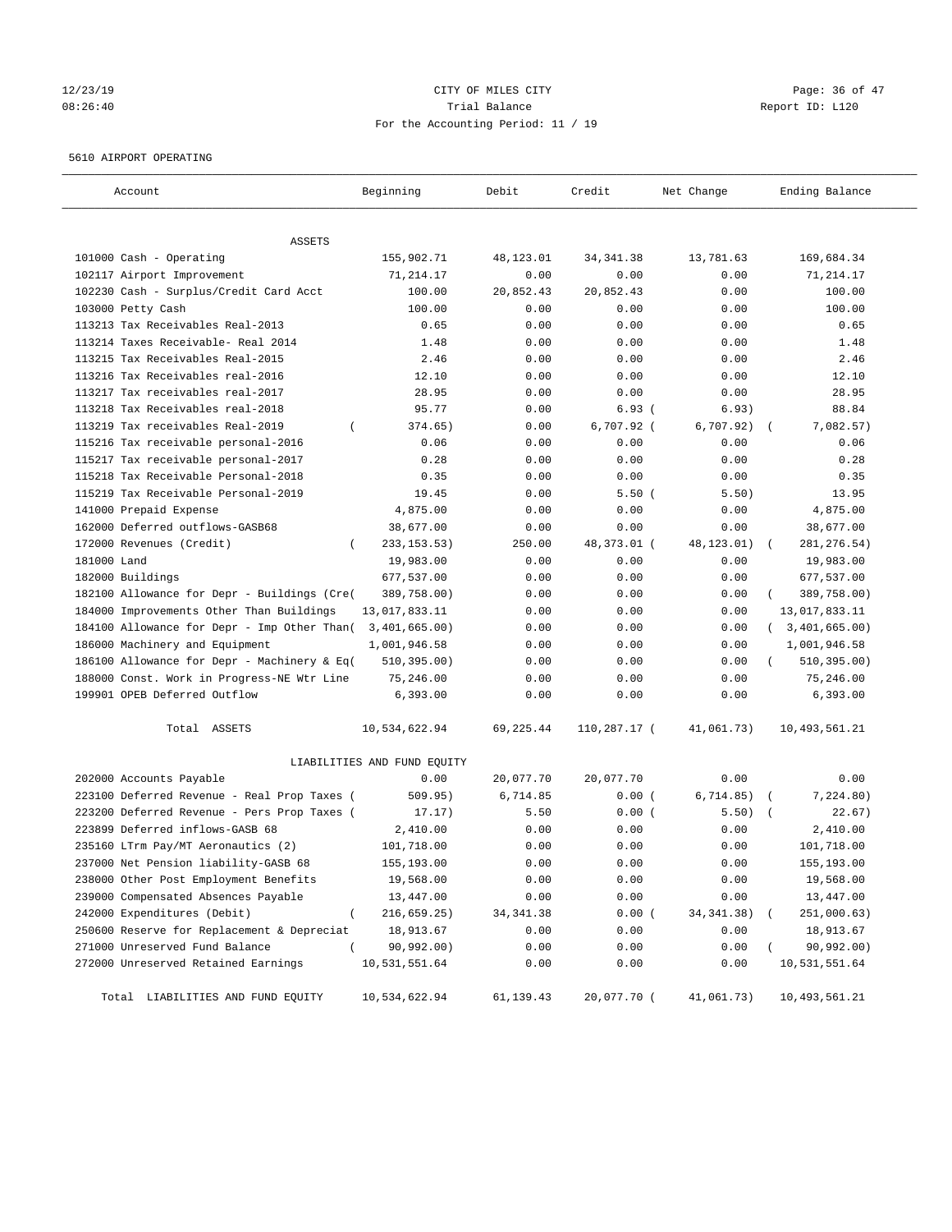# 12/23/19 Page: 36 of 47 08:26:40 Trial Balance Report ID: L120 For the Accounting Period: 11 / 19

## 5610 AIRPORT OPERATING

| Account                                         | Beginning                   | Debit      | Credit       | Net Change  | Ending Balance   |
|-------------------------------------------------|-----------------------------|------------|--------------|-------------|------------------|
| ASSETS                                          |                             |            |              |             |                  |
| 101000 Cash - Operating                         | 155,902.71                  | 48,123.01  | 34, 341.38   | 13,781.63   | 169,684.34       |
| 102117 Airport Improvement                      | 71,214.17                   | 0.00       | 0.00         | 0.00        | 71,214.17        |
| 102230 Cash - Surplus/Credit Card Acct          | 100.00                      | 20,852.43  | 20,852.43    | 0.00        | 100.00           |
| 103000 Petty Cash                               | 100.00                      | 0.00       | 0.00         | 0.00        | 100.00           |
| 113213 Tax Receivables Real-2013                | 0.65                        | 0.00       | 0.00         | 0.00        | 0.65             |
| 113214 Taxes Receivable- Real 2014              | 1.48                        | 0.00       | 0.00         | 0.00        | 1.48             |
| 113215 Tax Receivables Real-2015                | 2.46                        | 0.00       | 0.00         | 0.00        | 2.46             |
| 113216 Tax Receivables real-2016                | 12.10                       | 0.00       | 0.00         | 0.00        | 12.10            |
| 113217 Tax receivables real-2017                | 28.95                       | 0.00       | 0.00         | 0.00        | 28.95            |
| 113218 Tax Receivables real-2018                | 95.77                       | 0.00       | 6.93(        | 6.93)       | 88.84            |
| 113219 Tax receivables Real-2019<br>$\left($    | 374.65)                     | 0.00       | 6,707.92 (   | 6,707.92)   | 7,082.57)        |
| 115216 Tax receivable personal-2016             | 0.06                        | 0.00       | 0.00         | 0.00        | 0.06             |
| 115217 Tax receivable personal-2017             | 0.28                        | 0.00       | 0.00         | 0.00        | 0.28             |
| 115218 Tax Receivable Personal-2018             | 0.35                        | 0.00       | 0.00         | 0.00        | 0.35             |
| 115219 Tax Receivable Personal-2019             | 19.45                       | 0.00       | 5.50(        | 5.50)       | 13.95            |
| 141000 Prepaid Expense                          | 4,875.00                    | 0.00       | 0.00         | 0.00        | 4,875.00         |
| 162000 Deferred outflows-GASB68                 | 38,677.00                   | 0.00       | 0.00         | 0.00        | 38,677.00        |
| 172000 Revenues (Credit)<br>-                   | 233, 153. 53)               | 250.00     | 48,373.01 (  | 48,123.01)  | 281, 276.54)     |
| 181000 Land                                     | 19,983.00                   | 0.00       | 0.00         | 0.00        | 19,983.00        |
| 182000 Buildings                                | 677,537.00                  | 0.00       | 0.00         | 0.00        | 677,537.00       |
| 182100 Allowance for Depr - Buildings (Cre(     | 389,758.00)                 | 0.00       | 0.00         | 0.00        | 389,758.00)      |
| 184000 Improvements Other Than Buildings        | 13,017,833.11               | 0.00       | 0.00         | 0.00        | 13,017,833.11    |
| 184100 Allowance for Depr - Imp Other Than(     | 3,401,665.00)               | 0.00       | 0.00         | 0.00        | (3, 401, 665.00) |
| 186000 Machinery and Equipment                  | 1,001,946.58                | 0.00       | 0.00         | 0.00        | 1,001,946.58     |
| 186100 Allowance for Depr - Machinery & Eq(     | 510, 395.00)                | 0.00       | 0.00         | 0.00        | 510, 395.00)     |
| 188000 Const. Work in Progress-NE Wtr Line      | 75,246.00                   | 0.00       | 0.00         | 0.00        | 75,246.00        |
| 199901 OPEB Deferred Outflow                    | 6,393.00                    | 0.00       | 0.00         | 0.00        | 6,393.00         |
| Total ASSETS                                    | 10,534,622.94               | 69,225.44  | 110,287.17 ( | 41,061.73)  | 10,493,561.21    |
|                                                 | LIABILITIES AND FUND EQUITY |            |              |             |                  |
| 202000 Accounts Payable                         | 0.00                        | 20,077.70  | 20,077.70    | 0.00        | 0.00             |
| 223100 Deferred Revenue - Real Prop Taxes (     | 509.95)                     | 6,714.85   | 0.00(        | 6, 714.85)  | 7,224.80)        |
| 223200 Deferred Revenue - Pers Prop Taxes (     | 17.17)                      | 5.50       | 0.00(        | 5.50)       | 22.67)           |
| 223899 Deferred inflows-GASB 68                 | 2,410.00                    | 0.00       | 0.00         | 0.00        | 2,410.00         |
| 235160 LTrm Pay/MT Aeronautics (2)              | 101,718.00                  | 0.00       | 0.00         | 0.00        | 101,718.00       |
| 237000 Net Pension liability-GASB 68            | 155,193.00                  | 0.00       | 0.00         | 0.00        | 155,193.00       |
| 238000 Other Post Employment Benefits           | 19,568.00                   | 0.00       | 0.00         | 0.00        | 19,568.00        |
| 239000 Compensated Absences Payable             | 13,447.00                   | 0.00       | 0.00         | 0.00        | 13,447.00        |
| 242000 Expenditures (Debit)<br>$\overline{(\ }$ | 216,659.25)                 | 34, 341.38 | 0.00(        | 34, 341.38) | 251,000.63)      |
| 250600 Reserve for Replacement & Depreciat      | 18,913.67                   | 0.00       | 0.00         | 0.00        | 18,913.67        |
| 271000 Unreserved Fund Balance<br>$\left($      | 90,992.00)                  | 0.00       | 0.00         | 0.00        | 90,992.00)       |
| 272000 Unreserved Retained Earnings             | 10,531,551.64               | 0.00       | 0.00         | 0.00        | 10,531,551.64    |
| Total LIABILITIES AND FUND EQUITY               | 10,534,622.94               | 61,139.43  | 20,077.70 (  | 41,061.73)  | 10,493,561.21    |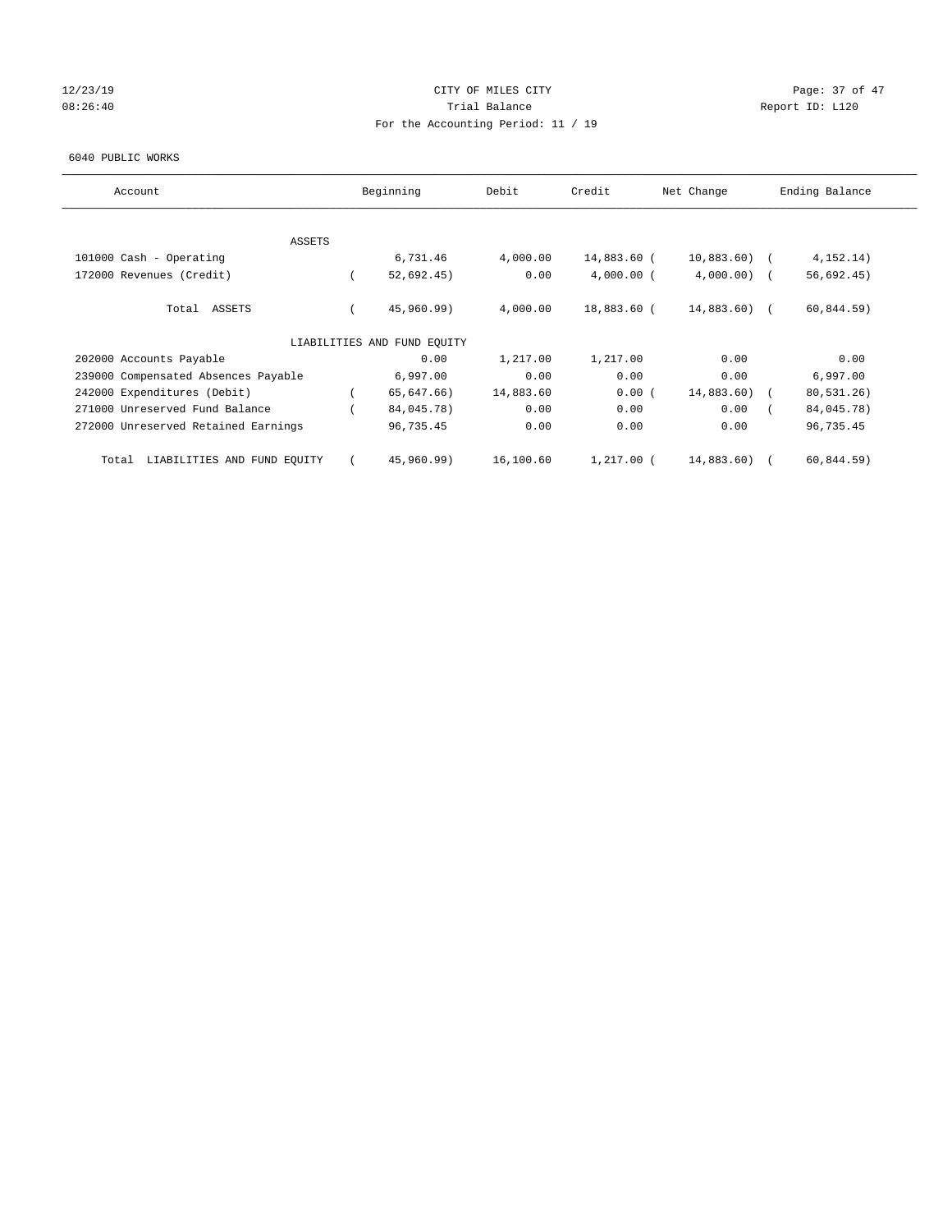## 12/23/19 Page: 37 of 47 08:26:40 Report ID: L120 For the Accounting Period: 11 / 19

#### 6040 PUBLIC WORKS

| Account                              | Beginning                   | Debit     | Credit       | Net Change    | Ending Balance |
|--------------------------------------|-----------------------------|-----------|--------------|---------------|----------------|
| <b>ASSETS</b>                        |                             |           |              |               |                |
| 101000 Cash - Operating              | 6,731.46                    | 4,000.00  | 14,883.60 (  | $10,883.60$ ( | 4, 152, 14)    |
| 172000 Revenues (Credit)             | 52,692.45)                  | 0.00      | $4,000.00$ ( | $4,000.00)$ ( | 56,692.45)     |
| Total ASSETS                         | 45,960.99)                  | 4,000.00  | 18,883.60 (  | $14,883.60$ ( | 60,844.59)     |
|                                      | LIABILITIES AND FUND EQUITY |           |              |               |                |
| 202000 Accounts Payable              | 0.00                        | 1,217.00  | 1,217.00     | 0.00          | 0.00           |
| 239000 Compensated Absences Payable  | 6,997.00                    | 0.00      | 0.00         | 0.00          | 6,997.00       |
| 242000 Expenditures (Debit)          | 65,647.66)                  | 14,883.60 | 0.00(        | 14,883.60)    | 80,531.26)     |
| 271000 Unreserved Fund Balance       | 84,045.78)                  | 0.00      | 0.00         | 0.00          | 84,045.78)     |
| 272000 Unreserved Retained Earnings  | 96,735.45                   | 0.00      | 0.00         | 0.00          | 96,735.45      |
| LIABILITIES AND FUND EQUITY<br>Total | 45,960.99)                  | 16,100.60 | $1,217.00$ ( | 14,883.60)    | 60,844.59)     |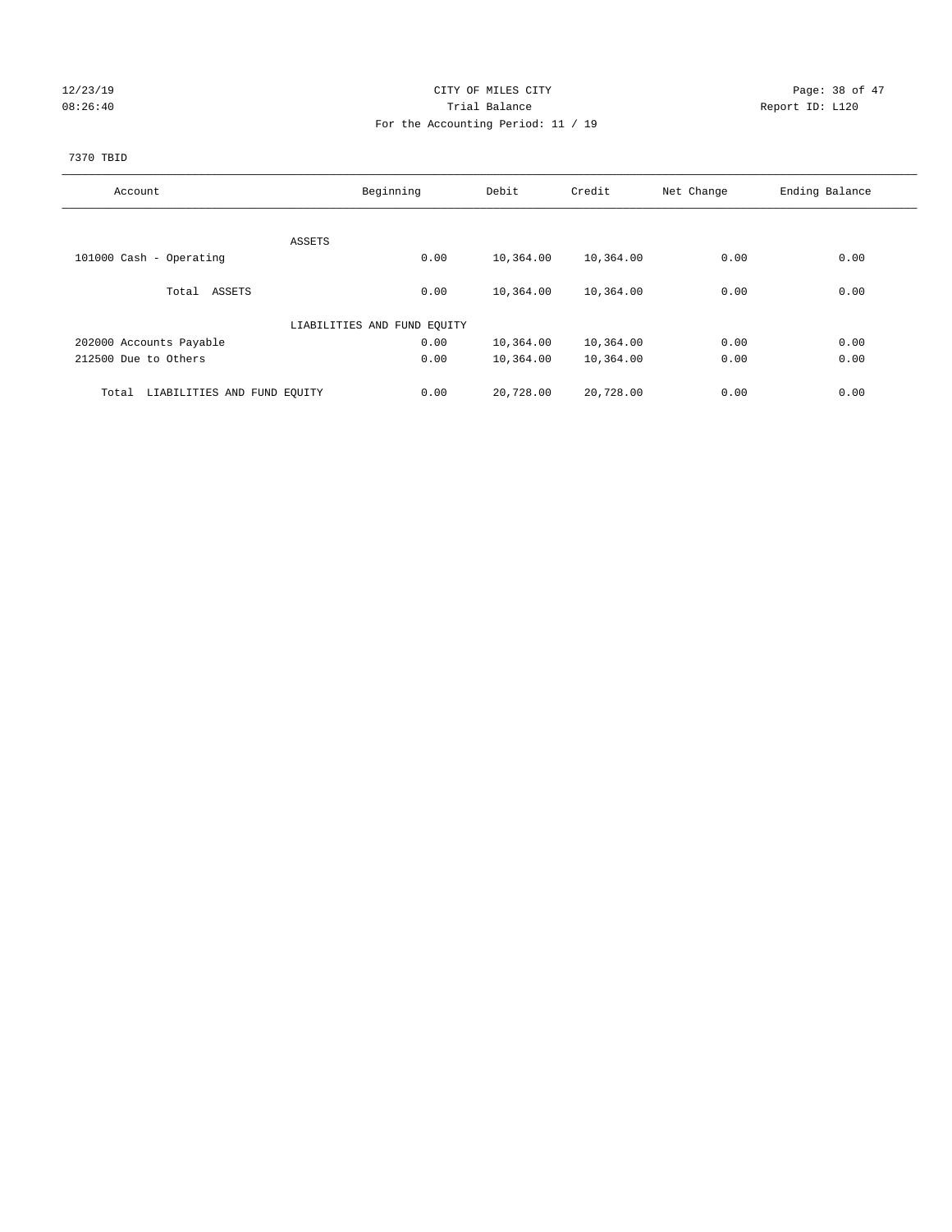## 12/23/19 Page: 38 of 47 08:26:40 Trial Balance Report ID: L120 For the Accounting Period: 11 / 19

# 7370 TBID

| Account                              | Beginning                   | Debit             | Credit    | Net Change | Ending Balance |
|--------------------------------------|-----------------------------|-------------------|-----------|------------|----------------|
|                                      |                             |                   |           |            |                |
|                                      | ASSETS                      |                   |           |            |                |
| 101000 Cash - Operating              |                             | 0.00<br>10,364.00 | 10,364.00 | 0.00       | 0.00           |
| Total ASSETS                         |                             | 10,364.00<br>0.00 | 10,364.00 | 0.00       | 0.00           |
|                                      | LIABILITIES AND FUND EQUITY |                   |           |            |                |
| 202000 Accounts Payable              |                             | 0.00<br>10,364.00 | 10,364.00 | 0.00       | 0.00           |
| 212500 Due to Others                 |                             | 0.00<br>10,364.00 | 10,364.00 | 0.00       | 0.00           |
|                                      |                             |                   |           |            |                |
| LIABILITIES AND FUND EQUITY<br>Total |                             | 20,728.00<br>0.00 | 20,728.00 | 0.00       | 0.00           |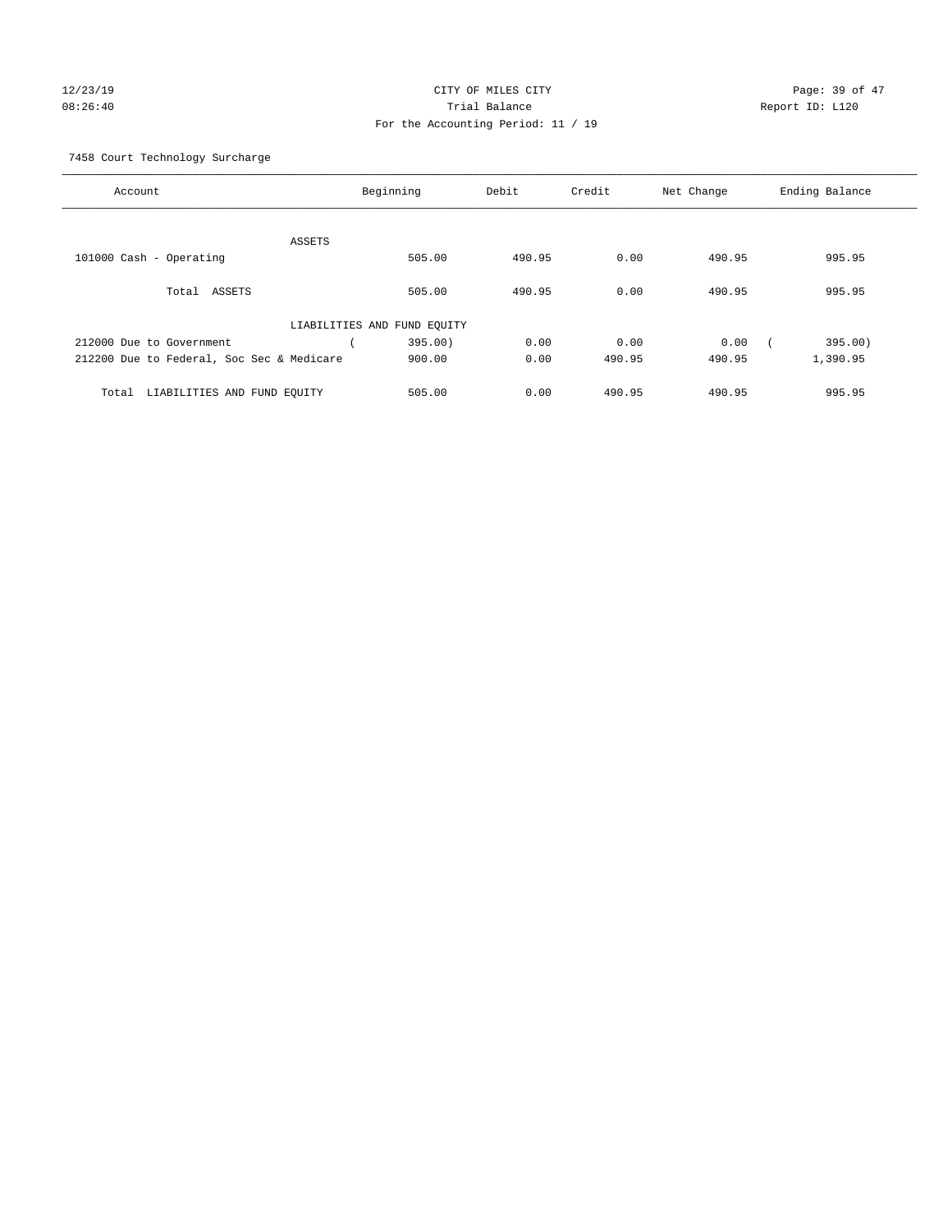## 12/23/19 **Page: 39 of 47** CITY OF MILES CITY **Page: 39 of 47** 08:26:40 Trial Balance Report ID: L120 For the Accounting Period: 11 / 19

7458 Court Technology Surcharge

| Account                                   |                             | Beginning | Debit  | Credit | Net Change | Ending Balance |
|-------------------------------------------|-----------------------------|-----------|--------|--------|------------|----------------|
|                                           |                             |           |        |        |            |                |
|                                           | <b>ASSETS</b>               |           |        |        |            |                |
| 101000 Cash - Operating                   |                             | 505.00    | 490.95 | 0.00   | 490.95     | 995.95         |
| ASSETS<br>Total                           |                             | 505.00    | 490.95 | 0.00   | 490.95     | 995.95         |
|                                           | LIABILITIES AND FUND EQUITY |           |        |        |            |                |
| 212000 Due to Government                  |                             | 395.00)   | 0.00   | 0.00   | 0.00       | 395.00)        |
| 212200 Due to Federal, Soc Sec & Medicare |                             | 900.00    | 0.00   | 490.95 | 490.95     | 1,390.95       |
| LIABILITIES AND FUND EQUITY<br>Total      |                             | 505.00    | 0.00   | 490.95 | 490.95     | 995.95         |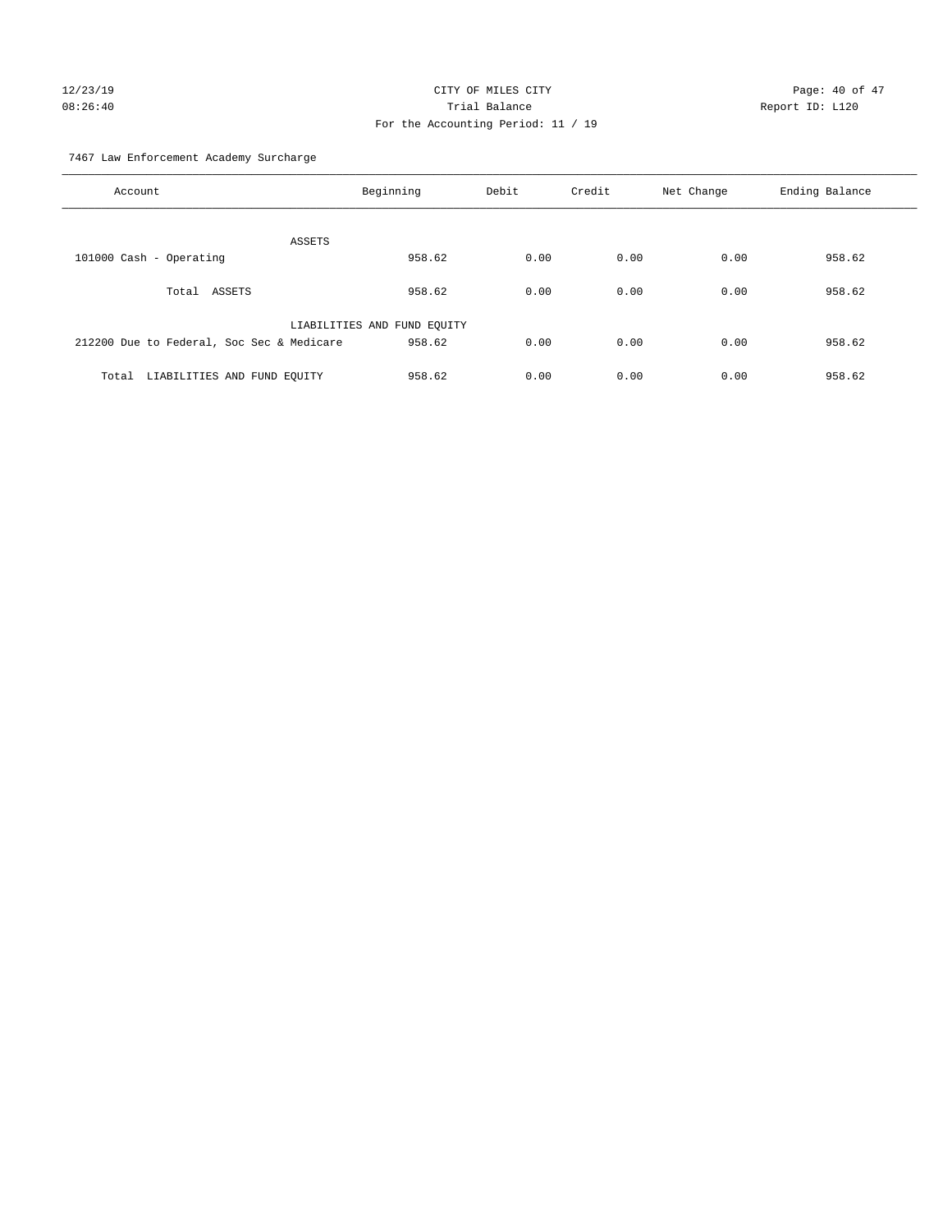# 12/23/19 **Page: 40 of 47** CITY OF MILES CITY **Page: 40 of 47** 08:26:40 Trial Balance Report ID: L120 For the Accounting Period: 11 / 19

7467 Law Enforcement Academy Surcharge

| Account                                   | Beginning                   | Debit | Credit | Net Change | Ending Balance |
|-------------------------------------------|-----------------------------|-------|--------|------------|----------------|
| ASSETS                                    |                             |       |        |            |                |
| 101000 Cash - Operating                   | 958.62                      | 0.00  | 0.00   | 0.00       | 958.62         |
| Total ASSETS                              | 958.62                      | 0.00  | 0.00   | 0.00       | 958.62         |
|                                           | LIABILITIES AND FUND EQUITY |       |        |            |                |
| 212200 Due to Federal, Soc Sec & Medicare | 958.62                      | 0.00  | 0.00   | 0.00       | 958.62         |
| LIABILITIES AND FUND EQUITY<br>Total      | 958.62                      | 0.00  | 0.00   | 0.00       | 958.62         |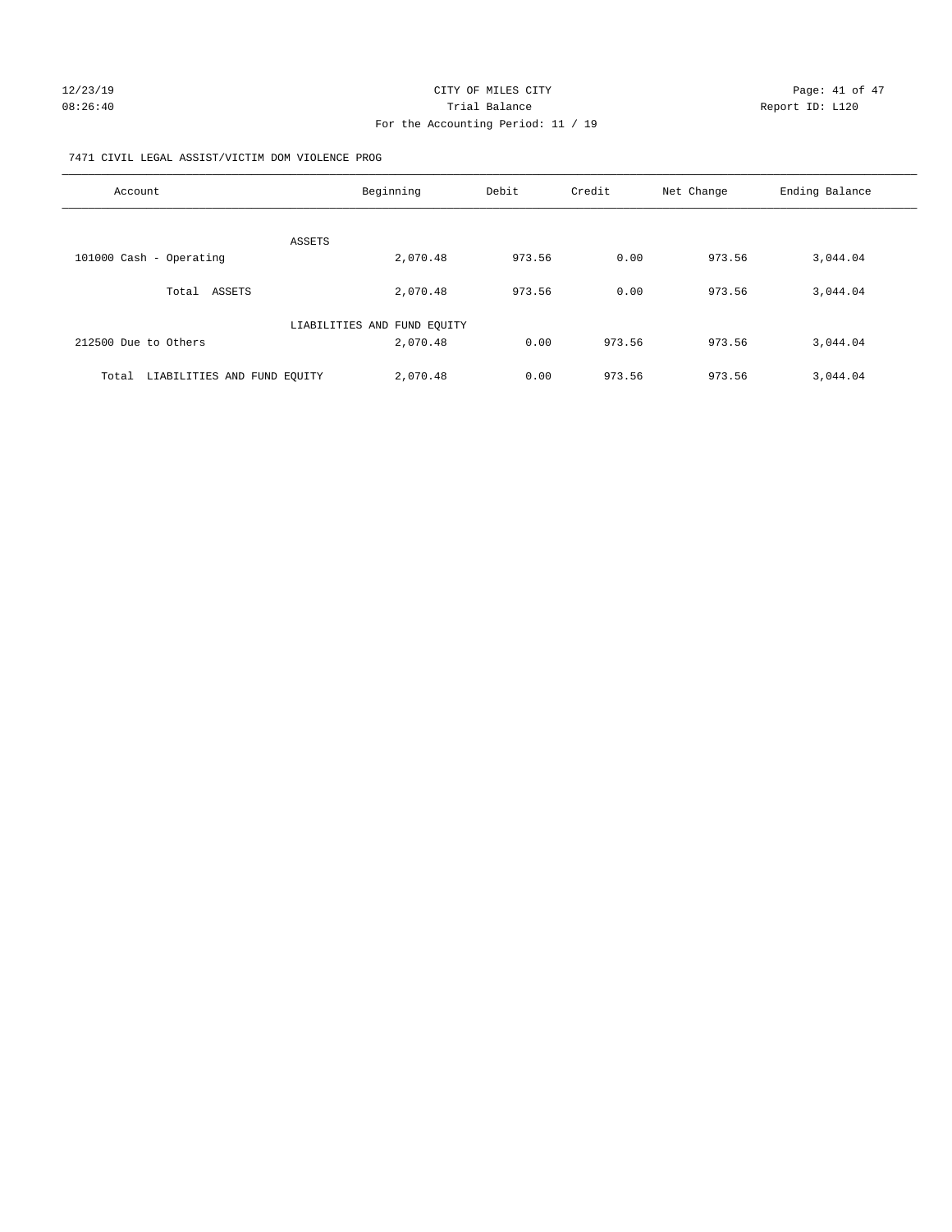## 7471 CIVIL LEGAL ASSIST/VICTIM DOM VIOLENCE PROG

| Account                              | Beginning                   | Debit  | Credit | Net Change | Ending Balance |
|--------------------------------------|-----------------------------|--------|--------|------------|----------------|
|                                      |                             |        |        |            |                |
|                                      | ASSETS                      |        |        |            |                |
| 101000 Cash - Operating              | 2,070.48                    | 973.56 | 0.00   | 973.56     | 3,044.04       |
| Total ASSETS                         | 2,070.48                    | 973.56 | 0.00   | 973.56     | 3,044.04       |
|                                      | LIABILITIES AND FUND EQUITY |        |        |            |                |
| 212500 Due to Others                 | 2,070.48                    | 0.00   | 973.56 | 973.56     | 3,044.04       |
| LIABILITIES AND FUND EQUITY<br>Total | 2,070.48                    | 0.00   | 973.56 | 973.56     | 3,044.04       |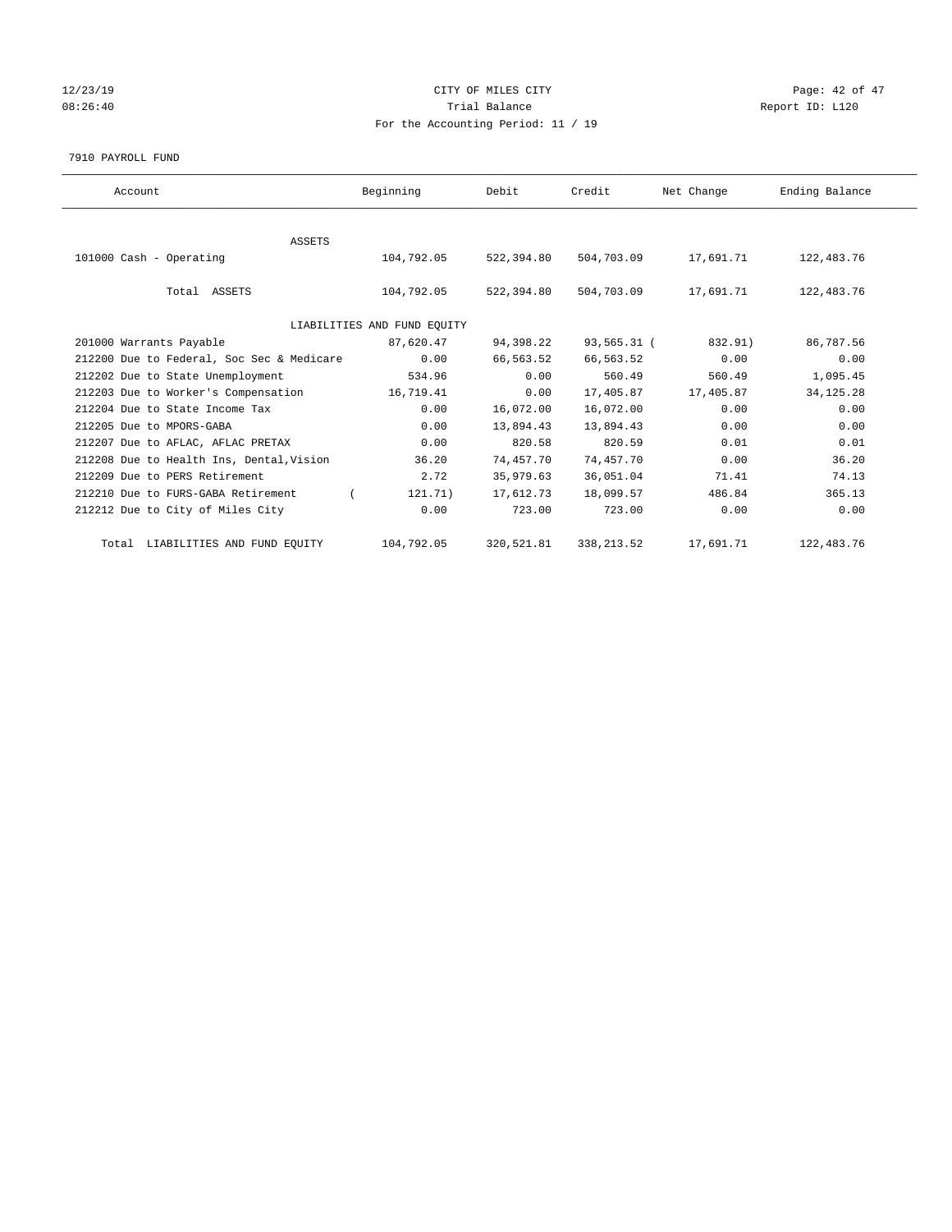## 12/23/19 Page: 42 of 47 08:26:40 Report ID: L120 For the Accounting Period: 11 / 19

7910 PAYROLL FUND

| Account                                   | Beginning                   | Debit      | Credit      | Net Change | Ending Balance |
|-------------------------------------------|-----------------------------|------------|-------------|------------|----------------|
|                                           |                             |            |             |            |                |
| <b>ASSETS</b><br>101000 Cash - Operating  | 104,792.05                  | 522,394.80 | 504,703.09  | 17,691.71  | 122,483.76     |
| Total ASSETS                              | 104,792.05                  | 522,394.80 | 504,703.09  | 17,691.71  | 122,483.76     |
|                                           | LIABILITIES AND FUND EQUITY |            |             |            |                |
| 201000 Warrants Payable                   | 87,620.47                   | 94,398.22  | 93,565.31 ( | 832.91)    | 86,787.56      |
| 212200 Due to Federal, Soc Sec & Medicare | 0.00                        | 66,563.52  | 66,563.52   | 0.00       | 0.00           |
| 212202 Due to State Unemployment          | 534.96                      | 0.00       | 560.49      | 560.49     | 1,095.45       |
| 212203 Due to Worker's Compensation       | 16,719.41                   | 0.00       | 17,405.87   | 17,405.87  | 34, 125. 28    |
| 212204 Due to State Income Tax            | 0.00                        | 16,072.00  | 16,072.00   | 0.00       | 0.00           |
| 212205 Due to MPORS-GABA                  | 0.00                        | 13,894.43  | 13,894.43   | 0.00       | 0.00           |
| 212207 Due to AFLAC, AFLAC PRETAX         | 0.00                        | 820.58     | 820.59      | 0.01       | 0.01           |
| 212208 Due to Health Ins, Dental, Vision  | 36.20                       | 74,457.70  | 74,457.70   | 0.00       | 36.20          |
| 212209 Due to PERS Retirement             | 2.72                        | 35,979.63  | 36,051.04   | 71.41      | 74.13          |
| 212210 Due to FURS-GABA Retirement        | 121.71)                     | 17,612.73  | 18,099.57   | 486.84     | 365.13         |
| 212212 Due to City of Miles City          | 0.00                        | 723.00     | 723.00      | 0.00       | 0.00           |
| Total LIABILITIES AND FUND EQUITY         | 104,792.05                  | 320,521.81 | 338, 213.52 | 17,691.71  | 122,483.76     |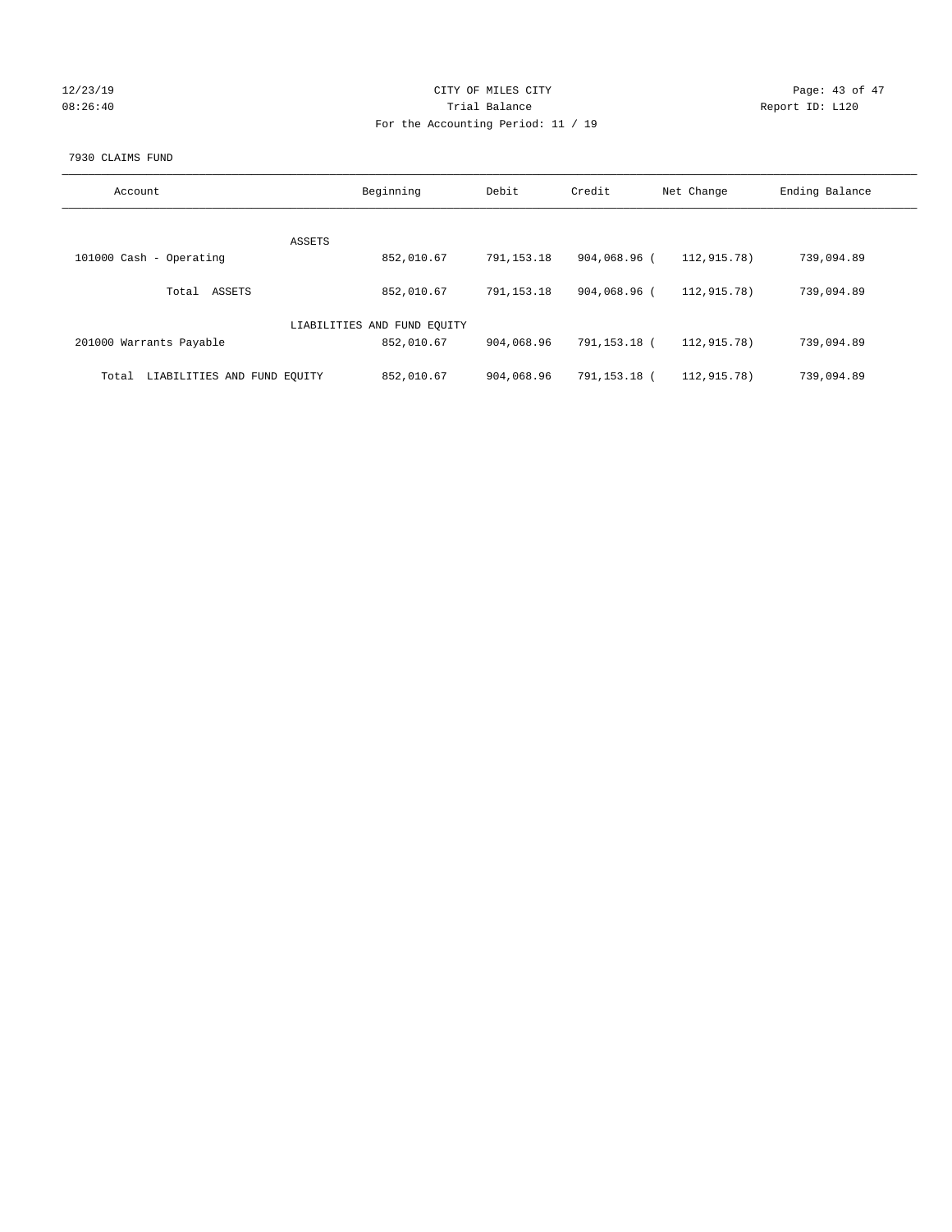| 12/23/19  |  |
|-----------|--|
| 0.8:26:40 |  |

## CITY OF MILES CITY CONTROL CONTROL CITY CHARGE PAGE: 43 of 47 08:26:40 <br>Trial Balance Report ID: L120 For the Accounting Period: 11 / 19

## 7930 CLAIMS FUND

| Account                              | Beginning                   | Debit      | Credit       | Net Change  | Ending Balance |
|--------------------------------------|-----------------------------|------------|--------------|-------------|----------------|
| ASSETS                               |                             |            |              |             |                |
| 101000 Cash - Operating              | 852,010.67                  | 791,153.18 | 904,068.96 ( | 112,915.78) | 739,094.89     |
| ASSETS<br>Total                      | 852,010.67                  | 791,153.18 | 904,068.96 ( | 112,915.78) | 739,094.89     |
|                                      | LIABILITIES AND FUND EQUITY |            |              |             |                |
| 201000 Warrants Payable              | 852,010.67                  | 904,068.96 | 791,153.18 ( | 112,915.78) | 739,094.89     |
| LIABILITIES AND FUND EQUITY<br>Total | 852,010.67                  | 904,068.96 | 791,153.18 ( | 112,915.78) | 739,094.89     |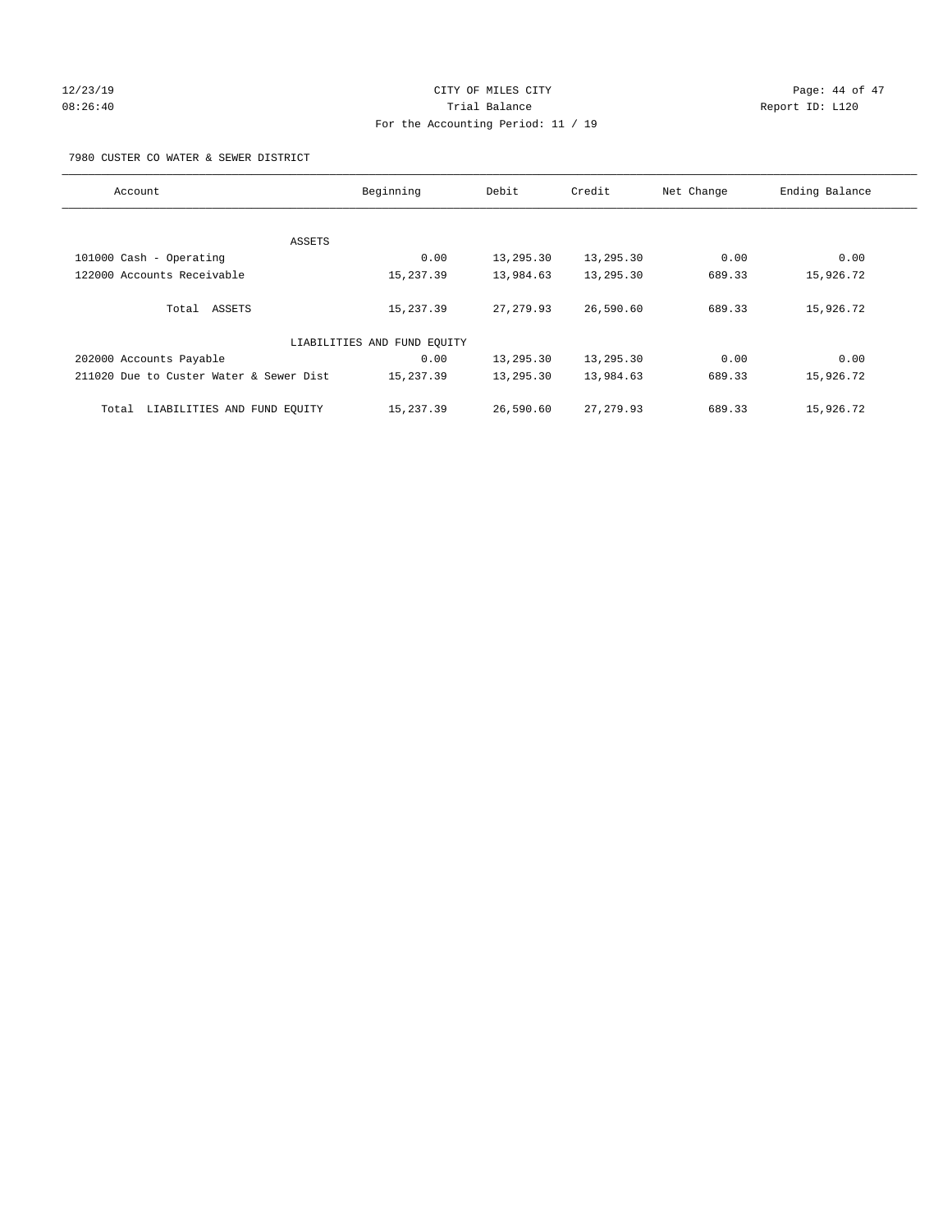# 12/23/19 Page: 44 of 47 08:26:40 Trial Balance Report ID: L120 For the Accounting Period: 11 / 19

7980 CUSTER CO WATER & SEWER DISTRICT

| Account                                 | Beginning                   | Debit      | Credit     | Net Change | Ending Balance |
|-----------------------------------------|-----------------------------|------------|------------|------------|----------------|
|                                         |                             |            |            |            |                |
| ASSETS                                  |                             |            |            |            |                |
| 101000 Cash - Operating                 | 0.00                        | 13,295.30  | 13,295.30  | 0.00       | 0.00           |
| 122000 Accounts Receivable              | 15,237.39                   | 13,984.63  | 13,295.30  | 689.33     | 15,926.72      |
| Total ASSETS                            | 15,237.39                   | 27, 279.93 | 26,590.60  | 689.33     | 15,926.72      |
|                                         | LIABILITIES AND FUND EQUITY |            |            |            |                |
| 202000 Accounts Payable                 | 0.00                        | 13,295.30  | 13,295.30  | 0.00       | 0.00           |
| 211020 Due to Custer Water & Sewer Dist | 15,237.39                   | 13,295.30  | 13,984.63  | 689.33     | 15,926.72      |
| LIABILITIES AND FUND EQUITY<br>Total    | 15,237.39                   | 26,590.60  | 27, 279.93 | 689.33     | 15,926.72      |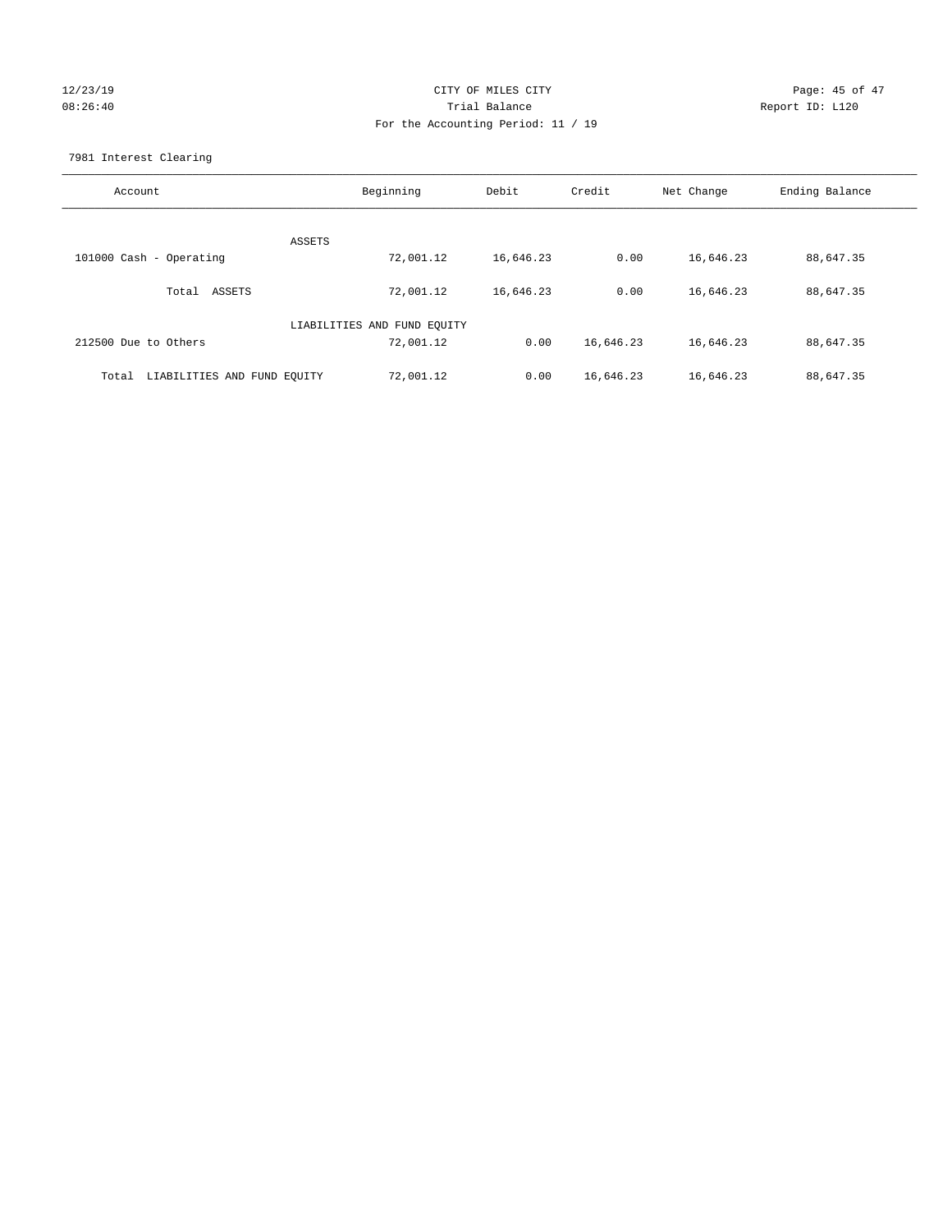## 12/23/19 Page: 45 of 47 08:26:40 Trial Balance Report ID: L120 For the Accounting Period: 11 / 19

7981 Interest Clearing

| Account                              | Beginning                   | Debit     | Credit    | Net Change | Ending Balance |
|--------------------------------------|-----------------------------|-----------|-----------|------------|----------------|
|                                      | ASSETS                      |           |           |            |                |
| 101000 Cash - Operating              | 72,001.12                   | 16,646.23 | 0.00      | 16,646.23  | 88,647.35      |
| Total ASSETS                         | 72,001.12                   | 16,646.23 | 0.00      | 16,646.23  | 88,647.35      |
|                                      | LIABILITIES AND FUND EQUITY |           |           |            |                |
| 212500 Due to Others                 | 72,001.12                   | 0.00      | 16,646.23 | 16,646.23  | 88,647.35      |
| LIABILITIES AND FUND EQUITY<br>Total | 72,001.12                   | 0.00      | 16,646.23 | 16,646.23  | 88,647.35      |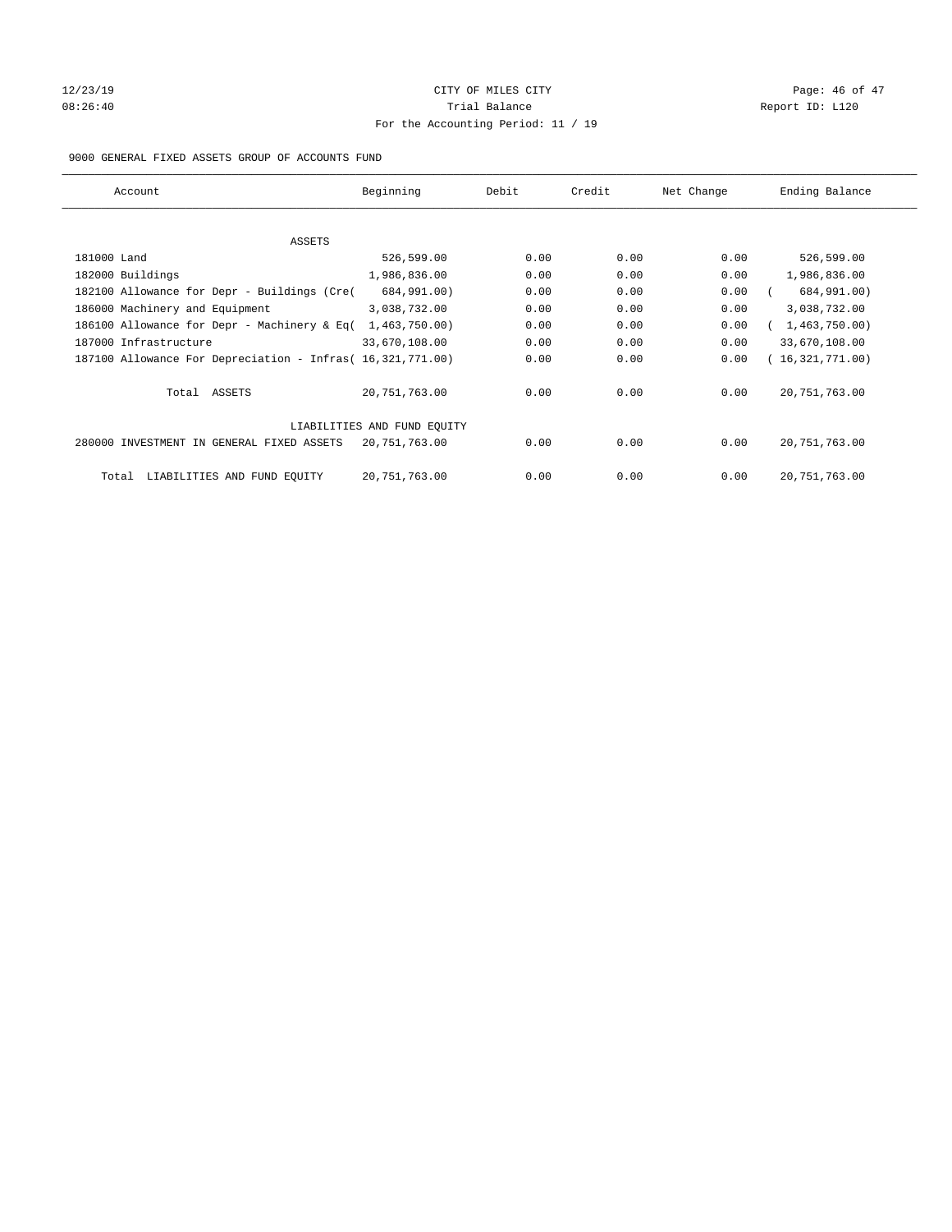# 12/23/19 Page: 46 of 47 08:26:40 Report ID: L120 For the Accounting Period: 11 / 19

## 9000 GENERAL FIXED ASSETS GROUP OF ACCOUNTS FUND

| Account                                                    | Beginning                   | Debit | Credit | Net Change | Ending Balance  |
|------------------------------------------------------------|-----------------------------|-------|--------|------------|-----------------|
| ASSETS                                                     |                             |       |        |            |                 |
| 181000 Land                                                | 526,599.00                  | 0.00  | 0.00   | 0.00       | 526,599.00      |
| 182000 Buildings                                           | 1,986,836.00                | 0.00  | 0.00   | 0.00       | 1,986,836.00    |
| 182100 Allowance for Depr - Buildings (Cre(                | 684,991.00)                 | 0.00  | 0.00   | 0.00       | 684,991.00)     |
| 186000 Machinery and Equipment                             | 3,038,732.00                | 0.00  | 0.00   | 0.00       | 3,038,732.00    |
| 186100 Allowance for Depr - Machinery & Eq(                | 1,463,750.00)               | 0.00  | 0.00   | 0.00       | 1,463,750.00)   |
| 187000 Infrastructure                                      | 33,670,108.00               | 0.00  | 0.00   | 0.00       | 33,670,108.00   |
| 187100 Allowance For Depreciation - Infras( 16,321,771.00) |                             | 0.00  | 0.00   | 0.00       | 16,321,771.00)  |
| Total ASSETS                                               | 20,751,763.00               | 0.00  | 0.00   | 0.00       | 20, 751, 763.00 |
|                                                            | LIABILITIES AND FUND EQUITY |       |        |            |                 |
| 280000 INVESTMENT IN GENERAL FIXED ASSETS                  | 20,751,763.00               | 0.00  | 0.00   | 0.00       | 20, 751, 763.00 |
| LIABILITIES AND FUND EQUITY<br>Total                       | 20,751,763.00               | 0.00  | 0.00   | 0.00       | 20, 751, 763.00 |